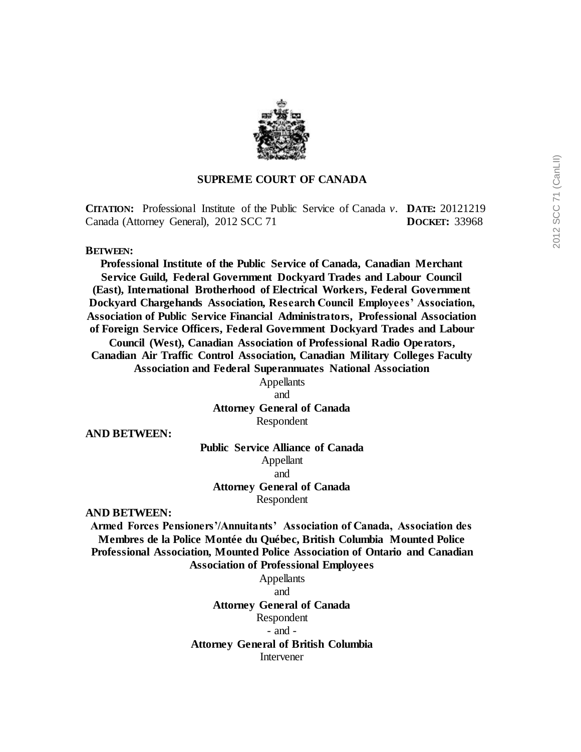

### **SUPREME COURT OF CANADA**

**CITATION:** Professional Institute of the Public Service of Canada *v.* **DATE:** 20121219 Canada (Attorney General), 2012 SCC 71 **DOCKET:** 33968

**BETWEEN:**

**Professional Institute of the Public Service of Canada, Canadian Merchant Service Guild, Federal Government Dockyard Trades and Labour Council (East), International Brotherhood of Electrical Workers, Federal Government Dockyard Chargehands Association, Research Council Employees' Association, Association of Public Service Financial Administrators, Professional Association of Foreign Service Officers, Federal Government Dockyard Trades and Labour Council (West), Canadian Association of Professional Radio Operators, Canadian Air Traffic Control Association, Canadian Military Colleges Faculty Association and Federal Superannuates National Association**

> Appellants and **Attorney General of Canada**

Respondent

**AND BETWEEN:**

### **Public Service Alliance of Canada** Appellant

and

**Attorney General of Canada**

Respondent

**AND BETWEEN:**

**Armed Forces Pensioners'/Annuitants' Association of Canada, Association des Membres de la Police Montée du Québec, British Columbia Mounted Police Professional Association, Mounted Police Association of Ontario and Canadian Association of Professional Employees**

> Appellants and **Attorney General of Canada** Respondent - and - **Attorney General of British Columbia** Intervener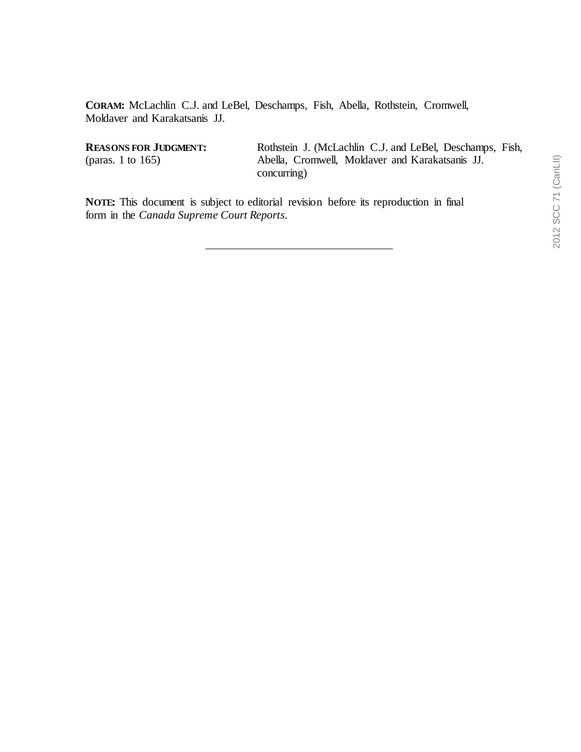**CORAM:** McLachlin C.J. and LeBel, Deschamps, Fish, Abella, Rothstein, Cromwell, Moldaver and Karakatsanis JJ.

**REASONS FOR JUDGMENT:** (paras. 1 to 165)

Rothstein J. (McLachlin C.J. and LeBel, Deschamps, Fish, Abella, Cromwell, Moldaver and Karakatsanis JJ. concurring)

**NOTE:** This document is subject to editorial revision before its reproduction in final form in the *Canada Supreme Court Reports*.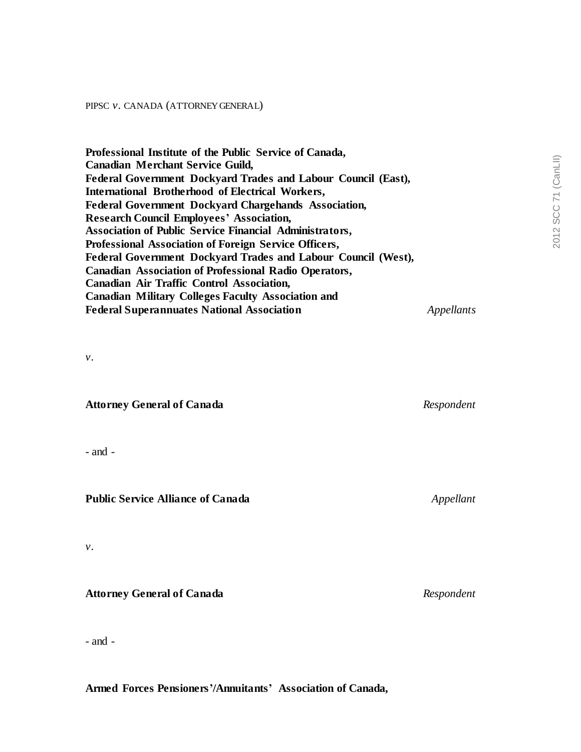#### PIPSC *v.* CANADA (ATTORNEY GENERAL)

**Professional Institute of the Public Service of Canada, Canadian Merchant Service Guild, Federal Government Dockyard Trades and Labour Council (East), International Brotherhood of Electrical Workers, Federal Government Dockyard Chargehands Association, Research Council Employees' Association, Association of Public Service Financial Administrators, Professional Association of Foreign Service Officers, Federal Government Dockyard Trades and Labour Council (West), Canadian Association of Professional Radio Operators, Canadian Air Traffic Control Association, Canadian Military Colleges Faculty Association and Federal Superannuates National Association** *Appellants*

*v.*

**Attorney General of Canada** *Respondent*

- and -

**Public Service Alliance of Canada** *Appellant*

*v.*

**Attorney General of Canada** *Respondent*

- and -

**Armed Forces Pensioners'/Annuitants' Association of Canada,**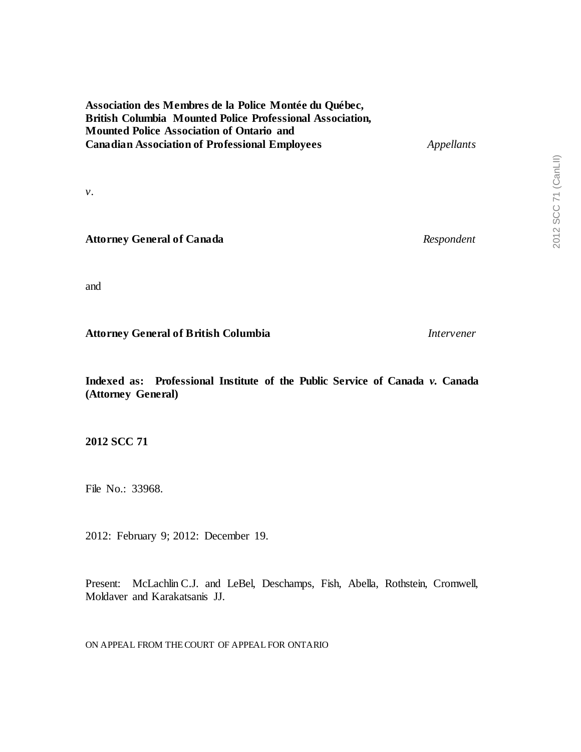**Association des Membres de la Police Montée du Québec, British Columbia Mounted Police Professional Association, Mounted Police Association of Ontario and Canadian Association of Professional Employees** *Appellants*

*v.*

**Attorney General of Canada** *Respondent*

and

**Attorney General of British Columbia** *Intervener*

**Indexed as: Professional Institute of the Public Service of Canada** *v.* **Canada (Attorney General)**

**2012 SCC 71**

File No.: 33968.

2012: February 9; 2012: December 19.

Present: McLachlin C.J. and LeBel, Deschamps, Fish, Abella, Rothstein, Cromwell, Moldaver and Karakatsanis JJ.

ON APPEAL FROM THECOURT OF APPEAL FOR ONTARIO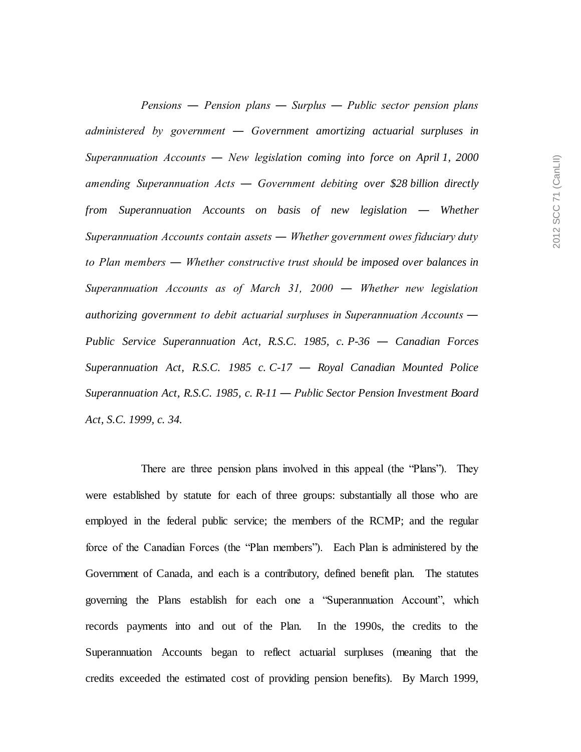*Pensions ― Pension plans ― Surplus ― Public sector pension plans administered by government ― Government amortizing actuarial surpluses in Superannuation Accounts ― New legislation coming into force on April 1, 2000 amending Superannuation Acts ― Government debiting over \$28 billion directly from Superannuation Accounts on basis of new legislation ― Whether Superannuation Accounts contain assets ― Whether government owes fiduciary duty to Plan members ― Whether constructive trust should be imposed over balances in Superannuation Accounts as of March 31, 2000 ― Whether new legislation authorizing government to debit actuarial surpluses in Superannuation Accounts ― Public Service Superannuation Act, R.S.C. 1985, c. P-36 ― Canadian Forces Superannuation Act, R.S.C. 1985 c. C-17 ― Royal Canadian Mounted Police Superannuation Act, R.S.C. 1985, c. R-11 ― Public Sector Pension Investment Board Act, S.C. 1999, c. 34.*

There are three pension plans involved in this appeal (the "Plans"). They were established by statute for each of three groups: substantially all those who are employed in the federal public service; the members of the RCMP; and the regular force of the Canadian Forces (the "Plan members"). Each Plan is administered by the Government of Canada, and each is a contributory, defined benefit plan. The statutes governing the Plans establish for each one a "Superannuation Account", which records payments into and out of the Plan. In the 1990s, the credits to the Superannuation Accounts began to reflect actuarial surpluses (meaning that the credits exceeded the estimated cost of providing pension benefits). By March 1999,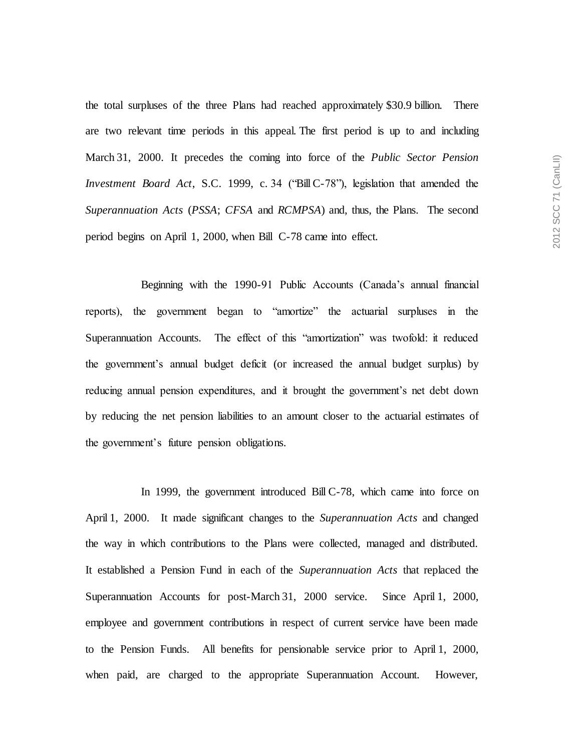the total surpluses of the three Plans had reached approximately \$30.9 billion. There are two relevant time periods in this appeal. The first period is up to and including March 31, 2000. It precedes the coming into force of the *Public Sector Pension Investment Board Act*, S.C. 1999, c. 34 ("Bill C-78"), legislation that amended the *Superannuation Acts* (*PSSA*; *CFSA* and *RCMPSA*) and, thus, the Plans. The second period begins on April 1, 2000, when Bill C-78 came into effect.

Beginning with the 1990-91 Public Accounts (Canada's annual financial reports), the government began to "amortize" the actuarial surpluses in the Superannuation Accounts. The effect of this "amortization" was twofold: it reduced the government's annual budget deficit (or increased the annual budget surplus) by reducing annual pension expenditures, and it brought the government's net debt down by reducing the net pension liabilities to an amount closer to the actuarial estimates of the government's future pension obligations.

In 1999, the government introduced Bill C-78, which came into force on April 1, 2000. It made significant changes to the *Superannuation Acts* and changed the way in which contributions to the Plans were collected, managed and distributed. It established a Pension Fund in each of the *Superannuation Acts* that replaced the Superannuation Accounts for post-March 31, 2000 service. Since April 1, 2000, employee and government contributions in respect of current service have been made to the Pension Funds. All benefits for pensionable service prior to April 1, 2000, when paid, are charged to the appropriate Superannuation Account. However,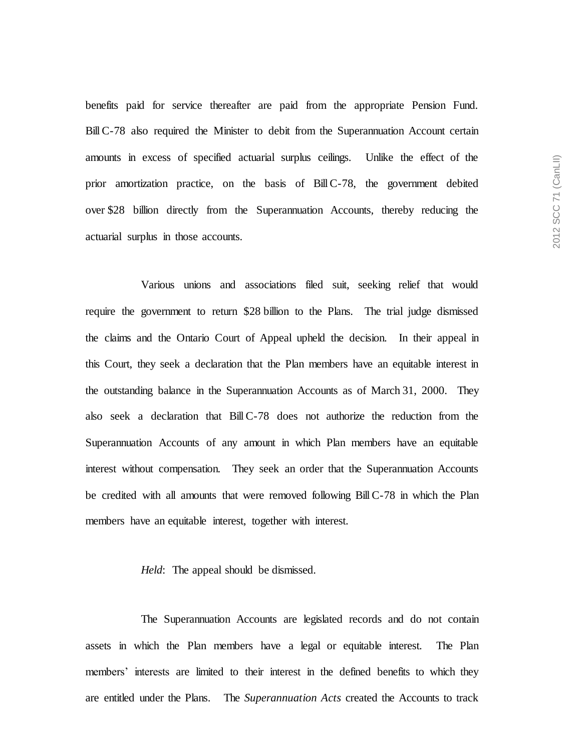benefits paid for service thereafter are paid from the appropriate Pension Fund. BillC-78 also required the Minister to debit from the Superannuation Account certain amounts in excess of specified actuarial surplus ceilings. Unlike the effect of the prior amortization practice, on the basis of BillC-78, the government debited over \$28 billion directly from the Superannuation Accounts, thereby reducing the actuarial surplus in those accounts.

Various unions and associations filed suit, seeking relief that would require the government to return \$28 billion to the Plans. The trial judge dismissed the claims and the Ontario Court of Appeal upheld the decision. In their appeal in this Court, they seek a declaration that the Plan members have an equitable interest in the outstanding balance in the Superannuation Accounts as of March 31, 2000. They also seek a declaration that BillC-78 does not authorize the reduction from the Superannuation Accounts of any amount in which Plan members have an equitable interest without compensation. They seek an order that the Superannuation Accounts be credited with all amounts that were removed following BillC-78 in which the Plan members have an equitable interest, together with interest.

### *Held*: The appeal should be dismissed.

The Superannuation Accounts are legislated records and do not contain assets in which the Plan members have a legal or equitable interest. The Plan members' interests are limited to their interest in the defined benefits to which they are entitled under the Plans. The *Superannuation Acts* created the Accounts to track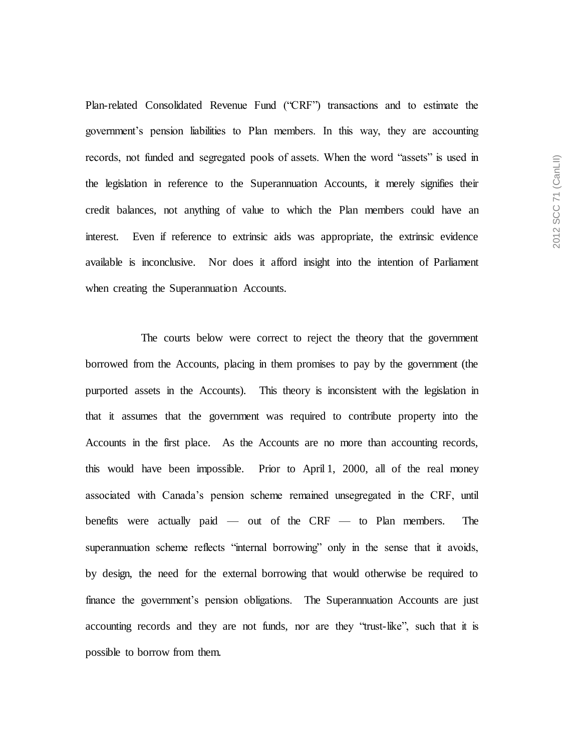Plan-related Consolidated Revenue Fund ("CRF") transactions and to estimate the government's pension liabilities to Plan members. In this way, they are accounting records, not funded and segregated pools of assets. When the word "assets" is used in the legislation in reference to the Superannuation Accounts, it merely signifies their credit balances, not anything of value to which the Plan members could have an interest. Even if reference to extrinsic aids was appropriate, the extrinsic evidence available is inconclusive. Nor does it afford insight into the intention of Parliament when creating the Superannuation Accounts.

The courts below were correct to reject the theory that the government borrowed from the Accounts, placing in them promises to pay by the government (the purported assets in the Accounts). This theory is inconsistent with the legislation in that it assumes that the government was required to contribute property into the Accounts in the first place. As the Accounts are no more than accounting records, this would have been impossible. Prior to April 1, 2000, all of the real money associated with Canada's pension scheme remained unsegregated in the CRF, until benefits were actually paid — out of the CRF — to Plan members. The superannuation scheme reflects "internal borrowing" only in the sense that it avoids, by design, the need for the external borrowing that would otherwise be required to finance the government's pension obligations. The Superannuation Accounts are just accounting records and they are not funds, nor are they "trust-like", such that it is possible to borrow from them.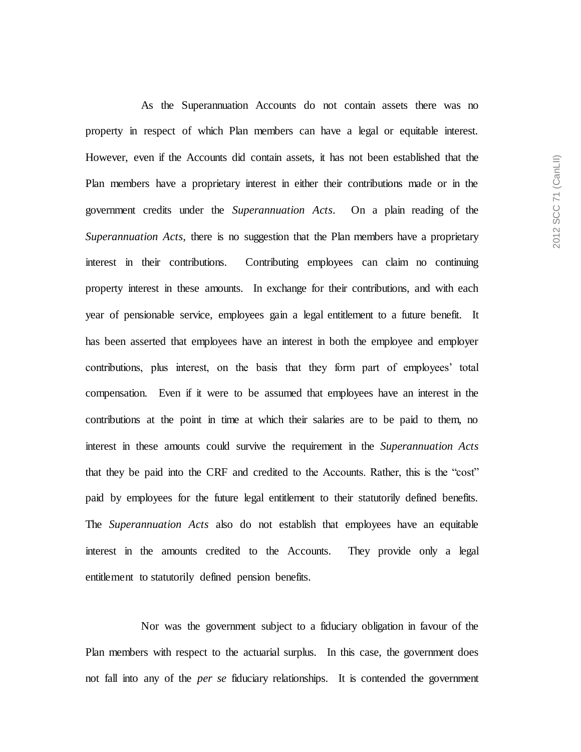As the Superannuation Accounts do not contain assets there was no property in respect of which Plan members can have a legal or equitable interest. However, even if the Accounts did contain assets, it has not been established that the Plan members have a proprietary interest in either their contributions made or in the government credits under the *Superannuation Acts*. On a plain reading of the *Superannuation Acts*, there is no suggestion that the Plan members have a proprietary interest in their contributions. Contributing employees can claim no continuing property interest in these amounts. In exchange for their contributions, and with each year of pensionable service, employees gain a legal entitlement to a future benefit. It has been asserted that employees have an interest in both the employee and employer contributions, plus interest, on the basis that they form part of employees' total compensation. Even if it were to be assumed that employees have an interest in the contributions at the point in time at which their salaries are to be paid to them, no interest in these amounts could survive the requirement in the *Superannuation Acts*  that they be paid into the CRF and credited to the Accounts. Rather, this is the "cost" paid by employees for the future legal entitlement to their statutorily defined benefits. The *Superannuation Acts* also do not establish that employees have an equitable interest in the amounts credited to the Accounts. They provide only a legal entitlement to statutorily defined pension benefits.

Nor was the government subject to a fiduciary obligation in favour of the Plan members with respect to the actuarial surplus. In this case, the government does not fall into any of the *per se* fiduciary relationships. It is contended the government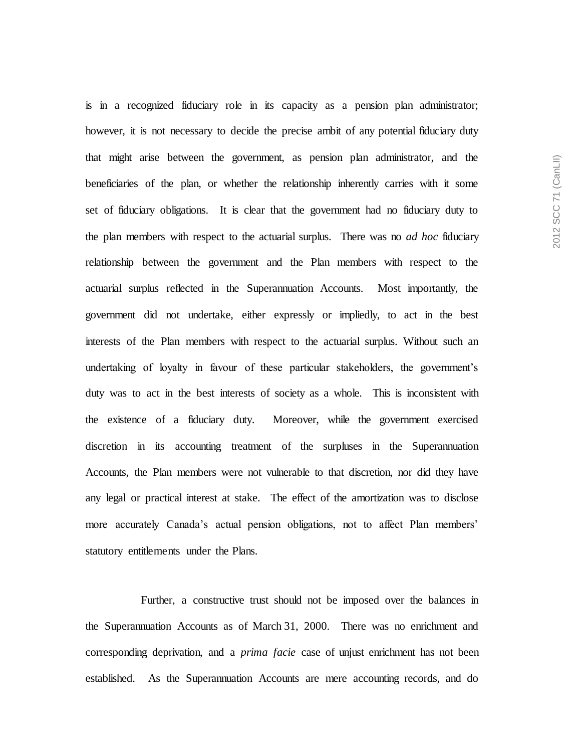is in a recognized fiduciary role in its capacity as a pension plan administrator; however, it is not necessary to decide the precise ambit of any potential fiduciary duty that might arise between the government, as pension plan administrator, and the beneficiaries of the plan, or whether the relationship inherently carries with it some set of fiduciary obligations. It is clear that the government had no fiduciary duty to the plan members with respect to the actuarial surplus. There was no *ad hoc* fiduciary relationship between the government and the Plan members with respect to the actuarial surplus reflected in the Superannuation Accounts. Most importantly, the government did not undertake, either expressly or impliedly, to act in the best interests of the Plan members with respect to the actuarial surplus. Without such an undertaking of loyalty in favour of these particular stakeholders, the government's duty was to act in the best interests of society as a whole. This is inconsistent with the existence of a fiduciary duty. Moreover, while the government exercised discretion in its accounting treatment of the surpluses in the Superannuation Accounts, the Plan members were not vulnerable to that discretion, nor did they have any legal or practical interest at stake. The effect of the amortization was to disclose more accurately Canada's actual pension obligations, not to affect Plan members' statutory entitlements under the Plans.

Further, a constructive trust should not be imposed over the balances in the Superannuation Accounts as of March 31, 2000. There was no enrichment and corresponding deprivation, and a *prima facie* case of unjust enrichment has not been established. As the Superannuation Accounts are mere accounting records, and do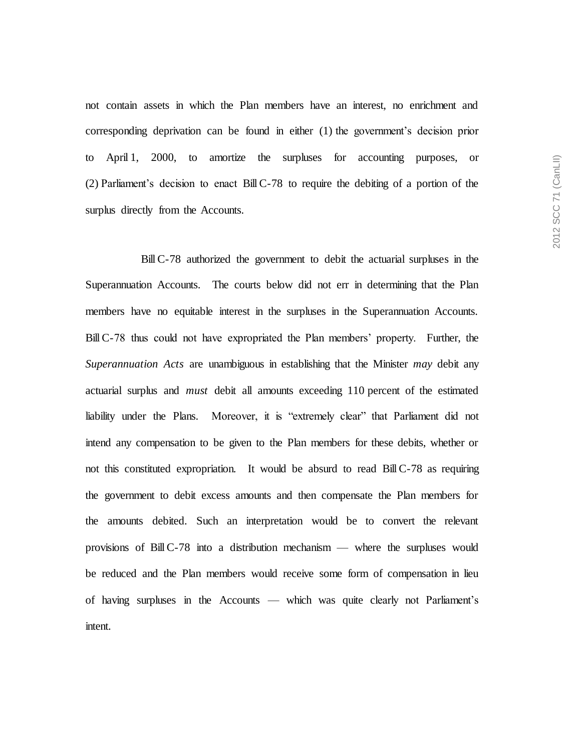not contain assets in which the Plan members have an interest, no enrichment and corresponding deprivation can be found in either (1) the government's decision prior to April 1, 2000, to amortize the surpluses for accounting purposes, or (2) Parliament's decision to enact BillC-78 to require the debiting of a portion of the surplus directly from the Accounts.

BillC-78 authorized the government to debit the actuarial surpluses in the Superannuation Accounts. The courts below did not err in determining that the Plan members have no equitable interest in the surpluses in the Superannuation Accounts. BillC-78 thus could not have expropriated the Plan members' property. Further, the *Superannuation Acts* are unambiguous in establishing that the Minister *may* debit any actuarial surplus and *must* debit all amounts exceeding 110 percent of the estimated liability under the Plans. Moreover, it is "extremely clear" that Parliament did not intend any compensation to be given to the Plan members for these debits, whether or not this constituted expropriation. It would be absurd to read BillC-78 as requiring the government to debit excess amounts and then compensate the Plan members for the amounts debited. Such an interpretation would be to convert the relevant provisions of BillC-78 into a distribution mechanism — where the surpluses would be reduced and the Plan members would receive some form of compensation in lieu of having surpluses in the Accounts — which was quite clearly not Parliament's intent.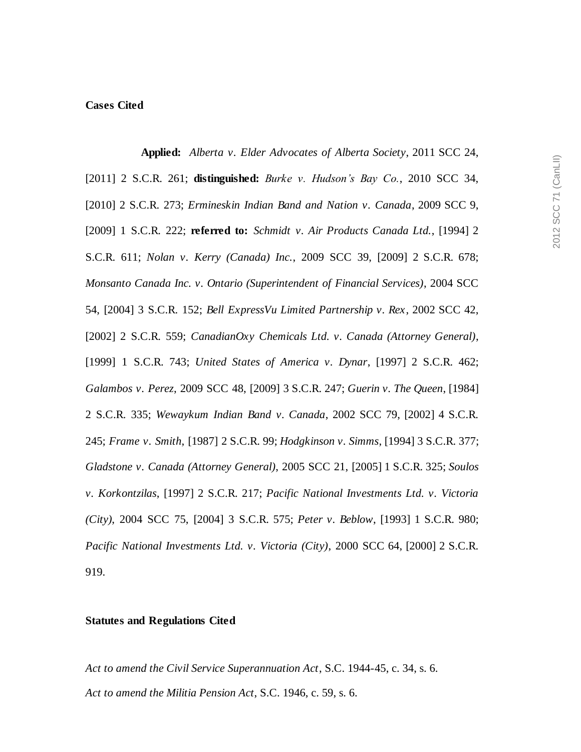## **Cases Cited**

**Applied:** *Alberta v. Elder Advocates of Alberta Society*, 2011 SCC 24, [2011] 2 S.C.R. 261; **distinguished:** *Burke v. Hudson's Bay Co.*, 2010 SCC 34, [2010] 2 S.C.R. 273; *Ermineskin Indian Band and Nation v. Canada*, 2009 SCC 9, [2009] 1 S.C.R. 222; **referred to:** *Schmidt v. Air Products Canada Ltd.*, [1994] 2 S.C.R. 611; *Nolan v. Kerry (Canada) Inc.*, 2009 SCC 39, [2009] 2 S.C.R. 678; *Monsanto Canada Inc. v. Ontario (Superintendent of Financial Services)*, 2004 SCC 54, [2004] 3 S.C.R. 152; *Bell ExpressVu Limited Partnership v. Rex*, 2002 SCC 42, [2002] 2 S.C.R. 559; *CanadianOxy Chemicals Ltd. v. Canada (Attorney General)*, [1999] 1 S.C.R. 743; *United States of America v. Dynar*, [1997] 2 S.C.R. 462; *Galambos v. Perez*, 2009 SCC 48, [2009] 3 S.C.R. 247; *Guerin v. The Queen*, [1984] 2 S.C.R. 335; *Wewaykum Indian Band v. Canada*, 2002 SCC 79, [2002] 4 S.C.R. 245; *Frame v. Smith*, [1987] 2 S.C.R. 99; *Hodgkinson v. Simms*, [1994] 3 S.C.R. 377; *Gladstone v. Canada (Attorney General)*, 2005 SCC 21, [2005] 1 S.C.R. 325; *Soulos v. Korkontzilas*, [1997] 2 S.C.R. 217; *Pacific National Investments Ltd. v. Victoria (City)*, 2004 SCC 75, [2004] 3 S.C.R. 575; *Peter v. Beblow*, [1993] 1 S.C.R. 980; *Pacific National Investments Ltd. v. Victoria (City)*, 2000 SCC 64, [2000] 2 S.C.R. 919.

#### **Statutes and Regulations Cited**

*Act to amend the Civil Service Superannuation Act*, S.C. 1944-45, c. 34, s. 6. *Act to amend the Militia Pension Act*, S.C. 1946, c. 59, s. 6.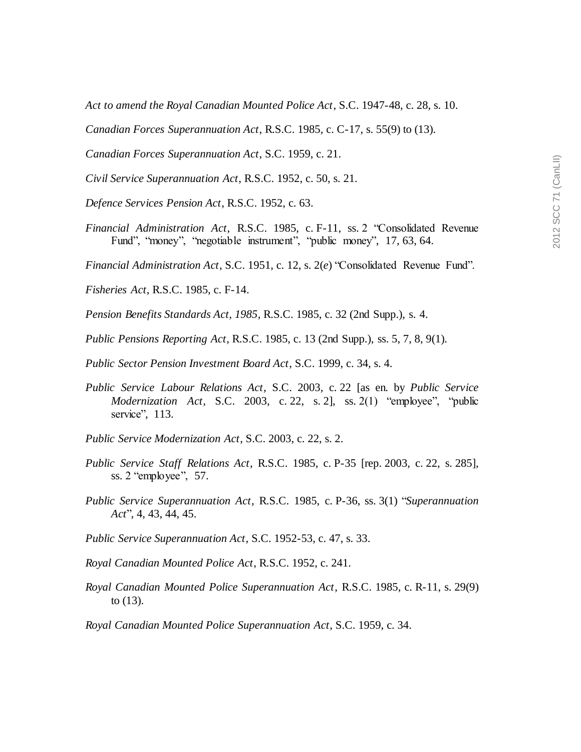*Act to amend the Royal Canadian Mounted Police Act*, S.C. 1947-48, c. 28, s. 10.

*Canadian Forces Superannuation Act*, R.S.C. 1985, c. C-17, s. 55(9) to (13).

*Canadian Forces Superannuation Act*, S.C. 1959, c. 21.

*Civil Service Superannuation Act*, R.S.C. 1952, c. 50, s. 21.

*Defence Services Pension Act*, R.S.C. 1952, c. 63.

*Financial Administration Act*, R.S.C. 1985, c. F-11, ss. 2 "Consolidated Revenue Fund", "money", "negotiable instrument", "public money", 17, 63, 64.

*Financial Administration Act*, S.C. 1951, c. 12, s. 2(*e*) "Consolidated Revenue Fund".

*Fisheries Act*, R.S.C. 1985, c. F-14.

*Pension Benefits Standards Act, 1985*, R.S.C. 1985, c. 32 (2nd Supp.), s. 4.

*Public Pensions Reporting Act*, R.S.C. 1985, c. 13 (2nd Supp.), ss. 5, 7, 8, 9(1).

*Public Sector Pension Investment Board Act*, S.C. 1999, c. 34, s. 4.

- *Public Service Labour Relations Act*, S.C. 2003, c. 22 [as en. by *Public Service Modernization Act*, S.C. 2003, c. 22, s. 2], ss. 2(1) "employee", "public service", 113.
- *Public Service Modernization Act*, S.C. 2003, c. 22, s. 2.
- *Public Service Staff Relations Act*, R.S.C. 1985, c. P-35 [rep. 2003, c. 22, s. 285], ss. 2 "employee", 57.
- *Public Service Superannuation Act*, R.S.C. 1985, c. P-36, ss. 3(1) "*Superannuation Act*", 4, 43, 44, 45.
- *Public Service Superannuation Act*, S.C. 1952-53, c. 47, s. 33.
- *Royal Canadian Mounted Police Act*, R.S.C. 1952, c. 241.
- *Royal Canadian Mounted Police Superannuation Act*, R.S.C. 1985, c. R-11, s. 29(9) to (13).

*Royal Canadian Mounted Police Superannuation Act*, S.C. 1959, c. 34.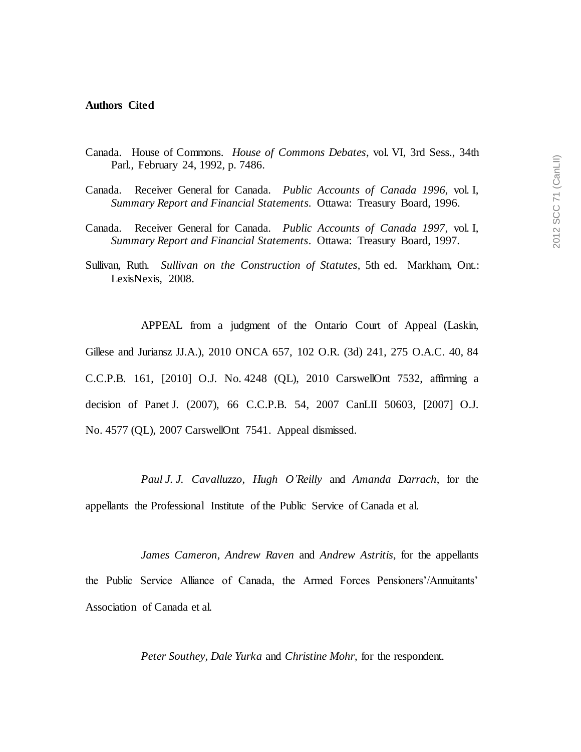#### **Authors Cited**

- Canada. House of Commons. *House of Commons Debates*, vol. VI, 3rd Sess., 34th Parl., February 24, 1992, p. 7486.
- Canada. Receiver General for Canada. *Public Accounts of Canada 1996*, vol. I, *Summary Report and Financial Statements*. Ottawa: Treasury Board, 1996.
- Canada. Receiver General for Canada. *Public Accounts of Canada 1997*, vol. I, *Summary Report and Financial Statements*. Ottawa: Treasury Board, 1997.
- Sullivan, Ruth. *Sullivan on the Construction of Statutes*, 5th ed. Markham, Ont.: LexisNexis, 2008.

APPEAL from a judgment of the Ontario Court of Appeal (Laskin, Gillese and Juriansz JJ.A.), 2010 ONCA 657, 102 O.R. (3d) 241, 275 O.A.C. 40, 84 C.C.P.B. 161, [2010] O.J. No. 4248 (QL), 2010 CarswellOnt 7532, affirming a decision of Panet J. (2007), 66 C.C.P.B. 54, 2007 CanLII 50603, [2007] O.J. No. 4577 (QL), 2007 CarswellOnt 7541. Appeal dismissed.

*Paul J. J. Cavalluzzo*, *Hugh O'Reilly* and *Amanda Darrach*, for the appellants the Professional Institute of the Public Service of Canada et al.

*James Cameron*, *Andrew Raven* and *Andrew Astritis*, for the appellants the Public Service Alliance of Canada, the Armed Forces Pensioners'/Annuitants' Association of Canada et al.

*Peter Southey*, *Dale Yurka* and *Christine Mohr*, for the respondent.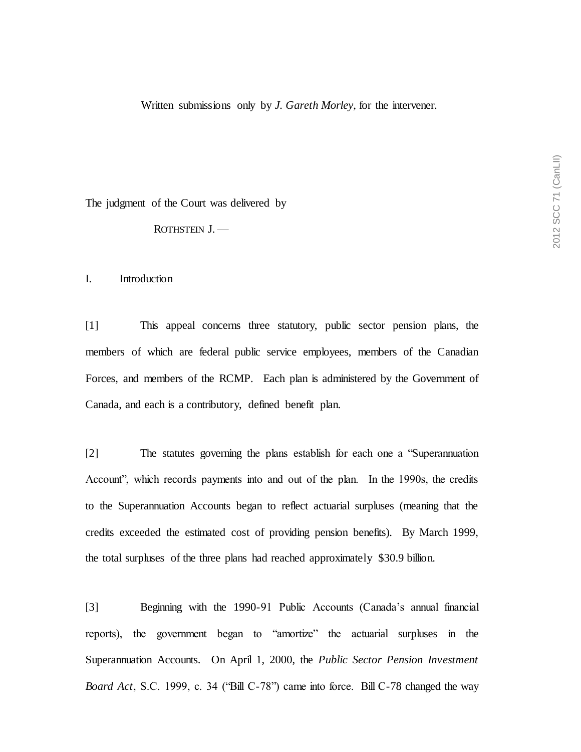Written submissions only by *J. Gareth Morley*, for the intervener.

The judgment of the Court was delivered by

ROTHSTEIN J. —

### I. Introduction

[1] This appeal concerns three statutory, public sector pension plans, the members of which are federal public service employees, members of the Canadian Forces, and members of the RCMP. Each plan is administered by the Government of Canada, and each is a contributory, defined benefit plan.

[2] The statutes governing the plans establish for each one a "Superannuation Account", which records payments into and out of the plan. In the 1990s, the credits to the Superannuation Accounts began to reflect actuarial surpluses (meaning that the credits exceeded the estimated cost of providing pension benefits). By March 1999, the total surpluses of the three plans had reached approximately \$30.9 billion.

[3] Beginning with the 1990-91 Public Accounts (Canada's annual financial reports), the government began to "amortize" the actuarial surpluses in the Superannuation Accounts. On April 1, 2000, the *Public Sector Pension Investment Board Act*, S.C. 1999, c. 34 ("Bill C-78") came into force. Bill C-78 changed the way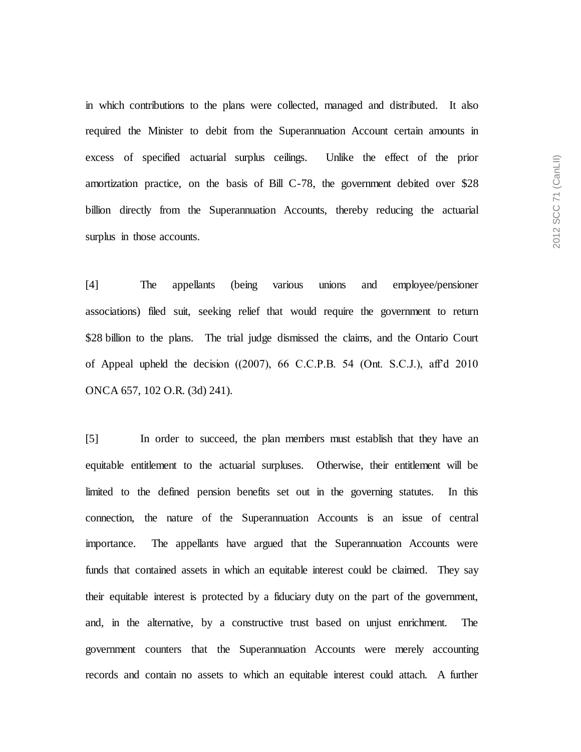in which contributions to the plans were collected, managed and distributed. It also required the Minister to debit from the Superannuation Account certain amounts in excess of specified actuarial surplus ceilings. Unlike the effect of the prior amortization practice, on the basis of Bill C-78, the government debited over \$28 billion directly from the Superannuation Accounts, thereby reducing the actuarial surplus in those accounts.

[4] The appellants (being various unions and employee/pensioner associations) filed suit, seeking relief that would require the government to return \$28 billion to the plans. The trial judge dismissed the claims, and the Ontario Court of Appeal upheld the decision ((2007), 66 C.C.P.B. 54 (Ont. S.C.J.), aff'd 2010 ONCA 657, 102 O.R. (3d) 241).

[5] In order to succeed, the plan members must establish that they have an equitable entitlement to the actuarial surpluses. Otherwise, their entitlement will be limited to the defined pension benefits set out in the governing statutes. In this connection, the nature of the Superannuation Accounts is an issue of central importance. The appellants have argued that the Superannuation Accounts were funds that contained assets in which an equitable interest could be claimed. They say their equitable interest is protected by a fiduciary duty on the part of the government, and, in the alternative, by a constructive trust based on unjust enrichment. The government counters that the Superannuation Accounts were merely accounting records and contain no assets to which an equitable interest could attach. A further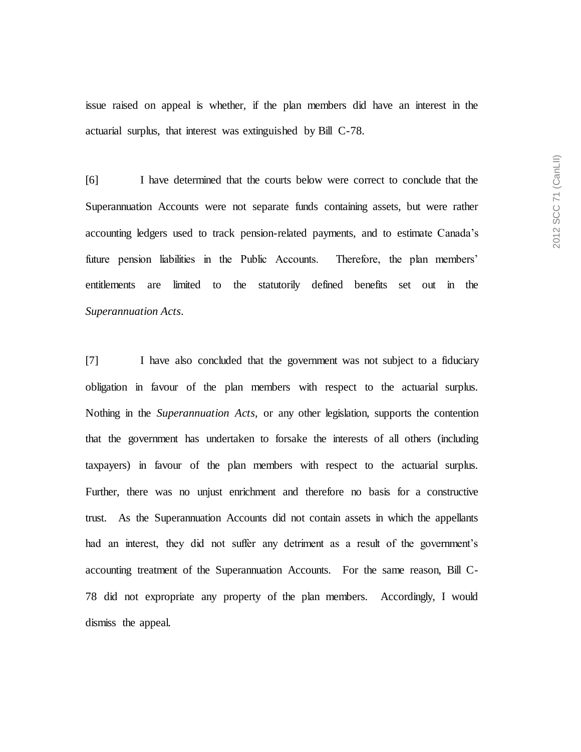issue raised on appeal is whether, if the plan members did have an interest in the actuarial surplus, that interest was extinguished by Bill C-78.

[6] I have determined that the courts below were correct to conclude that the Superannuation Accounts were not separate funds containing assets, but were rather accounting ledgers used to track pension-related payments, and to estimate Canada's future pension liabilities in the Public Accounts. Therefore, the plan members' entitlements are limited to the statutorily defined benefits set out in the *Superannuation Acts*.

[7] I have also concluded that the government was not subject to a fiduciary obligation in favour of the plan members with respect to the actuarial surplus. Nothing in the *Superannuation Acts*, or any other legislation, supports the contention that the government has undertaken to forsake the interests of all others (including taxpayers) in favour of the plan members with respect to the actuarial surplus. Further, there was no unjust enrichment and therefore no basis for a constructive trust. As the Superannuation Accounts did not contain assets in which the appellants had an interest, they did not suffer any detriment as a result of the government's accounting treatment of the Superannuation Accounts. For the same reason, Bill C-78 did not expropriate any property of the plan members. Accordingly, I would dismiss the appeal.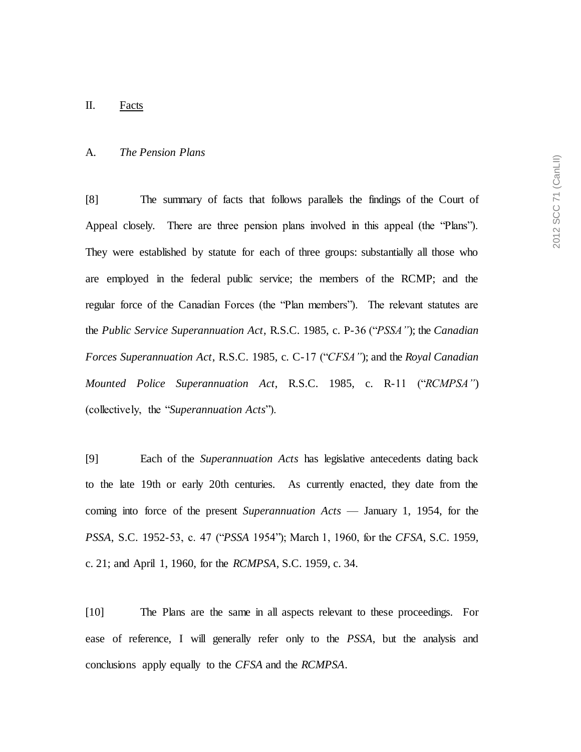#### A. *The Pension Plans*

[8] The summary of facts that follows parallels the findings of the Court of Appeal closely. There are three pension plans involved in this appeal (the "Plans"). They were established by statute for each of three groups: substantially all those who are employed in the federal public service; the members of the RCMP; and the regular force of the Canadian Forces (the "Plan members"). The relevant statutes are the *Public Service Superannuation Act*, R.S.C. 1985, c. P-36 ("*PSSA"*); the *Canadian Forces Superannuation Act*, R.S.C. 1985, c. C-17 ("*CFSA"*); and the *Royal Canadian Mounted Police Superannuation Act*, R.S.C. 1985, c. R-11 ("*RCMPSA"*) (collectively, the "*Superannuation Acts*").

[9] Each of the *Superannuation Acts* has legislative antecedents dating back to the late 19th or early 20th centuries. As currently enacted, they date from the coming into force of the present *Superannuation Acts* — January 1, 1954, for the *PSSA*, S.C. 1952-53, c. 47 ("*PSSA* 1954"); March 1, 1960, for the *CFSA*, S.C. 1959, c. 21; and April 1, 1960, for the *RCMPSA*, S.C. 1959, c. 34.

[10] The Plans are the same in all aspects relevant to these proceedings. For ease of reference, I will generally refer only to the *PSSA*, but the analysis and conclusions apply equally to the *CFSA* and the *RCMPSA*.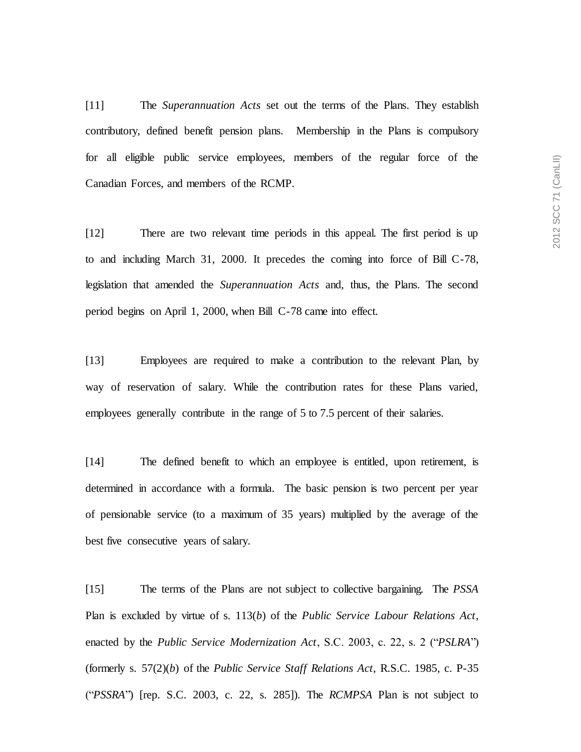[11] The *Superannuation Acts* set out the terms of the Plans. They establish contributory, defined benefit pension plans. Membership in the Plans is compulsory for all eligible public service employees, members of the regular force of the Canadian Forces, and members of the RCMP.

[12] There are two relevant time periods in this appeal. The first period is up to and including March 31, 2000. It precedes the coming into force of Bill C-78, legislation that amended the *Superannuation Acts* and, thus, the Plans. The second period begins on April 1, 2000, when Bill C-78 came into effect.

[13] Employees are required to make a contribution to the relevant Plan, by way of reservation of salary. While the contribution rates for these Plans varied, employees generally contribute in the range of 5 to 7.5 percent of their salaries.

[14] The defined benefit to which an employee is entitled, upon retirement, is determined in accordance with a formula. The basic pension is two percent per year of pensionable service (to a maximum of 35 years) multiplied by the average of the best five consecutive years of salary.

[15] The terms of the Plans are not subject to collective bargaining. The *PSSA* Plan is excluded by virtue of s. 113(*b*) of the *Public Service Labour Relations Act*, enacted by the *Public Service Modernization Act*, S.C. 2003, c. 22, s. 2 ("*PSLRA*") (formerly s. 57(2)(*b*) of the *Public Service Staff Relations Act*, R.S.C. 1985, c. P-35 ("*PSSRA*") [rep. S.C. 2003, c. 22, s. 285]). The *RCMPSA* Plan is not subject to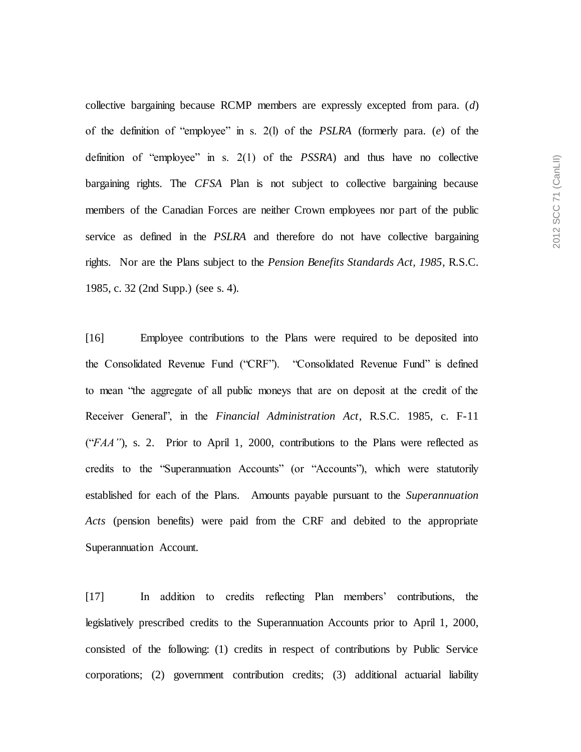collective bargaining because RCMP members are expressly excepted from para. (*d*) of the definition of "employee" in s. 2(l) of the *PSLRA* (formerly para. (*e*) of the definition of "employee" in s. 2(1) of the *PSSRA*) and thus have no collective bargaining rights. The *CFSA* Plan is not subject to collective bargaining because members of the Canadian Forces are neither Crown employees nor part of the public service as defined in the *PSLRA* and therefore do not have collective bargaining rights. Nor are the Plans subject to the *Pension Benefits Standards Act, 1985*, R.S.C. 1985, c. 32 (2nd Supp.) (see s. 4).

[16] Employee contributions to the Plans were required to be deposited into the Consolidated Revenue Fund ("CRF"). "Consolidated Revenue Fund" is defined to mean "the aggregate of all public moneys that are on deposit at the credit of the Receiver General", in the *Financial Administration Act*, R.S.C. 1985, c. F-11 ("*FAA"*), s. 2. Prior to April 1, 2000, contributions to the Plans were reflected as credits to the "Superannuation Accounts" (or "Accounts"), which were statutorily established for each of the Plans. Amounts payable pursuant to the *Superannuation Acts* (pension benefits) were paid from the CRF and debited to the appropriate Superannuation Account.

[17] In addition to credits reflecting Plan members' contributions, the legislatively prescribed credits to the Superannuation Accounts prior to April 1, 2000, consisted of the following: (1) credits in respect of contributions by Public Service corporations; (2) government contribution credits; (3) additional actuarial liability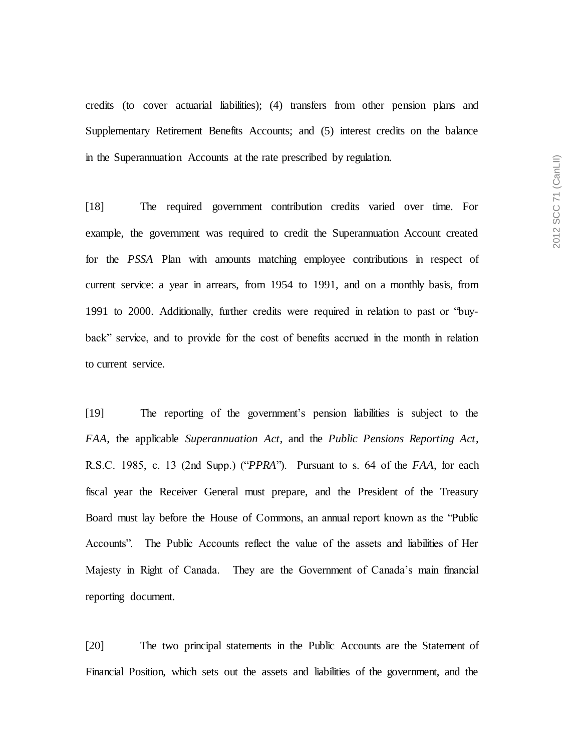credits (to cover actuarial liabilities); (4) transfers from other pension plans and Supplementary Retirement Benefits Accounts; and (5) interest credits on the balance in the Superannuation Accounts at the rate prescribed by regulation.

[18] The required government contribution credits varied over time. For example, the government was required to credit the Superannuation Account created for the *PSSA* Plan with amounts matching employee contributions in respect of current service: a year in arrears, from 1954 to 1991, and on a monthly basis, from 1991 to 2000. Additionally, further credits were required in relation to past or "buyback" service, and to provide for the cost of benefits accrued in the month in relation to current service.

[19] The reporting of the government's pension liabilities is subject to the *FAA*, the applicable *Superannuation Act*, and the *Public Pensions Reporting Act*, R.S.C. 1985, c. 13 (2nd Supp.) ("*PPRA*"). Pursuant to s. 64 of the *FAA*, for each fiscal year the Receiver General must prepare, and the President of the Treasury Board must lay before the House of Commons, an annual report known as the "Public Accounts". The Public Accounts reflect the value of the assets and liabilities of Her Majesty in Right of Canada. They are the Government of Canada's main financial reporting document.

[20] The two principal statements in the Public Accounts are the Statement of Financial Position, which sets out the assets and liabilities of the government, and the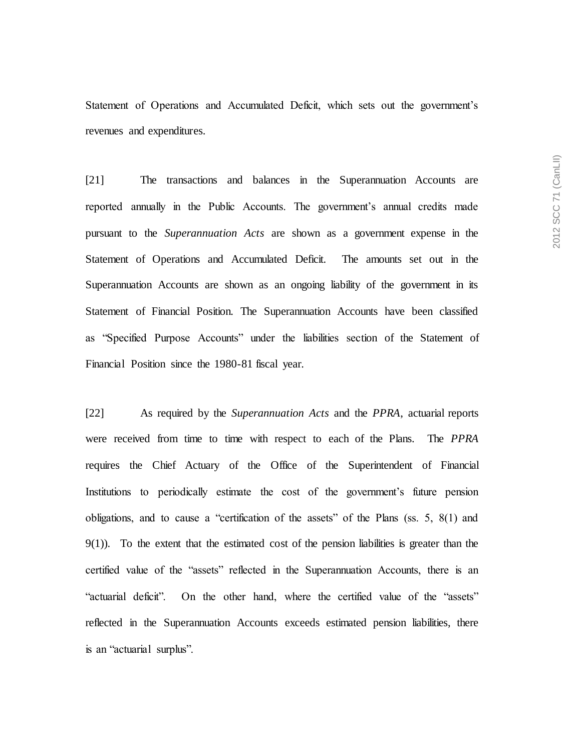Statement of Operations and Accumulated Deficit, which sets out the government's revenues and expenditures.

[21] The transactions and balances in the Superannuation Accounts are reported annually in the Public Accounts. The government's annual credits made pursuant to the *Superannuation Acts* are shown as a government expense in the Statement of Operations and Accumulated Deficit. The amounts set out in the Superannuation Accounts are shown as an ongoing liability of the government in its Statement of Financial Position. The Superannuation Accounts have been classified as "Specified Purpose Accounts" under the liabilities section of the Statement of Financial Position since the 1980-81 fiscal year.

[22] As required by the *Superannuation Acts* and the *PPRA*, actuarial reports were received from time to time with respect to each of the Plans. The *PPRA*  requires the Chief Actuary of the Office of the Superintendent of Financial Institutions to periodically estimate the cost of the government's future pension obligations, and to cause a "certification of the assets" of the Plans (ss. 5, 8(1) and 9(1)). To the extent that the estimated cost of the pension liabilities is greater than the certified value of the "assets" reflected in the Superannuation Accounts, there is an "actuarial deficit". On the other hand, where the certified value of the "assets" reflected in the Superannuation Accounts exceeds estimated pension liabilities, there is an "actuarial surplus".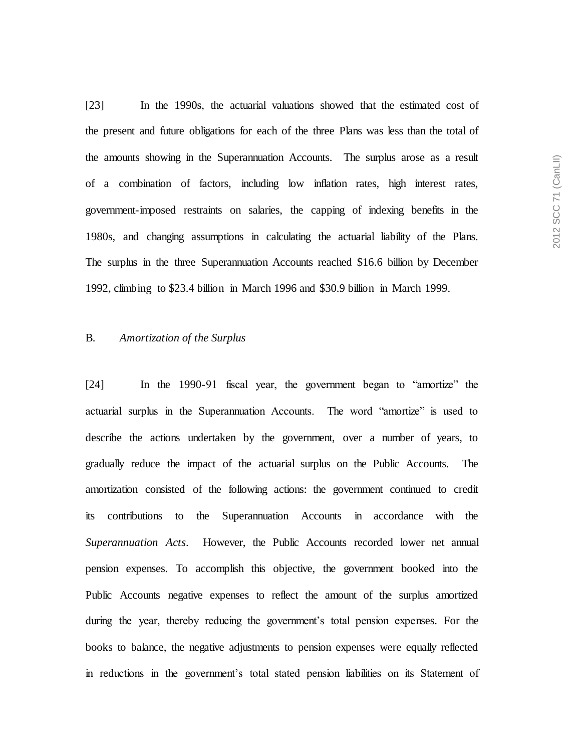[23] In the 1990s, the actuarial valuations showed that the estimated cost of the present and future obligations for each of the three Plans was less than the total of the amounts showing in the Superannuation Accounts. The surplus arose as a result of a combination of factors, including low inflation rates, high interest rates, government-imposed restraints on salaries, the capping of indexing benefits in the 1980s, and changing assumptions in calculating the actuarial liability of the Plans. The surplus in the three Superannuation Accounts reached \$16.6 billion by December 1992, climbing to \$23.4 billion in March 1996 and \$30.9 billion in March 1999.

### B. *Amortization of the Surplus*

[24] In the 1990-91 fiscal year, the government began to "amortize" the actuarial surplus in the Superannuation Accounts. The word "amortize" is used to describe the actions undertaken by the government, over a number of years, to gradually reduce the impact of the actuarial surplus on the Public Accounts. The amortization consisted of the following actions: the government continued to credit its contributions to the Superannuation Accounts in accordance with the *Superannuation Acts*. However, the Public Accounts recorded lower net annual pension expenses. To accomplish this objective, the government booked into the Public Accounts negative expenses to reflect the amount of the surplus amortized during the year, thereby reducing the government's total pension expenses. For the books to balance, the negative adjustments to pension expenses were equally reflected in reductions in the government's total stated pension liabilities on its Statement of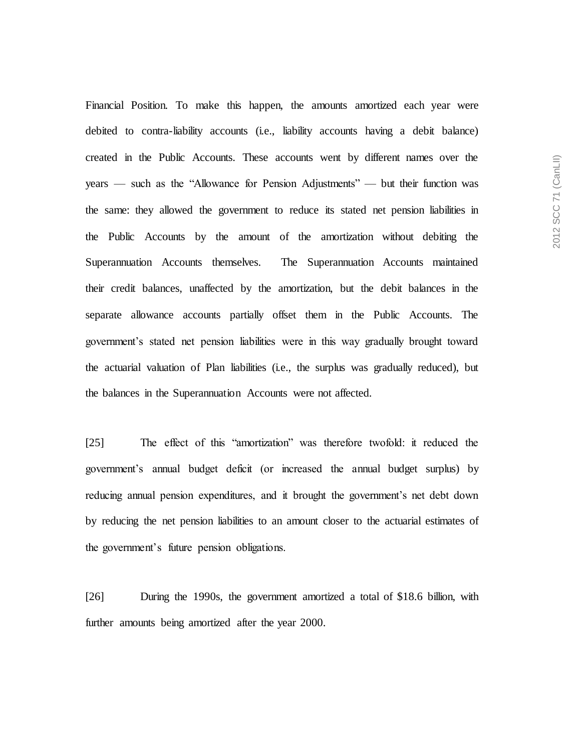Financial Position. To make this happen, the amounts amortized each year were debited to contra-liability accounts (i.e., liability accounts having a debit balance) created in the Public Accounts. These accounts went by different names over the years — such as the "Allowance for Pension Adjustments" — but their function was the same: they allowed the government to reduce its stated net pension liabilities in the Public Accounts by the amount of the amortization without debiting the Superannuation Accounts themselves. The Superannuation Accounts maintained their credit balances, unaffected by the amortization, but the debit balances in the separate allowance accounts partially offset them in the Public Accounts. The government's stated net pension liabilities were in this way gradually brought toward the actuarial valuation of Plan liabilities (i.e., the surplus was gradually reduced), but the balances in the Superannuation Accounts were not affected.

[25] The effect of this "amortization" was therefore twofold: it reduced the government's annual budget deficit (or increased the annual budget surplus) by reducing annual pension expenditures, and it brought the government's net debt down by reducing the net pension liabilities to an amount closer to the actuarial estimates of the government's future pension obligations.

[26] During the 1990s, the government amortized a total of \$18.6 billion, with further amounts being amortized after the year 2000.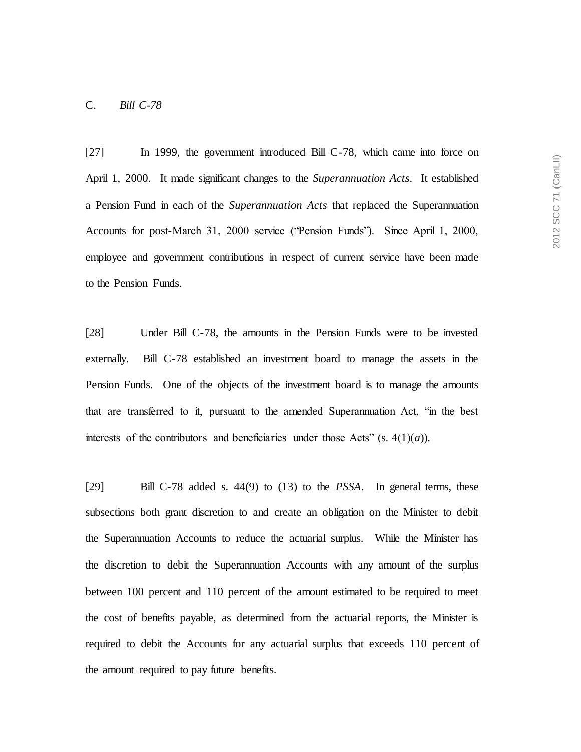### C. *Bill C-78*

[27] In 1999, the government introduced Bill C-78, which came into force on April 1, 2000. It made significant changes to the *Superannuation Acts*. It established a Pension Fund in each of the *Superannuation Acts* that replaced the Superannuation Accounts for post-March 31, 2000 service ("Pension Funds"). Since April 1, 2000, employee and government contributions in respect of current service have been made to the Pension Funds.

[28] Under Bill C-78, the amounts in the Pension Funds were to be invested externally. Bill C-78 established an investment board to manage the assets in the Pension Funds. One of the objects of the investment board is to manage the amounts that are transferred to it, pursuant to the amended Superannuation Act, "in the best interests of the contributors and beneficiaries under those Acts" (s.  $4(1)(a)$ ).

[29] Bill C-78 added s. 44(9) to (13) to the *PSSA*. In general terms, these subsections both grant discretion to and create an obligation on the Minister to debit the Superannuation Accounts to reduce the actuarial surplus. While the Minister has the discretion to debit the Superannuation Accounts with any amount of the surplus between 100 percent and 110 percent of the amount estimated to be required to meet the cost of benefits payable, as determined from the actuarial reports, the Minister is required to debit the Accounts for any actuarial surplus that exceeds 110 percent of the amount required to pay future benefits.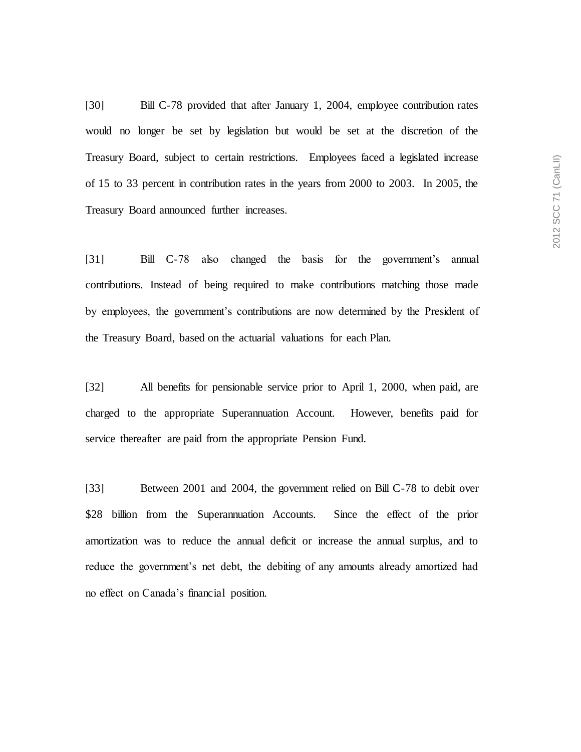[30] Bill C-78 provided that after January 1, 2004, employee contribution rates would no longer be set by legislation but would be set at the discretion of the Treasury Board, subject to certain restrictions. Employees faced a legislated increase of 15 to 33 percent in contribution rates in the years from 2000 to 2003. In 2005, the Treasury Board announced further increases.

[31] Bill C-78 also changed the basis for the government's annual contributions. Instead of being required to make contributions matching those made by employees, the government's contributions are now determined by the President of the Treasury Board, based on the actuarial valuations for each Plan.

[32] All benefits for pensionable service prior to April 1, 2000, when paid, are charged to the appropriate Superannuation Account. However, benefits paid for service thereafter are paid from the appropriate Pension Fund.

[33] Between 2001 and 2004, the government relied on Bill C-78 to debit over \$28 billion from the Superannuation Accounts. Since the effect of the prior amortization was to reduce the annual deficit or increase the annual surplus, and to reduce the government's net debt, the debiting of any amounts already amortized had no effect on Canada's financial position.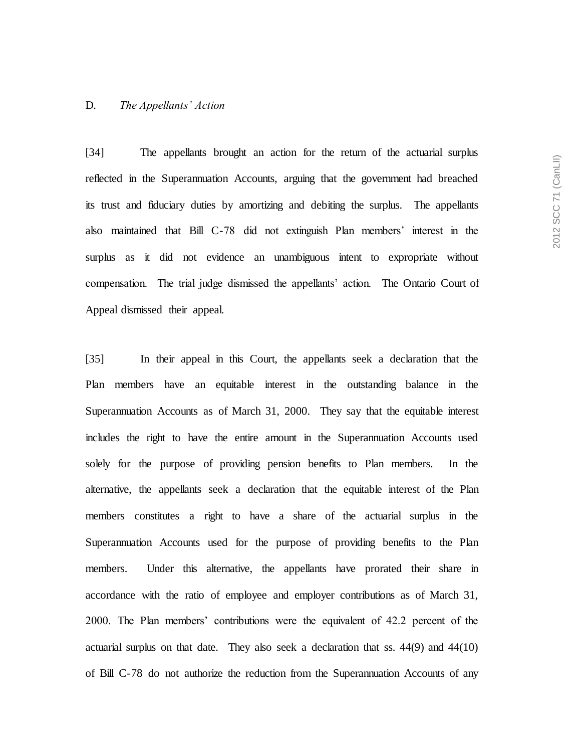#### D. *The Appellants' Action*

[34] The appellants brought an action for the return of the actuarial surplus reflected in the Superannuation Accounts, arguing that the government had breached its trust and fiduciary duties by amortizing and debiting the surplus. The appellants also maintained that Bill C-78 did not extinguish Plan members' interest in the surplus as it did not evidence an unambiguous intent to expropriate without compensation. The trial judge dismissed the appellants' action. The Ontario Court of Appeal dismissed their appeal.

[35] In their appeal in this Court, the appellants seek a declaration that the Plan members have an equitable interest in the outstanding balance in the Superannuation Accounts as of March 31, 2000. They say that the equitable interest includes the right to have the entire amount in the Superannuation Accounts used solely for the purpose of providing pension benefits to Plan members. In the alternative, the appellants seek a declaration that the equitable interest of the Plan members constitutes a right to have a share of the actuarial surplus in the Superannuation Accounts used for the purpose of providing benefits to the Plan members. Under this alternative, the appellants have prorated their share in accordance with the ratio of employee and employer contributions as of March 31, 2000. The Plan members' contributions were the equivalent of 42.2 percent of the actuarial surplus on that date. They also seek a declaration that ss. 44(9) and 44(10) of Bill C-78 do not authorize the reduction from the Superannuation Accounts of any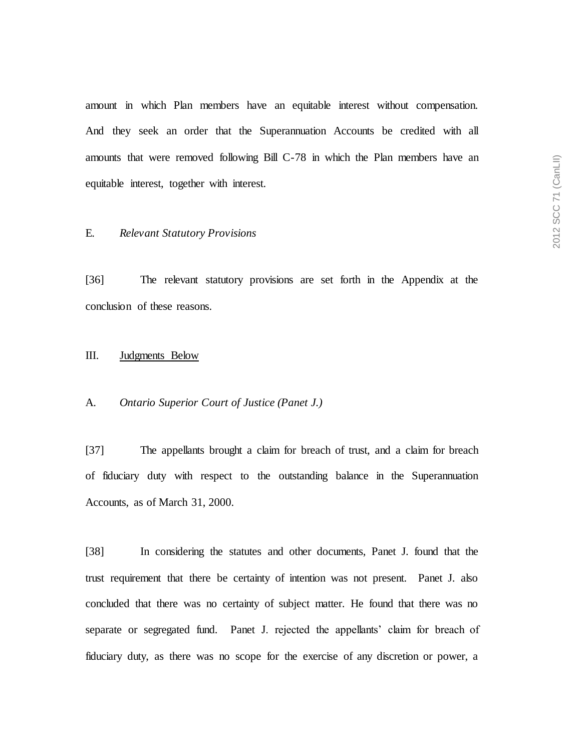amount in which Plan members have an equitable interest without compensation. And they seek an order that the Superannuation Accounts be credited with all amounts that were removed following Bill C-78 in which the Plan members have an equitable interest, together with interest.

### E. *Relevant Statutory Provisions*

[36] The relevant statutory provisions are set forth in the Appendix at the conclusion of these reasons.

## III. Judgments Below

### A. *Ontario Superior Court of Justice (Panet J.)*

[37] The appellants brought a claim for breach of trust, and a claim for breach of fiduciary duty with respect to the outstanding balance in the Superannuation Accounts, as of March 31, 2000.

[38] In considering the statutes and other documents, Panet J. found that the trust requirement that there be certainty of intention was not present. Panet J. also concluded that there was no certainty of subject matter. He found that there was no separate or segregated fund. Panet J. rejected the appellants' claim for breach of fiduciary duty, as there was no scope for the exercise of any discretion or power, a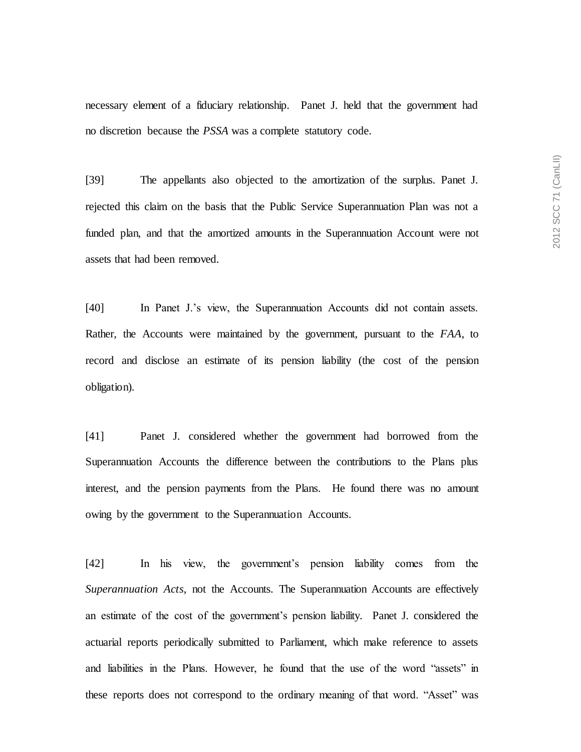necessary element of a fiduciary relationship. Panet J. held that the government had no discretion because the *PSSA* was a complete statutory code.

[39] The appellants also objected to the amortization of the surplus. Panet J. rejected this claim on the basis that the Public Service Superannuation Plan was not a funded plan, and that the amortized amounts in the Superannuation Account were not assets that had been removed.

[40] In Panet J.'s view, the Superannuation Accounts did not contain assets. Rather, the Accounts were maintained by the government, pursuant to the *FAA*, to record and disclose an estimate of its pension liability (the cost of the pension obligation).

[41] Panet J. considered whether the government had borrowed from the Superannuation Accounts the difference between the contributions to the Plans plus interest, and the pension payments from the Plans. He found there was no amount owing by the government to the Superannuation Accounts.

[42] In his view, the government's pension liability comes from the *Superannuation Acts*, not the Accounts. The Superannuation Accounts are effectively an estimate of the cost of the government's pension liability. Panet J. considered the actuarial reports periodically submitted to Parliament, which make reference to assets and liabilities in the Plans. However, he found that the use of the word "assets" in these reports does not correspond to the ordinary meaning of that word. "Asset" was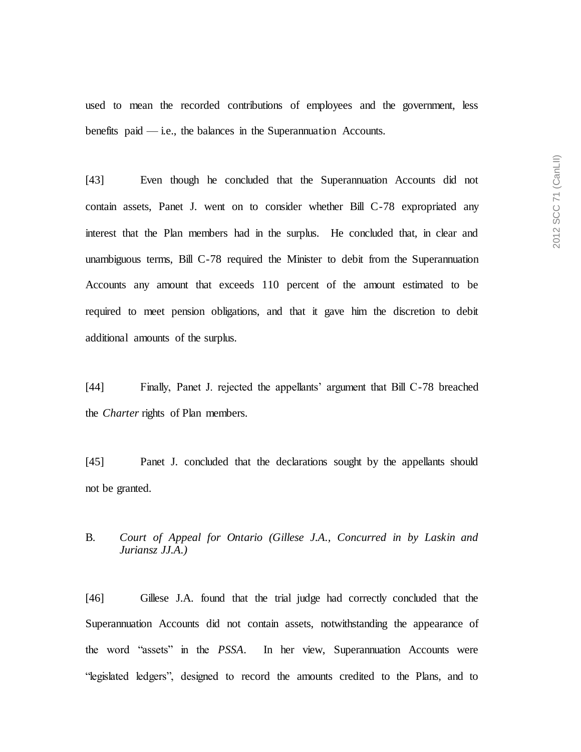used to mean the recorded contributions of employees and the government, less benefits paid  $-$  i.e., the balances in the Superannuation Accounts.

[43] Even though he concluded that the Superannuation Accounts did not contain assets, Panet J. went on to consider whether Bill C-78 expropriated any interest that the Plan members had in the surplus. He concluded that, in clear and unambiguous terms, Bill C-78 required the Minister to debit from the Superannuation Accounts any amount that exceeds 110 percent of the amount estimated to be required to meet pension obligations, and that it gave him the discretion to debit additional amounts of the surplus.

[44] Finally, Panet J. rejected the appellants' argument that Bill C-78 breached the *Charter* rights of Plan members.

[45] Panet J. concluded that the declarations sought by the appellants should not be granted.

# B. *Court of Appeal for Ontario (Gillese J.A., Concurred in by Laskin and Juriansz JJ.A.)*

[46] Gillese J.A. found that the trial judge had correctly concluded that the Superannuation Accounts did not contain assets, notwithstanding the appearance of the word "assets" in the *PSSA*. In her view, Superannuation Accounts were "legislated ledgers", designed to record the amounts credited to the Plans, and to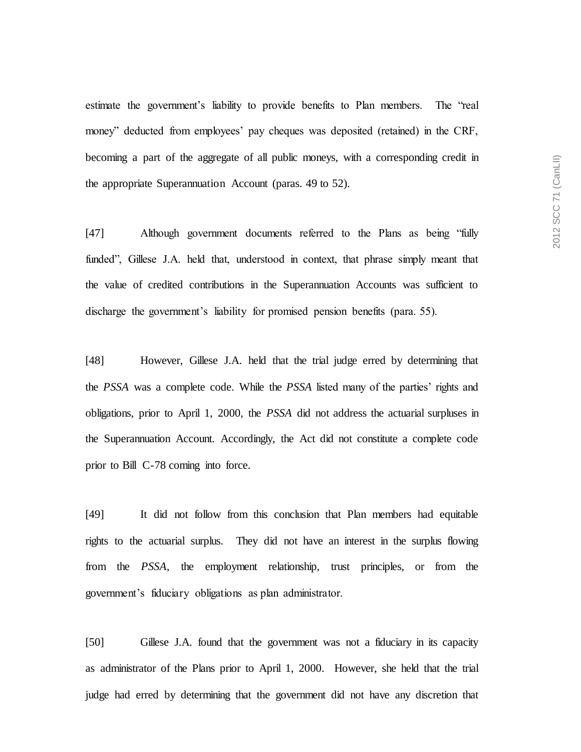estimate the government's liability to provide benefits to Plan members. The "real money" deducted from employees' pay cheques was deposited (retained) in the CRF, becoming a part of the aggregate of all public moneys, with a corresponding credit in the appropriate Superannuation Account (paras. 49 to 52).

[47] Although government documents referred to the Plans as being "fully funded", Gillese J.A. held that, understood in context, that phrase simply meant that the value of credited contributions in the Superannuation Accounts was sufficient to discharge the government's liability for promised pension benefits (para. 55).

[48] However, Gillese J.A. held that the trial judge erred by determining that the *PSSA* was a complete code. While the *PSSA* listed many of the parties' rights and obligations, prior to April 1, 2000, the *PSSA* did not address the actuarial surpluses in the Superannuation Account. Accordingly, the Act did not constitute a complete code prior to Bill C-78 coming into force.

[49] It did not follow from this conclusion that Plan members had equitable rights to the actuarial surplus. They did not have an interest in the surplus flowing from the *PSSA*, the employment relationship, trust principles, or from the government's fiduciary obligations as plan administrator.

[50] Gillese J.A. found that the government was not a fiduciary in its capacity as administrator of the Plans prior to April 1, 2000. However, she held that the trial judge had erred by determining that the government did not have any discretion that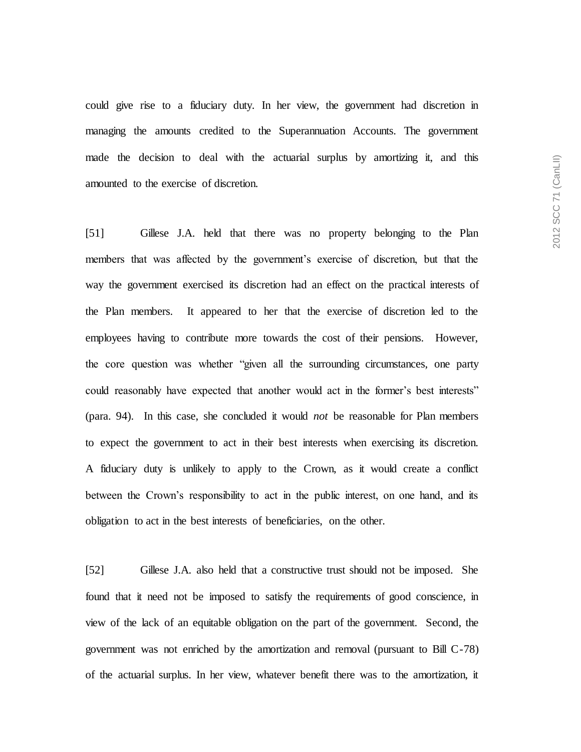could give rise to a fiduciary duty. In her view, the government had discretion in managing the amounts credited to the Superannuation Accounts. The government made the decision to deal with the actuarial surplus by amortizing it, and this amounted to the exercise of discretion.

[51] Gillese J.A. held that there was no property belonging to the Plan members that was affected by the government's exercise of discretion, but that the way the government exercised its discretion had an effect on the practical interests of the Plan members. It appeared to her that the exercise of discretion led to the employees having to contribute more towards the cost of their pensions. However, the core question was whether "given all the surrounding circumstances, one party could reasonably have expected that another would act in the former's best interests" (para. 94). In this case, she concluded it would *not* be reasonable for Plan members to expect the government to act in their best interests when exercising its discretion. A fiduciary duty is unlikely to apply to the Crown, as it would create a conflict between the Crown's responsibility to act in the public interest, on one hand, and its obligation to act in the best interests of beneficiaries, on the other.

[52] Gillese J.A. also held that a constructive trust should not be imposed. She found that it need not be imposed to satisfy the requirements of good conscience, in view of the lack of an equitable obligation on the part of the government. Second, the government was not enriched by the amortization and removal (pursuant to Bill C-78) of the actuarial surplus. In her view, whatever benefit there was to the amortization, it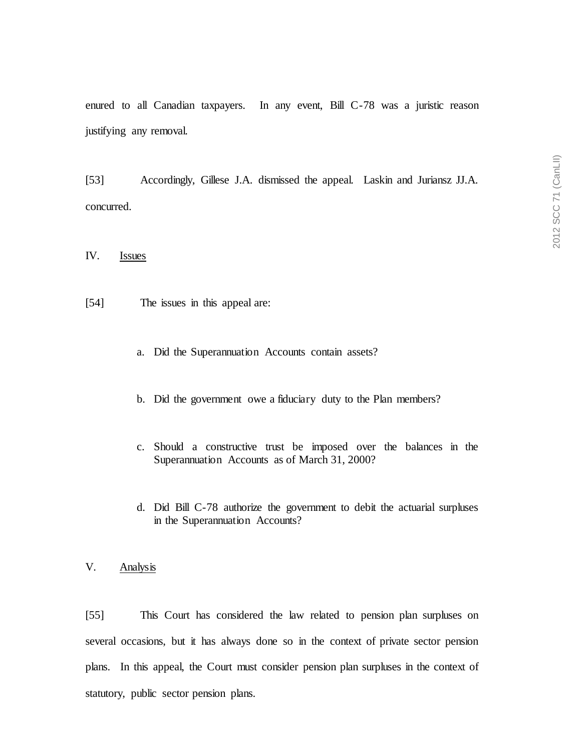enured to all Canadian taxpayers. In any event, Bill C-78 was a juristic reason justifying any removal.

[53] Accordingly, Gillese J.A. dismissed the appeal. Laskin and Juriansz JJ.A. concurred.

IV. Issues

- [54] The issues in this appeal are:
	- a. Did the Superannuation Accounts contain assets?
	- b. Did the government owe a fiduciary duty to the Plan members?
	- c. Should a constructive trust be imposed over the balances in the Superannuation Accounts as of March 31, 2000?
	- d. Did Bill C-78 authorize the government to debit the actuarial surpluses in the Superannuation Accounts?
- V. Analysis

[55] This Court has considered the law related to pension plan surpluses on several occasions, but it has always done so in the context of private sector pension plans. In this appeal, the Court must consider pension plan surpluses in the context of statutory, public sector pension plans.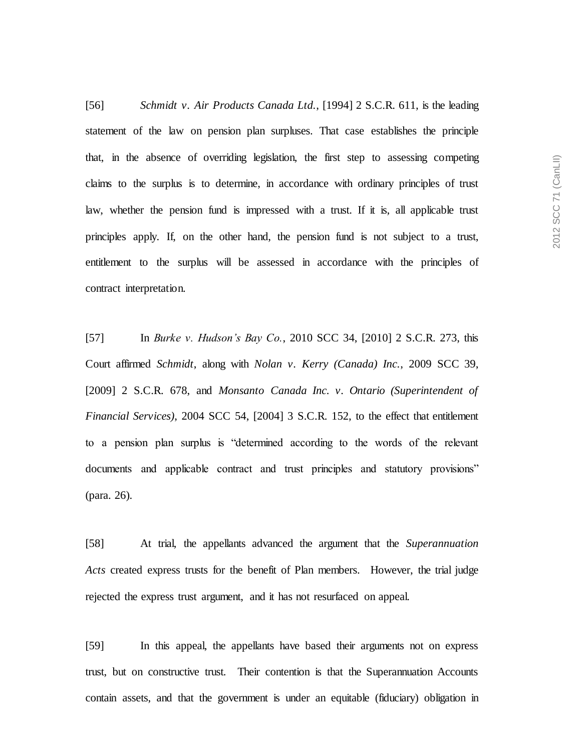[56] *Schmidt v. Air Products Canada Ltd.*, [1994] 2 S.C.R. 611, is the leading statement of the law on pension plan surpluses. That case establishes the principle that, in the absence of overriding legislation, the first step to assessing competing claims to the surplus is to determine, in accordance with ordinary principles of trust law, whether the pension fund is impressed with a trust. If it is, all applicable trust principles apply. If, on the other hand, the pension fund is not subject to a trust, entitlement to the surplus will be assessed in accordance with the principles of contract interpretation.

[57] In *Burke v. Hudson's Bay Co.*, 2010 SCC 34, [2010] 2 S.C.R. 273, this Court affirmed *Schmidt*, along with *Nolan v. Kerry (Canada) Inc.*, 2009 SCC 39, [2009] 2 S.C.R. 678, and *Monsanto Canada Inc. v. Ontario (Superintendent of Financial Services)*, 2004 SCC 54, [2004] 3 S.C.R. 152, to the effect that entitlement to a pension plan surplus is "determined according to the words of the relevant documents and applicable contract and trust principles and statutory provisions" (para. 26).

[58] At trial, the appellants advanced the argument that the *Superannuation Acts* created express trusts for the benefit of Plan members. However, the trial judge rejected the express trust argument, and it has not resurfaced on appeal.

[59] In this appeal, the appellants have based their arguments not on express trust, but on constructive trust. Their contention is that the Superannuation Accounts contain assets, and that the government is under an equitable (fiduciary) obligation in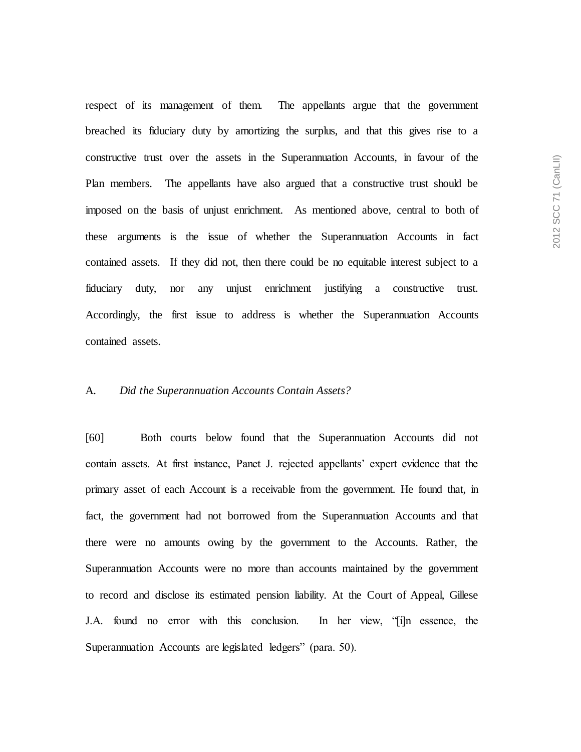respect of its management of them. The appellants argue that the government breached its fiduciary duty by amortizing the surplus, and that this gives rise to a constructive trust over the assets in the Superannuation Accounts, in favour of the Plan members. The appellants have also argued that a constructive trust should be imposed on the basis of unjust enrichment. As mentioned above, central to both of these arguments is the issue of whether the Superannuation Accounts in fact contained assets. If they did not, then there could be no equitable interest subject to a fiduciary duty, nor any unjust enrichment justifying a constructive trust. Accordingly, the first issue to address is whether the Superannuation Accounts contained assets.

#### A. *Did the Superannuation Accounts Contain Assets?*

[60] Both courts below found that the Superannuation Accounts did not contain assets. At first instance, Panet J. rejected appellants' expert evidence that the primary asset of each Account is a receivable from the government. He found that, in fact, the government had not borrowed from the Superannuation Accounts and that there were no amounts owing by the government to the Accounts. Rather, the Superannuation Accounts were no more than accounts maintained by the government to record and disclose its estimated pension liability. At the Court of Appeal, Gillese J.A. found no error with this conclusion. In her view, "[i]n essence, the Superannuation Accounts are legislated ledgers" (para. 50).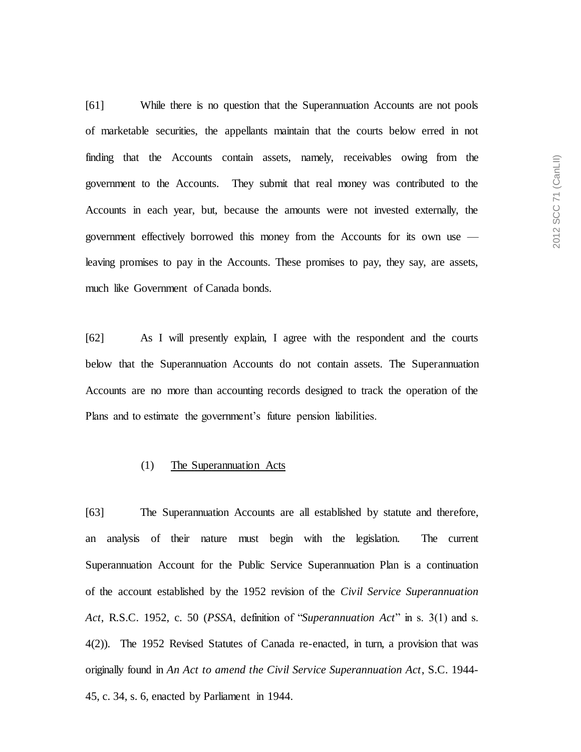[61] While there is no question that the Superannuation Accounts are not pools of marketable securities, the appellants maintain that the courts below erred in not finding that the Accounts contain assets, namely, receivables owing from the government to the Accounts. They submit that real money was contributed to the Accounts in each year, but, because the amounts were not invested externally, the government effectively borrowed this money from the Accounts for its own use leaving promises to pay in the Accounts. These promises to pay, they say, are assets, much like Government of Canada bonds.

[62] As I will presently explain, I agree with the respondent and the courts below that the Superannuation Accounts do not contain assets. The Superannuation Accounts are no more than accounting records designed to track the operation of the Plans and to estimate the government's future pension liabilities.

## (1) The Superannuation Acts

[63] The Superannuation Accounts are all established by statute and therefore, an analysis of their nature must begin with the legislation. The current Superannuation Account for the Public Service Superannuation Plan is a continuation of the account established by the 1952 revision of the *Civil Service Superannuation Act*, R.S.C. 1952, c. 50 (*PSSA*, definition of "*Superannuation Act*" in s. 3(1) and s. 4(2)). The 1952 Revised Statutes of Canada re-enacted, in turn, a provision that was originally found in *An Act to amend the Civil Service Superannuation Act*, S.C. 1944- 45, c. 34, s. 6, enacted by Parliament in 1944.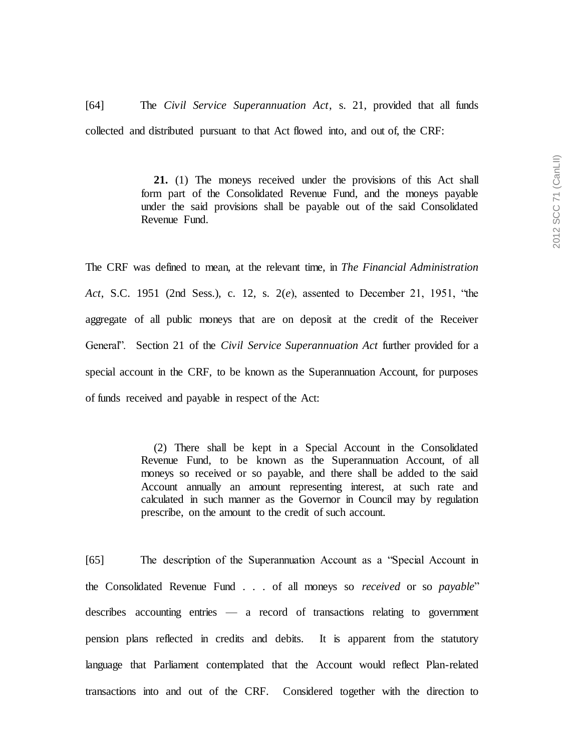[64] The *Civil Service Superannuation Act*, s. 21, provided that all funds collected and distributed pursuant to that Act flowed into, and out of, the CRF:

> **21.** (1) The moneys received under the provisions of this Act shall form part of the Consolidated Revenue Fund, and the moneys payable under the said provisions shall be payable out of the said Consolidated Revenue Fund.

The CRF was defined to mean, at the relevant time, in *The Financial Administration Act*, S.C. 1951 (2nd Sess.), c. 12, s. 2(*e*), assented to December 21, 1951, "the aggregate of all public moneys that are on deposit at the credit of the Receiver General". Section 21 of the *Civil Service Superannuation Act* further provided for a special account in the CRF, to be known as the Superannuation Account, for purposes of funds received and payable in respect of the Act:

> (2) There shall be kept in a Special Account in the Consolidated Revenue Fund, to be known as the Superannuation Account, of all moneys so received or so payable, and there shall be added to the said Account annually an amount representing interest, at such rate and calculated in such manner as the Governor in Council may by regulation prescribe, on the amount to the credit of such account.

[65] The description of the Superannuation Account as a "Special Account in the Consolidated Revenue Fund . . . of all moneys so *received* or so *payable*" describes accounting entries — a record of transactions relating to government pension plans reflected in credits and debits. It is apparent from the statutory language that Parliament contemplated that the Account would reflect Plan-related transactions into and out of the CRF. Considered together with the direction to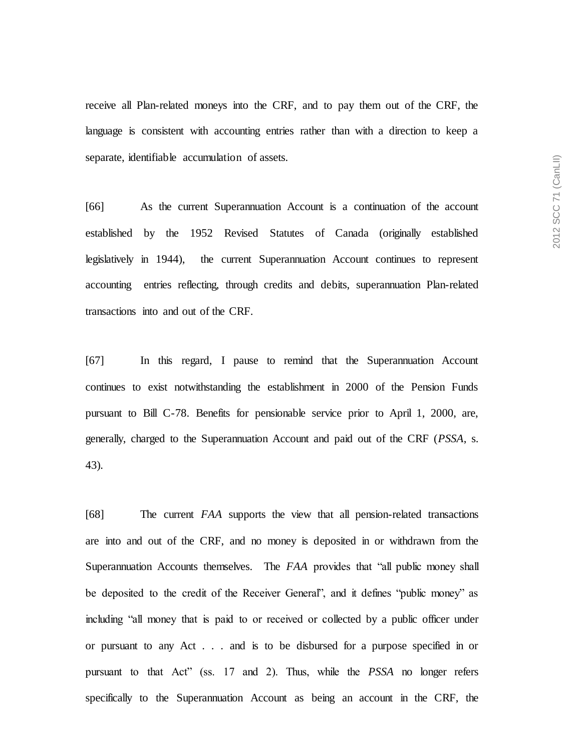receive all Plan-related moneys into the CRF, and to pay them out of the CRF, the language is consistent with accounting entries rather than with a direction to keep a separate, identifiable accumulation of assets.

[66] As the current Superannuation Account is a continuation of the account established by the 1952 Revised Statutes of Canada (originally established legislatively in 1944), the current Superannuation Account continues to represent accounting entries reflecting, through credits and debits, superannuation Plan-related transactions into and out of the CRF.

[67] In this regard, I pause to remind that the Superannuation Account continues to exist notwithstanding the establishment in 2000 of the Pension Funds pursuant to Bill C-78. Benefits for pensionable service prior to April 1, 2000, are, generally, charged to the Superannuation Account and paid out of the CRF (*PSSA*, s. 43).

[68] The current *FAA* supports the view that all pension-related transactions are into and out of the CRF, and no money is deposited in or withdrawn from the Superannuation Accounts themselves. The *FAA* provides that "all public money shall be deposited to the credit of the Receiver General", and it defines "public money" as including "all money that is paid to or received or collected by a public officer under or pursuant to any Act . . . and is to be disbursed for a purpose specified in or pursuant to that Act" (ss. 17 and 2). Thus, while the *PSSA* no longer refers specifically to the Superannuation Account as being an account in the CRF, the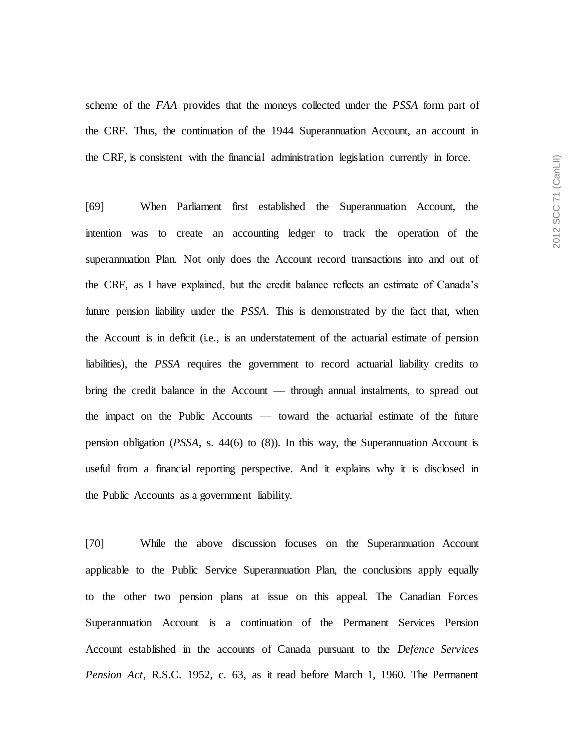scheme of the *FAA* provides that the moneys collected under the *PSSA* form part of the CRF. Thus, the continuation of the 1944 Superannuation Account, an account in the CRF, is consistent with the financial administration legislation currently in force.

[69] When Parliament first established the Superannuation Account, the intention was to create an accounting ledger to track the operation of the superannuation Plan. Not only does the Account record transactions into and out of the CRF, as I have explained, but the credit balance reflects an estimate of Canada's future pension liability under the *PSSA*. This is demonstrated by the fact that, when the Account is in deficit (i.e., is an understatement of the actuarial estimate of pension liabilities), the *PSSA* requires the government to record actuarial liability credits to bring the credit balance in the Account — through annual instalments, to spread out the impact on the Public Accounts — toward the actuarial estimate of the future pension obligation (*PSSA*, s. 44(6) to (8)). In this way, the Superannuation Account is useful from a financial reporting perspective. And it explains why it is disclosed in the Public Accounts as a government liability.

[70] While the above discussion focuses on the Superannuation Account applicable to the Public Service Superannuation Plan, the conclusions apply equally to the other two pension plans at issue on this appeal. The Canadian Forces Superannuation Account is a continuation of the Permanent Services Pension Account established in the accounts of Canada pursuant to the *Defence Services Pension Act*, R.S.C. 1952, c. 63, as it read before March 1, 1960. The Permanent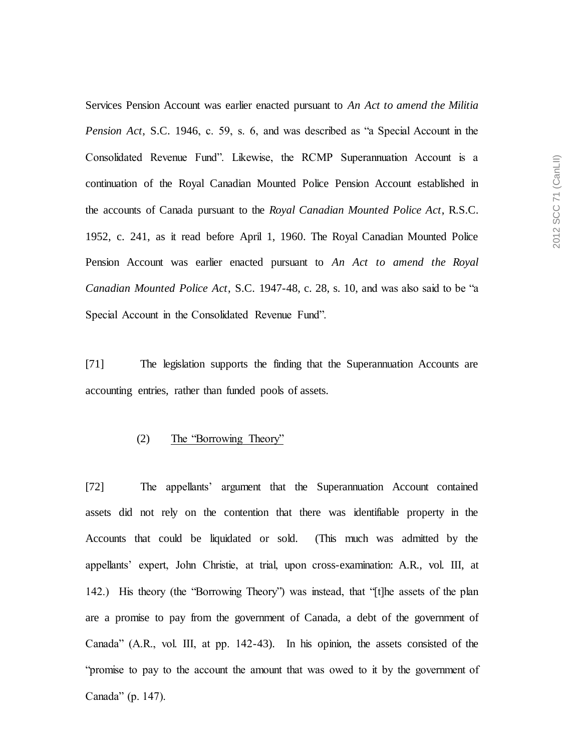Services Pension Account was earlier enacted pursuant to *An Act to amend the Militia Pension Act*, S.C. 1946, c. 59, s. 6, and was described as "a Special Account in the Consolidated Revenue Fund". Likewise, the RCMP Superannuation Account is a continuation of the Royal Canadian Mounted Police Pension Account established in the accounts of Canada pursuant to the *Royal Canadian Mounted Police Act*, R.S.C. 1952, c. 241, as it read before April 1, 1960. The Royal Canadian Mounted Police Pension Account was earlier enacted pursuant to *An Act to amend the Royal Canadian Mounted Police Act*, S.C. 1947-48, c. 28, s. 10, and was also said to be "a Special Account in the Consolidated Revenue Fund".

[71] The legislation supports the finding that the Superannuation Accounts are accounting entries, rather than funded pools of assets.

#### (2) The "Borrowing Theory"

[72] The appellants' argument that the Superannuation Account contained assets did not rely on the contention that there was identifiable property in the Accounts that could be liquidated or sold. (This much was admitted by the appellants' expert, John Christie, at trial, upon cross-examination: A.R., vol. III, at 142.) His theory (the "Borrowing Theory") was instead, that "[t]he assets of the plan are a promise to pay from the government of Canada, a debt of the government of Canada" (A.R., vol. III, at pp. 142-43). In his opinion, the assets consisted of the "promise to pay to the account the amount that was owed to it by the government of Canada" (p. 147).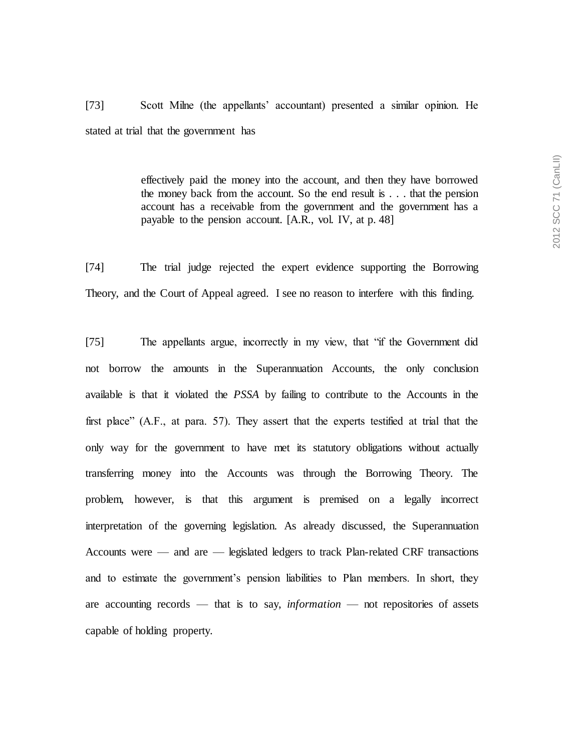[73] Scott Milne (the appellants' accountant) presented a similar opinion. He stated at trial that the government has

> effectively paid the money into the account, and then they have borrowed the money back from the account. So the end result is . . . that the pension account has a receivable from the government and the government has a payable to the pension account. [A.R., vol. IV, at p. 48]

[74] The trial judge rejected the expert evidence supporting the Borrowing Theory, and the Court of Appeal agreed. I see no reason to interfere with this finding.

[75] The appellants argue, incorrectly in my view, that "if the Government did not borrow the amounts in the Superannuation Accounts, the only conclusion available is that it violated the *PSSA* by failing to contribute to the Accounts in the first place" (A.F., at para. 57). They assert that the experts testified at trial that the only way for the government to have met its statutory obligations without actually transferring money into the Accounts was through the Borrowing Theory. The problem, however, is that this argument is premised on a legally incorrect interpretation of the governing legislation. As already discussed, the Superannuation Accounts were — and are — legislated ledgers to track Plan-related CRF transactions and to estimate the government's pension liabilities to Plan members. In short, they are accounting records — that is to say, *information* — not repositories of assets capable of holding property.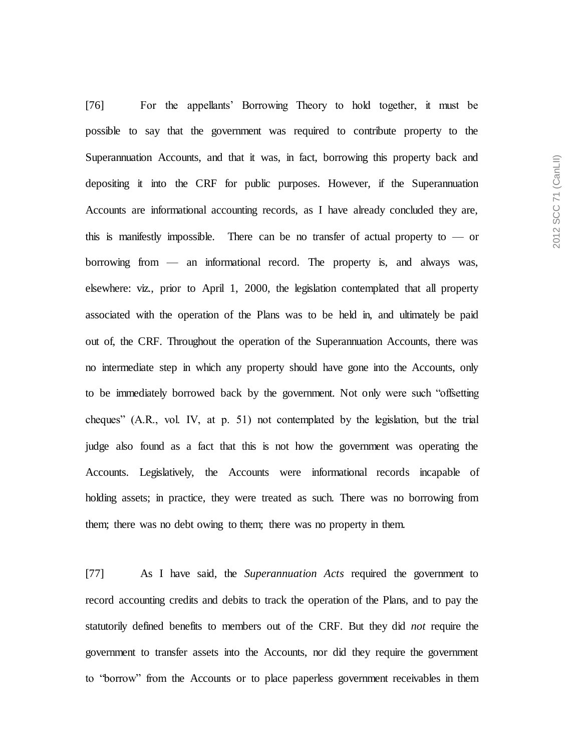[76] For the appellants' Borrowing Theory to hold together, it must be possible to say that the government was required to contribute property to the Superannuation Accounts, and that it was, in fact, borrowing this property back and depositing it into the CRF for public purposes. However, if the Superannuation Accounts are informational accounting records, as I have already concluded they are, this is manifestly impossible. There can be no transfer of actual property to  $\sim$  or borrowing from — an informational record. The property is, and always was, elsewhere: viz., prior to April 1, 2000, the legislation contemplated that all property associated with the operation of the Plans was to be held in, and ultimately be paid out of, the CRF. Throughout the operation of the Superannuation Accounts, there was no intermediate step in which any property should have gone into the Accounts, only to be immediately borrowed back by the government. Not only were such "offsetting cheques" (A.R., vol. IV, at p. 51) not contemplated by the legislation, but the trial judge also found as a fact that this is not how the government was operating the Accounts. Legislatively, the Accounts were informational records incapable of holding assets; in practice, they were treated as such. There was no borrowing from them; there was no debt owing to them; there was no property in them.

[77] As I have said, the *Superannuation Acts* required the government to record accounting credits and debits to track the operation of the Plans, and to pay the statutorily defined benefits to members out of the CRF. But they did *not* require the government to transfer assets into the Accounts, nor did they require the government to "borrow" from the Accounts or to place paperless government receivables in them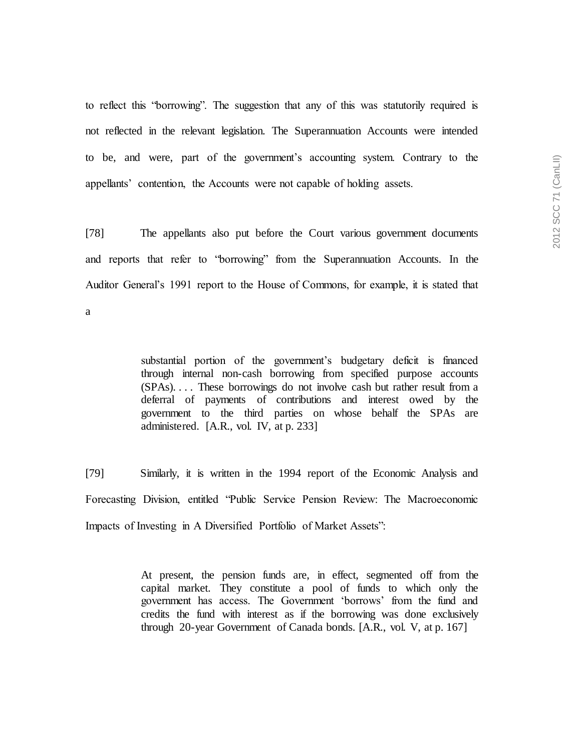to reflect this "borrowing". The suggestion that any of this was statutorily required is not reflected in the relevant legislation. The Superannuation Accounts were intended to be, and were, part of the government's accounting system. Contrary to the appellants' contention, the Accounts were not capable of holding assets.

[78] The appellants also put before the Court various government documents and reports that refer to "borrowing" from the Superannuation Accounts. In the Auditor General's 1991 report to the House of Commons, for example, it is stated that a

> substantial portion of the government's budgetary deficit is financed through internal non-cash borrowing from specified purpose accounts (SPAs). . . . These borrowings do not involve cash but rather result from a deferral of payments of contributions and interest owed by the government to the third parties on whose behalf the SPAs are administered. [A.R., vol. IV, at p. 233]

[79] Similarly, it is written in the 1994 report of the Economic Analysis and Forecasting Division, entitled "Public Service Pension Review: The Macroeconomic Impacts of Investing in A Diversified Portfolio of Market Assets":

> At present, the pension funds are, in effect, segmented off from the capital market. They constitute a pool of funds to which only the government has access. The Government 'borrows' from the fund and credits the fund with interest as if the borrowing was done exclusively through 20-year Government of Canada bonds. [A.R., vol. V, at p. 167]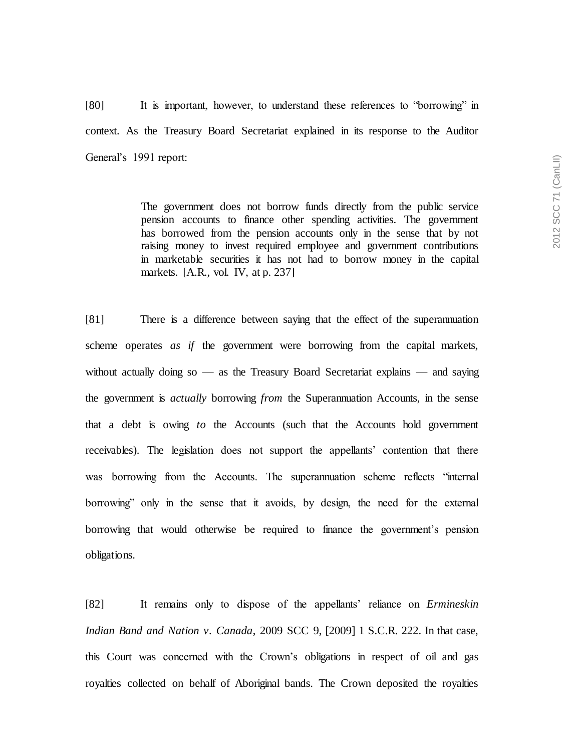[80] It is important, however, to understand these references to "borrowing" in context. As the Treasury Board Secretariat explained in its response to the Auditor General's 1991 report:

> The government does not borrow funds directly from the public service pension accounts to finance other spending activities. The government has borrowed from the pension accounts only in the sense that by not raising money to invest required employee and government contributions in marketable securities it has not had to borrow money in the capital markets. [A.R., vol. IV, at p. 237]

[81] There is a difference between saying that the effect of the superannuation scheme operates *as if* the government were borrowing from the capital markets, without actually doing so  $\frac{1}{x}$  as the Treasury Board Secretariat explains  $\frac{1}{x}$  and saying the government is *actually* borrowing *from* the Superannuation Accounts, in the sense that a debt is owing *to* the Accounts (such that the Accounts hold government receivables). The legislation does not support the appellants' contention that there was borrowing from the Accounts. The superannuation scheme reflects "internal borrowing" only in the sense that it avoids, by design, the need for the external borrowing that would otherwise be required to finance the government's pension obligations.

[82] It remains only to dispose of the appellants' reliance on *Ermineskin Indian Band and Nation v. Canada*, 2009 SCC 9, [2009] 1 S.C.R. 222. In that case, this Court was concerned with the Crown's obligations in respect of oil and gas royalties collected on behalf of Aboriginal bands. The Crown deposited the royalties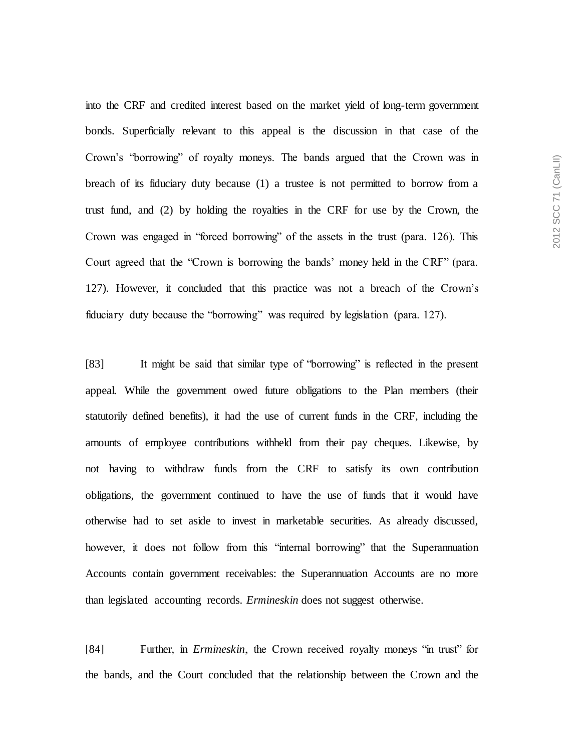into the CRF and credited interest based on the market yield of long-term government bonds. Superficially relevant to this appeal is the discussion in that case of the Crown's "borrowing" of royalty moneys. The bands argued that the Crown was in breach of its fiduciary duty because (1) a trustee is not permitted to borrow from a trust fund, and (2) by holding the royalties in the CRF for use by the Crown, the Crown was engaged in "forced borrowing" of the assets in the trust (para. 126). This Court agreed that the "Crown is borrowing the bands' money held in the CRF" (para. 127). However, it concluded that this practice was not a breach of the Crown's fiduciary duty because the "borrowing" was required by legislation (para. 127).

[83] It might be said that similar type of "borrowing" is reflected in the present appeal. While the government owed future obligations to the Plan members (their statutorily defined benefits), it had the use of current funds in the CRF, including the amounts of employee contributions withheld from their pay cheques. Likewise, by not having to withdraw funds from the CRF to satisfy its own contribution obligations, the government continued to have the use of funds that it would have otherwise had to set aside to invest in marketable securities. As already discussed, however, it does not follow from this "internal borrowing" that the Superannuation Accounts contain government receivables: the Superannuation Accounts are no more than legislated accounting records. *Ermineskin* does not suggest otherwise.

[84] Further, in *Ermineskin*, the Crown received royalty moneys "in trust" for the bands, and the Court concluded that the relationship between the Crown and the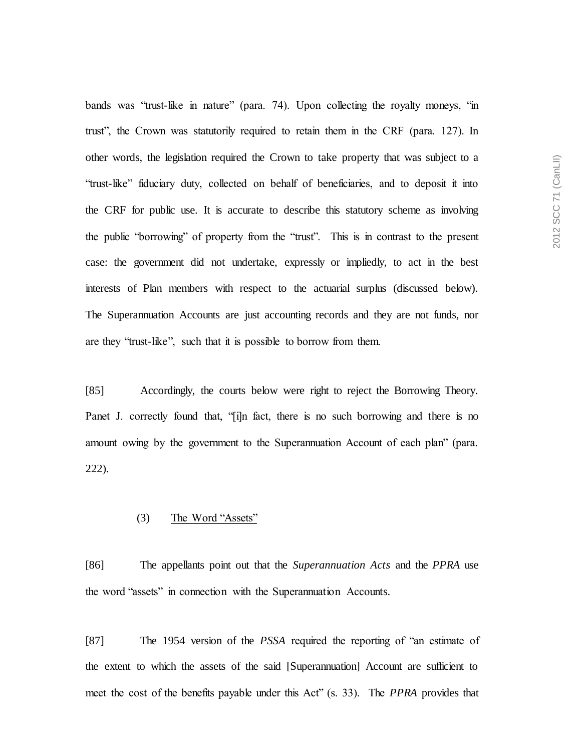bands was "trust-like in nature" (para. 74). Upon collecting the royalty moneys, "in trust", the Crown was statutorily required to retain them in the CRF (para. 127). In other words, the legislation required the Crown to take property that was subject to a "trust-like" fiduciary duty, collected on behalf of beneficiaries, and to deposit it into the CRF for public use. It is accurate to describe this statutory scheme as involving the public "borrowing" of property from the "trust". This is in contrast to the present case: the government did not undertake, expressly or impliedly, to act in the best interests of Plan members with respect to the actuarial surplus (discussed below). The Superannuation Accounts are just accounting records and they are not funds, nor are they "trust-like", such that it is possible to borrow from them.

[85] Accordingly, the courts below were right to reject the Borrowing Theory. Panet J. correctly found that, "[i]n fact, there is no such borrowing and there is no amount owing by the government to the Superannuation Account of each plan" (para. 222).

### (3) The Word "Assets"

[86] The appellants point out that the *Superannuation Acts* and the *PPRA* use the word "assets" in connection with the Superannuation Accounts.

[87] The 1954 version of the *PSSA* required the reporting of "an estimate of the extent to which the assets of the said [Superannuation] Account are sufficient to meet the cost of the benefits payable under this Act" (s. 33). The *PPRA* provides that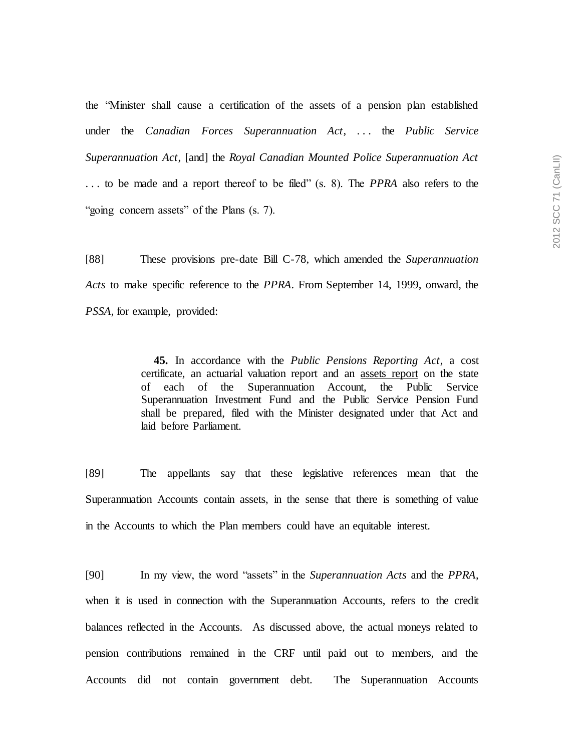the "Minister shall cause a certification of the assets of a pension plan established under the *Canadian Forces Superannuation Act*, . . . the *Public Service Superannuation Act*, [and] the *Royal Canadian Mounted Police Superannuation Act* . . . to be made and a report thereof to be filed" (s. 8). The *PPRA* also refers to the "going concern assets" of the Plans (s. 7).

[88] These provisions pre-date Bill C-78, which amended the *Superannuation Acts* to make specific reference to the *PPRA*. From September 14, 1999, onward, the *PSSA*, for example, provided:

> **45.** In accordance with the *Public Pensions Reporting Act*, a cost certificate, an actuarial valuation report and an assets report on the state of each of the Superannuation Account, the Public Service Superannuation Investment Fund and the Public Service Pension Fund shall be prepared, filed with the Minister designated under that Act and laid before Parliament.

[89] The appellants say that these legislative references mean that the Superannuation Accounts contain assets, in the sense that there is something of value in the Accounts to which the Plan members could have an equitable interest.

[90] In my view, the word "assets" in the *Superannuation Acts* and the *PPRA*, when it is used in connection with the Superannuation Accounts, refers to the credit balances reflected in the Accounts. As discussed above, the actual moneys related to pension contributions remained in the CRF until paid out to members, and the Accounts did not contain government debt. The Superannuation Accounts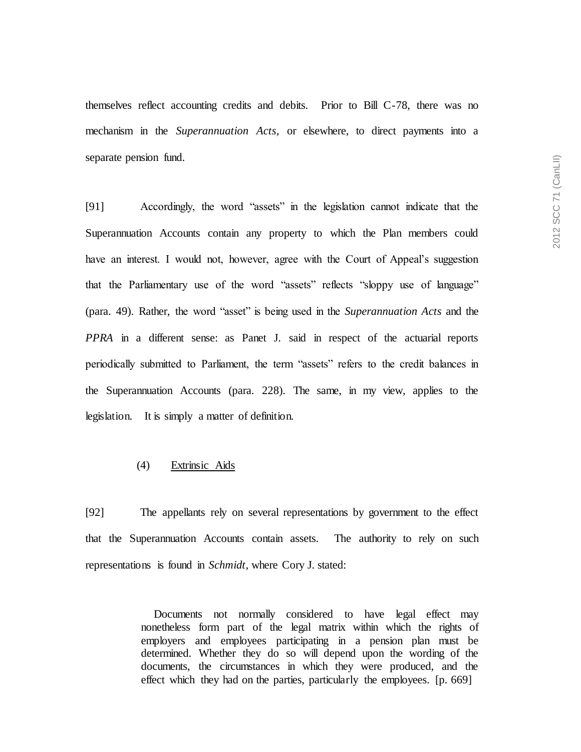themselves reflect accounting credits and debits. Prior to Bill C-78, there was no mechanism in the *Superannuation Acts*, or elsewhere, to direct payments into a separate pension fund.

[91] Accordingly, the word "assets" in the legislation cannot indicate that the Superannuation Accounts contain any property to which the Plan members could have an interest. I would not, however, agree with the Court of Appeal's suggestion that the Parliamentary use of the word "assets" reflects "sloppy use of language" (para. 49). Rather, the word "asset" is being used in the *Superannuation Acts* and the *PPRA* in a different sense: as Panet J. said in respect of the actuarial reports periodically submitted to Parliament, the term "assets" refers to the credit balances in the Superannuation Accounts (para. 228). The same, in my view, applies to the legislation. It is simply a matter of definition.

### (4) Extrinsic Aids

[92] The appellants rely on several representations by government to the effect that the Superannuation Accounts contain assets. The authority to rely on such representations is found in *Schmidt*, where Cory J. stated:

> Documents not normally considered to have legal effect may nonetheless form part of the legal matrix within which the rights of employers and employees participating in a pension plan must be determined. Whether they do so will depend upon the wording of the documents, the circumstances in which they were produced, and the effect which they had on the parties, particularly the employees. [p. 669]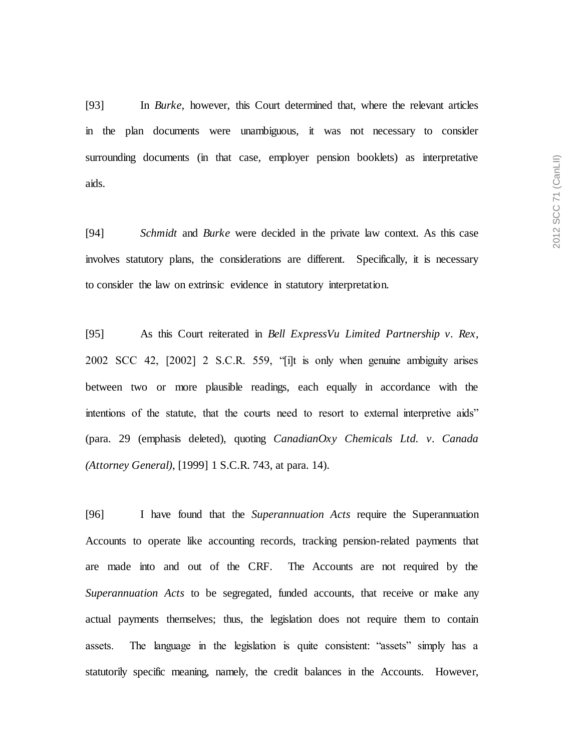[93] In *Burke,* however, this Court determined that, where the relevant articles in the plan documents were unambiguous, it was not necessary to consider surrounding documents (in that case, employer pension booklets) as interpretative aids.

[94] *Schmidt* and *Burke* were decided in the private law context. As this case involves statutory plans, the considerations are different. Specifically, it is necessary to consider the law on extrinsic evidence in statutory interpretation.

[95] As this Court reiterated in *Bell ExpressVu Limited Partnership v. Rex*, 2002 SCC 42, [2002] 2 S.C.R. 559, "[i]t is only when genuine ambiguity arises between two or more plausible readings, each equally in accordance with the intentions of the statute, that the courts need to resort to external interpretive aids" (para. 29 (emphasis deleted), quoting *CanadianOxy Chemicals Ltd. v. Canada (Attorney General)*, [1999] 1 S.C.R. 743, at para. 14).

[96] I have found that the *Superannuation Acts* require the Superannuation Accounts to operate like accounting records, tracking pension-related payments that are made into and out of the CRF. The Accounts are not required by the *Superannuation Acts* to be segregated, funded accounts, that receive or make any actual payments themselves; thus, the legislation does not require them to contain assets. The language in the legislation is quite consistent: "assets" simply has a statutorily specific meaning, namely, the credit balances in the Accounts. However,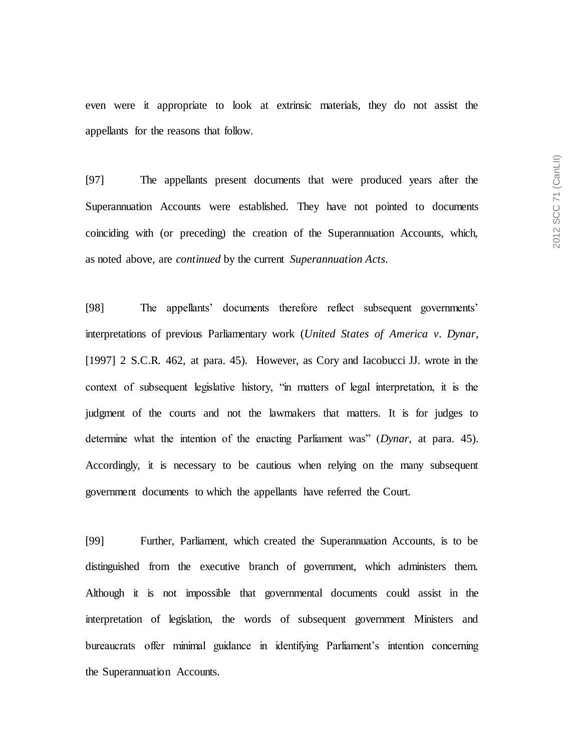even were it appropriate to look at extrinsic materials, they do not assist the appellants for the reasons that follow.

[97] The appellants present documents that were produced years after the Superannuation Accounts were established. They have not pointed to documents coinciding with (or preceding) the creation of the Superannuation Accounts, which, as noted above, are *continued* by the current *Superannuation Acts*.

[98] The appellants' documents therefore reflect subsequent governments' interpretations of previous Parliamentary work (*United States of America v. Dynar*, [1997] 2 S.C.R. 462, at para. 45). However, as Cory and Iacobucci JJ. wrote in the context of subsequent legislative history, "in matters of legal interpretation, it is the judgment of the courts and not the lawmakers that matters. It is for judges to determine what the intention of the enacting Parliament was" (*Dynar*, at para. 45). Accordingly, it is necessary to be cautious when relying on the many subsequent government documents to which the appellants have referred the Court.

[99] Further, Parliament, which created the Superannuation Accounts, is to be distinguished from the executive branch of government, which administers them. Although it is not impossible that governmental documents could assist in the interpretation of legislation, the words of subsequent government Ministers and bureaucrats offer minimal guidance in identifying Parliament's intention concerning the Superannuation Accounts.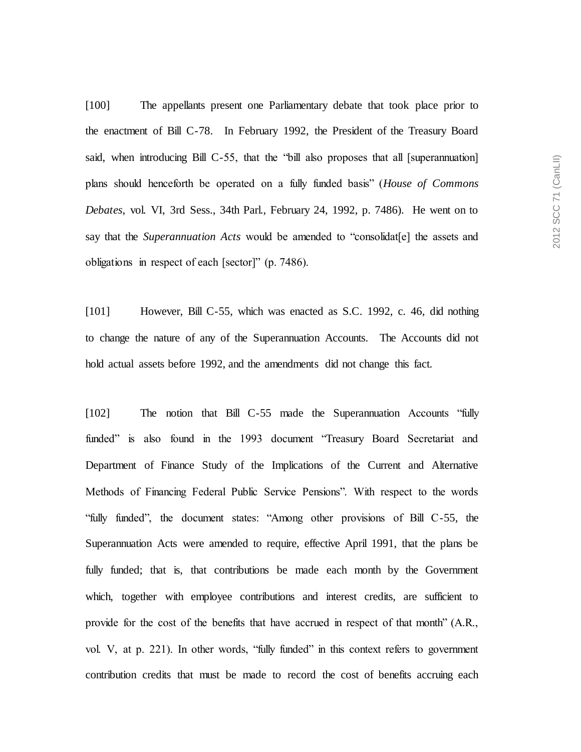[100] The appellants present one Parliamentary debate that took place prior to the enactment of Bill C-78. In February 1992, the President of the Treasury Board said, when introducing Bill C-55, that the "bill also proposes that all [superannuation] plans should henceforth be operated on a fully funded basis" (*House of Commons Debates*, vol. VI, 3rd Sess., 34th Parl., February 24, 1992, p. 7486). He went on to say that the *Superannuation Acts* would be amended to "consolidat[e] the assets and obligations in respect of each [sector]" (p. 7486).

[101] However, Bill C-55, which was enacted as S.C. 1992, c. 46, did nothing to change the nature of any of the Superannuation Accounts. The Accounts did not hold actual assets before 1992, and the amendments did not change this fact.

[102] The notion that Bill C-55 made the Superannuation Accounts "fully funded" is also found in the 1993 document "Treasury Board Secretariat and Department of Finance Study of the Implications of the Current and Alternative Methods of Financing Federal Public Service Pensions". With respect to the words "fully funded", the document states: "Among other provisions of Bill C-55, the Superannuation Acts were amended to require, effective April 1991, that the plans be fully funded; that is, that contributions be made each month by the Government which, together with employee contributions and interest credits, are sufficient to provide for the cost of the benefits that have accrued in respect of that month" (A.R., vol. V, at p. 221). In other words, "fully funded" in this context refers to government contribution credits that must be made to record the cost of benefits accruing each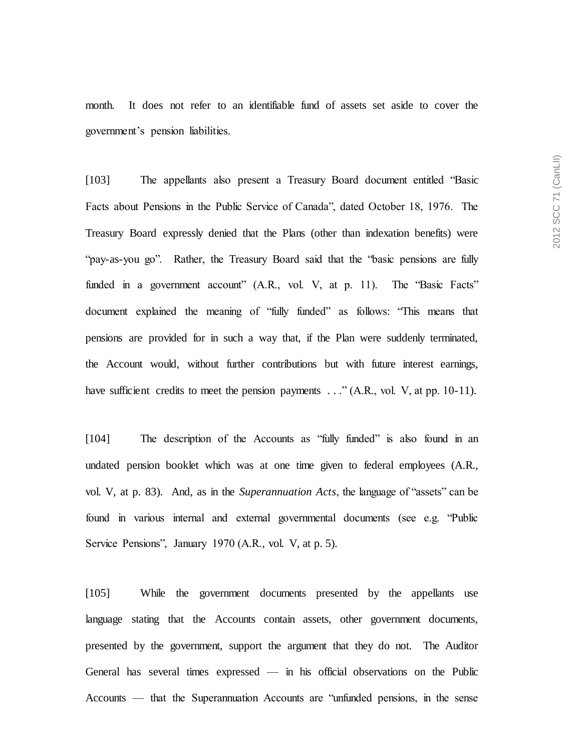month. It does not refer to an identifiable fund of assets set aside to cover the government's pension liabilities.

[103] The appellants also present a Treasury Board document entitled "Basic Facts about Pensions in the Public Service of Canada", dated October 18, 1976. The Treasury Board expressly denied that the Plans (other than indexation benefits) were "pay-as-you go". Rather, the Treasury Board said that the "basic pensions are fully funded in a government account" (A.R., vol. V, at p. 11). The "Basic Facts" document explained the meaning of "fully funded" as follows: "This means that pensions are provided for in such a way that, if the Plan were suddenly terminated, the Account would, without further contributions but with future interest earnings, have sufficient credits to meet the pension payments ..." (A.R., vol. V, at pp. 10-11).

[104] The description of the Accounts as "fully funded" is also found in an undated pension booklet which was at one time given to federal employees (A.R., vol. V, at p. 83). And, as in the *Superannuation Acts*, the language of "assets" can be found in various internal and external governmental documents (see e.g. "Public Service Pensions", January 1970 (A.R., vol. V, at p. 5).

[105] While the government documents presented by the appellants use language stating that the Accounts contain assets, other government documents, presented by the government, support the argument that they do not. The Auditor General has several times expressed — in his official observations on the Public Accounts — that the Superannuation Accounts are "unfunded pensions, in the sense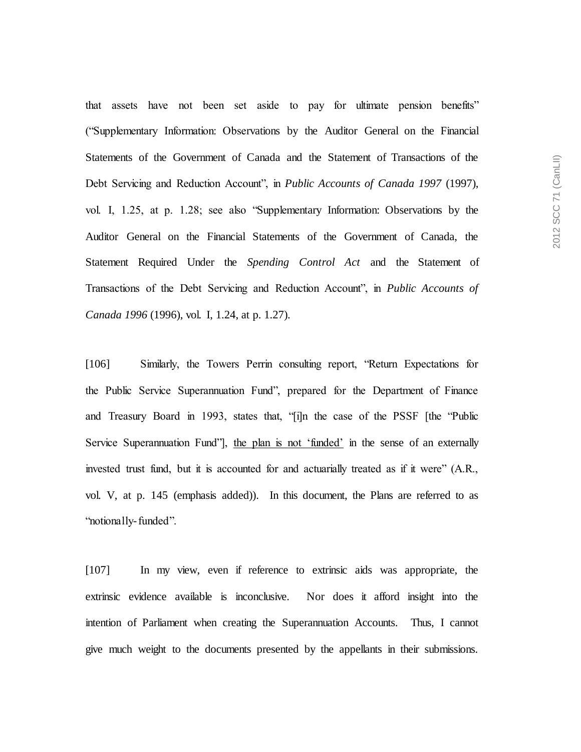that assets have not been set aside to pay for ultimate pension benefits" ("Supplementary Information: Observations by the Auditor General on the Financial Statements of the Government of Canada and the Statement of Transactions of the Debt Servicing and Reduction Account", in *Public Accounts of Canada 1997* (1997), vol. I, 1.25, at p. 1.28; see also "Supplementary Information: Observations by the Auditor General on the Financial Statements of the Government of Canada, the Statement Required Under the *Spending Control Act* and the Statement of Transactions of the Debt Servicing and Reduction Account", in *Public Accounts of Canada 1996* (1996), vol. I, 1.24, at p. 1.27).

[106] Similarly, the Towers Perrin consulting report, "Return Expectations for the Public Service Superannuation Fund", prepared for the Department of Finance and Treasury Board in 1993, states that, "[i]n the case of the PSSF [the "Public Service Superannuation Fund", the plan is not 'funded' in the sense of an externally invested trust fund, but it is accounted for and actuarially treated as if it were" (A.R., vol. V, at p. 145 (emphasis added)). In this document, the Plans are referred to as "notionally-funded".

[107] In my view, even if reference to extrinsic aids was appropriate, the extrinsic evidence available is inconclusive. Nor does it afford insight into the intention of Parliament when creating the Superannuation Accounts. Thus, I cannot give much weight to the documents presented by the appellants in their submissions.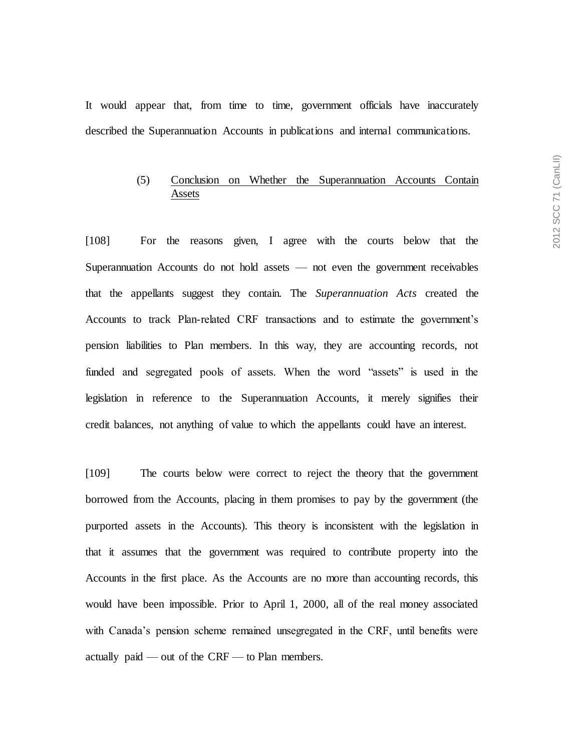It would appear that, from time to time, government officials have inaccurately described the Superannuation Accounts in publications and internal communications.

# (5) Conclusion on Whether the Superannuation Accounts Contain Assets

[108] For the reasons given, I agree with the courts below that the Superannuation Accounts do not hold assets — not even the government receivables that the appellants suggest they contain. The *Superannuation Acts* created the Accounts to track Plan-related CRF transactions and to estimate the government's pension liabilities to Plan members. In this way, they are accounting records, not funded and segregated pools of assets. When the word "assets" is used in the legislation in reference to the Superannuation Accounts, it merely signifies their credit balances, not anything of value to which the appellants could have an interest.

[109] The courts below were correct to reject the theory that the government borrowed from the Accounts, placing in them promises to pay by the government (the purported assets in the Accounts). This theory is inconsistent with the legislation in that it assumes that the government was required to contribute property into the Accounts in the first place. As the Accounts are no more than accounting records, this would have been impossible. Prior to April 1, 2000, all of the real money associated with Canada's pension scheme remained unsegregated in the CRF, until benefits were actually paid — out of the CRF — to Plan members.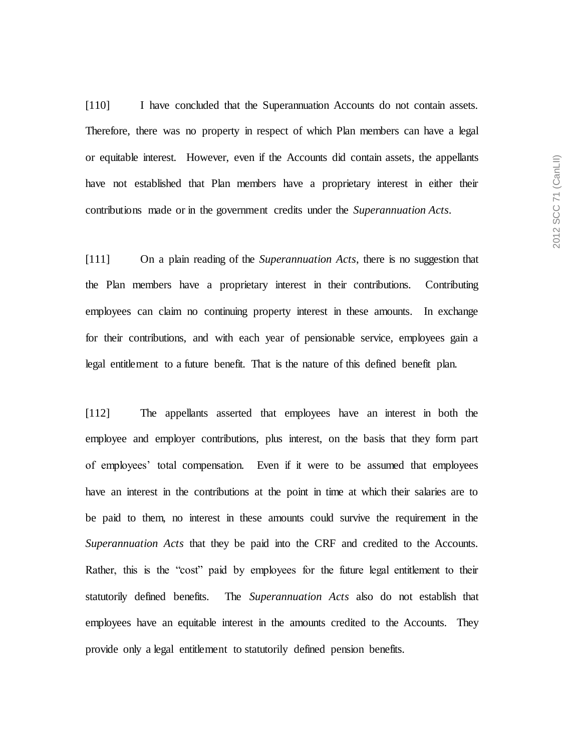[110] I have concluded that the Superannuation Accounts do not contain assets. Therefore, there was no property in respect of which Plan members can have a legal or equitable interest. However, even if the Accounts did contain assets, the appellants have not established that Plan members have a proprietary interest in either their contributions made or in the government credits under the *Superannuation Acts*.

[111] On a plain reading of the *Superannuation Acts*, there is no suggestion that the Plan members have a proprietary interest in their contributions. Contributing employees can claim no continuing property interest in these amounts. In exchange for their contributions, and with each year of pensionable service, employees gain a legal entitlement to a future benefit. That is the nature of this defined benefit plan.

[112] The appellants asserted that employees have an interest in both the employee and employer contributions, plus interest, on the basis that they form part of employees' total compensation. Even if it were to be assumed that employees have an interest in the contributions at the point in time at which their salaries are to be paid to them, no interest in these amounts could survive the requirement in the *Superannuation Acts* that they be paid into the CRF and credited to the Accounts. Rather, this is the "cost" paid by employees for the future legal entitlement to their statutorily defined benefits. The *Superannuation Acts* also do not establish that employees have an equitable interest in the amounts credited to the Accounts. They provide only a legal entitlement to statutorily defined pension benefits.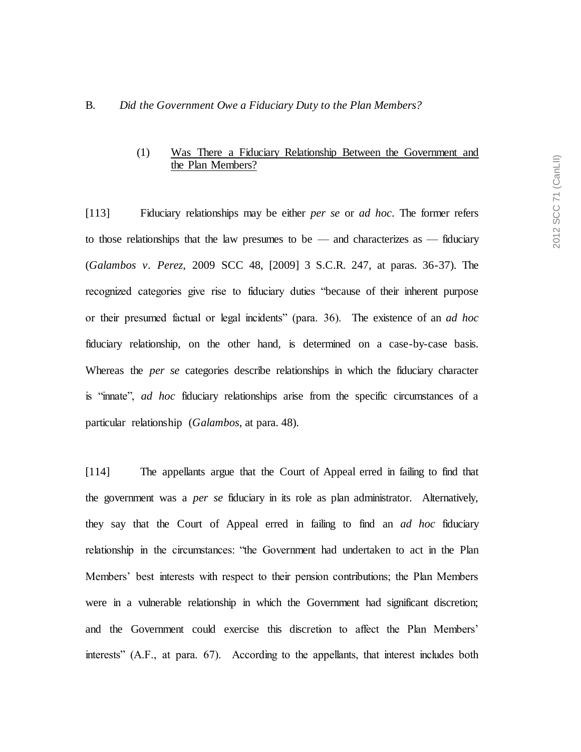#### B. *Did the Government Owe a Fiduciary Duty to the Plan Members?*

# (1) Was There a Fiduciary Relationship Between the Government and the Plan Members?

[113] Fiduciary relationships may be either *per se* or *ad hoc*. The former refers to those relationships that the law presumes to be — and characterizes as — fiduciary (*Galambos v. Perez*, 2009 SCC 48, [2009] 3 S.C.R. 247, at paras. 36-37). The recognized categories give rise to fiduciary duties "because of their inherent purpose or their presumed factual or legal incidents" (para. 36). The existence of an *ad hoc* fiduciary relationship, on the other hand, is determined on a case-by-case basis. Whereas the *per se* categories describe relationships in which the fiduciary character is "innate", *ad hoc* fiduciary relationships arise from the specific circumstances of a particular relationship (*Galambos*, at para. 48).

[114] The appellants argue that the Court of Appeal erred in failing to find that the government was a *per se* fiduciary in its role as plan administrator. Alternatively, they say that the Court of Appeal erred in failing to find an *ad hoc* fiduciary relationship in the circumstances: "the Government had undertaken to act in the Plan Members' best interests with respect to their pension contributions; the Plan Members were in a vulnerable relationship in which the Government had significant discretion; and the Government could exercise this discretion to affect the Plan Members' interests" (A.F., at para. 67). According to the appellants, that interest includes both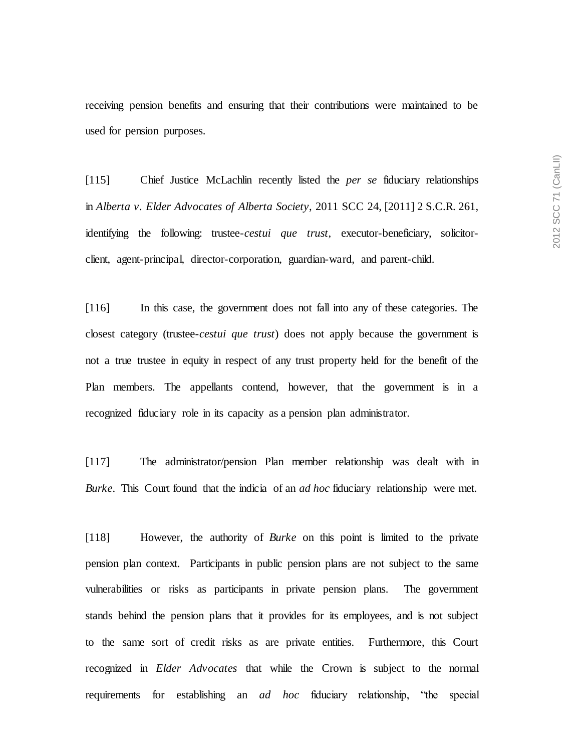receiving pension benefits and ensuring that their contributions were maintained to be used for pension purposes.

[115] Chief Justice McLachlin recently listed the *per se* fiduciary relationships in *Alberta v. Elder Advocates of Alberta Society*, 2011 SCC 24, [2011] 2 S.C.R. 261, identifying the following: trustee-*cestui que trust*, executor-beneficiary, solicitorclient, agent-principal, director-corporation, guardian-ward, and parent-child.

[116] In this case, the government does not fall into any of these categories. The closest category (trustee-*cestui que trust*) does not apply because the government is not a true trustee in equity in respect of any trust property held for the benefit of the Plan members. The appellants contend, however, that the government is in a recognized fiduciary role in its capacity as a pension plan administrator.

[117] The administrator/pension Plan member relationship was dealt with in *Burke*. This Court found that the indicia of an *ad hoc* fiduciary relationship were met.

[118] However, the authority of *Burke* on this point is limited to the private pension plan context. Participants in public pension plans are not subject to the same vulnerabilities or risks as participants in private pension plans. The government stands behind the pension plans that it provides for its employees, and is not subject to the same sort of credit risks as are private entities. Furthermore, this Court recognized in *Elder Advocates* that while the Crown is subject to the normal requirements for establishing an *ad hoc* fiduciary relationship, "the special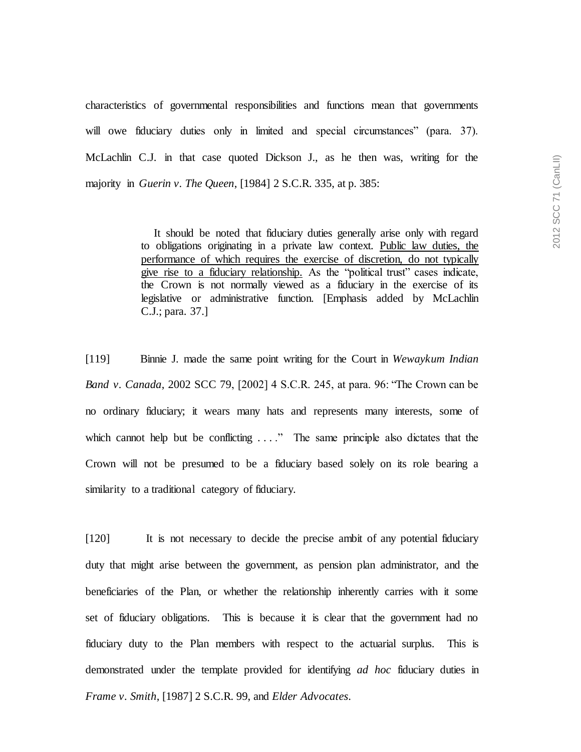characteristics of governmental responsibilities and functions mean that governments will owe fiduciary duties only in limited and special circumstances" (para. 37). McLachlin C.J. in that case quoted Dickson J., as he then was, writing for the majority in *Guerin v. The Queen*, [1984] 2 S.C.R. 335, at p. 385:

> It should be noted that fiduciary duties generally arise only with regard to obligations originating in a private law context. Public law duties, the performance of which requires the exercise of discretion, do not typically give rise to a fiduciary relationship. As the "political trust" cases indicate, the Crown is not normally viewed as a fiduciary in the exercise of its legislative or administrative function. [Emphasis added by McLachlin C.J.; para. 37.]

[119] Binnie J. made the same point writing for the Court in *Wewaykum Indian Band v. Canada*, 2002 SCC 79, [2002] 4 S.C.R. 245, at para. 96: "The Crown can be no ordinary fiduciary; it wears many hats and represents many interests, some of which cannot help but be conflicting  $\dots$ ." The same principle also dictates that the Crown will not be presumed to be a fiduciary based solely on its role bearing a similarity to a traditional category of fiduciary.

[120] It is not necessary to decide the precise ambit of any potential fiduciary duty that might arise between the government, as pension plan administrator, and the beneficiaries of the Plan, or whether the relationship inherently carries with it some set of fiduciary obligations. This is because it is clear that the government had no fiduciary duty to the Plan members with respect to the actuarial surplus. This is demonstrated under the template provided for identifying *ad hoc* fiduciary duties in *Frame v. Smith*, [1987] 2 S.C.R. 99, and *Elder Advocates*.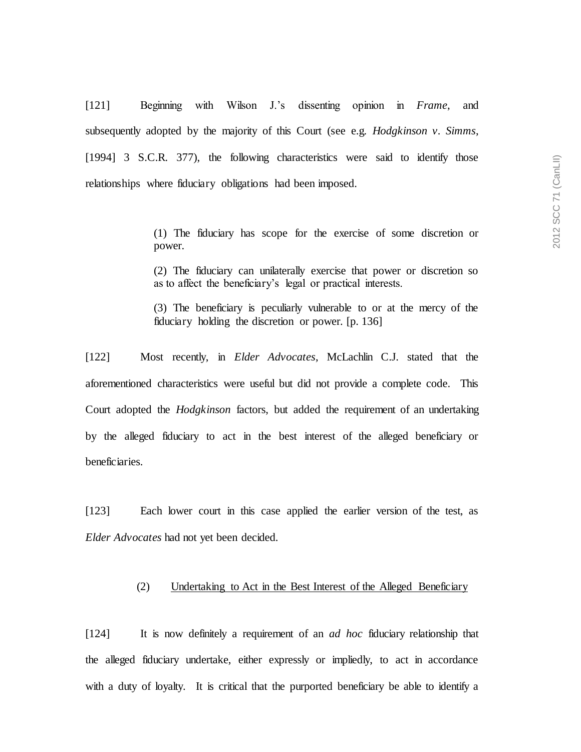[121] Beginning with Wilson J.'s dissenting opinion in *Frame*, and subsequently adopted by the majority of this Court (see e.g. *Hodgkinson v. Simms*, [1994] 3 S.C.R. 377), the following characteristics were said to identify those relationships where fiduciary obligations had been imposed.

> (1) The fiduciary has scope for the exercise of some discretion or power.

> (2) The fiduciary can unilaterally exercise that power or discretion so as to affect the beneficiary's legal or practical interests.

> (3) The beneficiary is peculiarly vulnerable to or at the mercy of the fiduciary holding the discretion or power. [p. 136]

[122] Most recently, in *Elder Advocates*, McLachlin C.J. stated that the aforementioned characteristics were useful but did not provide a complete code. This Court adopted the *Hodgkinson* factors, but added the requirement of an undertaking by the alleged fiduciary to act in the best interest of the alleged beneficiary or beneficiaries.

[123] Each lower court in this case applied the earlier version of the test, as *Elder Advocates* had not yet been decided.

#### (2) Undertaking to Act in the Best Interest of the Alleged Beneficiary

[124] It is now definitely a requirement of an *ad hoc* fiduciary relationship that the alleged fiduciary undertake, either expressly or impliedly, to act in accordance with a duty of loyalty. It is critical that the purported beneficiary be able to identify a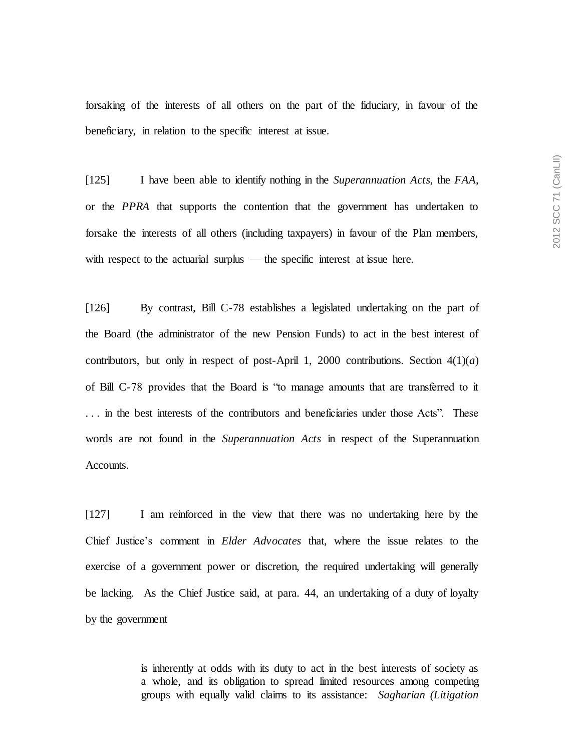forsaking of the interests of all others on the part of the fiduciary, in favour of the beneficiary, in relation to the specific interest at issue.

[125] I have been able to identify nothing in the *Superannuation Acts*, the *FAA*, or the *PPRA* that supports the contention that the government has undertaken to forsake the interests of all others (including taxpayers) in favour of the Plan members, with respect to the actuarial surplus — the specific interest at issue here.

[126] By contrast, Bill C-78 establishes a legislated undertaking on the part of the Board (the administrator of the new Pension Funds) to act in the best interest of contributors, but only in respect of post-April 1, 2000 contributions. Section  $4(1)(a)$ of Bill C-78 provides that the Board is "to manage amounts that are transferred to it . . . in the best interests of the contributors and beneficiaries under those Acts". These words are not found in the *Superannuation Acts* in respect of the Superannuation Accounts.

[127] I am reinforced in the view that there was no undertaking here by the Chief Justice's comment in *Elder Advocates* that, where the issue relates to the exercise of a government power or discretion, the required undertaking will generally be lacking. As the Chief Justice said, at para. 44, an undertaking of a duty of loyalty by the government

> is inherently at odds with its duty to act in the best interests of society as a whole, and its obligation to spread limited resources among competing groups with equally valid claims to its assistance: *Sagharian (Litigation*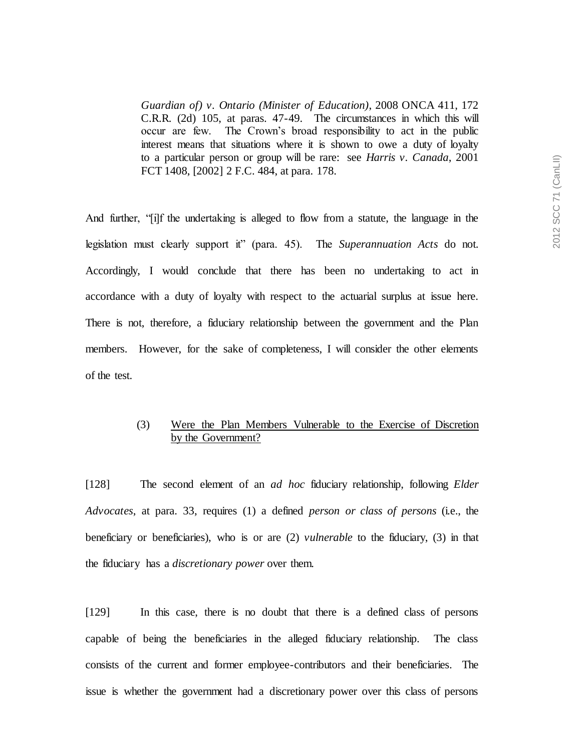*Guardian of) v. Ontario (Minister of Education)*, 2008 ONCA 411, 172 C.R.R. (2d) 105, at paras. 47-49. The circumstances in which this will occur are few. The Crown's broad responsibility to act in the public interest means that situations where it is shown to owe a duty of loyalty to a particular person or group will be rare: see *Harris v. Canada*, 2001 FCT 1408, [2002] 2 F.C. 484, at para. 178.

And further, "[i]f the undertaking is alleged to flow from a statute, the language in the legislation must clearly support it" (para. 45). The *Superannuation Acts* do not. Accordingly, I would conclude that there has been no undertaking to act in accordance with a duty of loyalty with respect to the actuarial surplus at issue here. There is not, therefore, a fiduciary relationship between the government and the Plan members. However, for the sake of completeness, I will consider the other elements of the test.

## (3) Were the Plan Members Vulnerable to the Exercise of Discretion by the Government?

[128] The second element of an *ad hoc* fiduciary relationship, following *Elder Advocates*, at para. 33, requires (1) a defined *person or class of persons* (i.e., the beneficiary or beneficiaries), who is or are (2) *vulnerable* to the fiduciary, (3) in that the fiduciary has a *discretionary power* over them.

[129] In this case, there is no doubt that there is a defined class of persons capable of being the beneficiaries in the alleged fiduciary relationship. The class consists of the current and former employee-contributors and their beneficiaries. The issue is whether the government had a discretionary power over this class of persons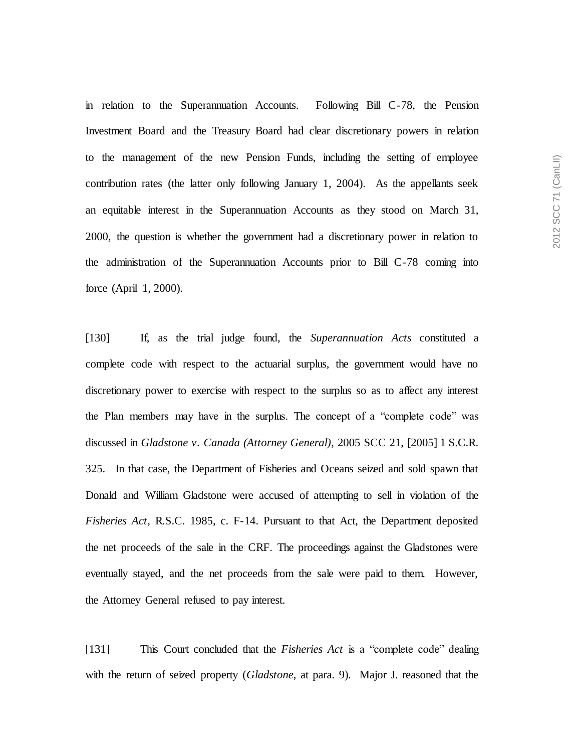in relation to the Superannuation Accounts. Following Bill C-78, the Pension Investment Board and the Treasury Board had clear discretionary powers in relation to the management of the new Pension Funds, including the setting of employee contribution rates (the latter only following January 1, 2004). As the appellants seek an equitable interest in the Superannuation Accounts as they stood on March 31, 2000, the question is whether the government had a discretionary power in relation to the administration of the Superannuation Accounts prior to Bill C-78 coming into force (April 1, 2000).

[130] If, as the trial judge found, the *Superannuation Acts* constituted a complete code with respect to the actuarial surplus, the government would have no discretionary power to exercise with respect to the surplus so as to affect any interest the Plan members may have in the surplus. The concept of a "complete code" was discussed in *Gladstone v. Canada (Attorney General)*, 2005 SCC 21, [2005] 1 S.C.R. 325. In that case, the Department of Fisheries and Oceans seized and sold spawn that Donald and William Gladstone were accused of attempting to sell in violation of the *Fisheries Act*, R.S.C. 1985, c. F-14. Pursuant to that Act, the Department deposited the net proceeds of the sale in the CRF. The proceedings against the Gladstones were eventually stayed, and the net proceeds from the sale were paid to them. However, the Attorney General refused to pay interest.

[131] This Court concluded that the *Fisheries Act* is a "complete code" dealing with the return of seized property (*Gladstone*, at para. 9). Major J. reasoned that the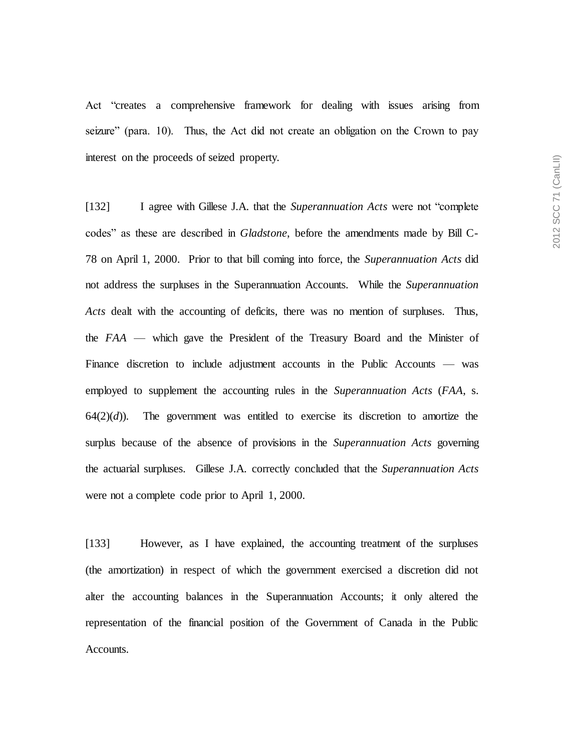Act "creates a comprehensive framework for dealing with issues arising from seizure" (para. 10). Thus, the Act did not create an obligation on the Crown to pay interest on the proceeds of seized property.

[132] I agree with Gillese J.A. that the *Superannuation Acts* were not "complete codes" as these are described in *Gladstone*, before the amendments made by Bill C-78 on April 1, 2000. Prior to that bill coming into force, the *Superannuation Acts* did not address the surpluses in the Superannuation Accounts. While the *Superannuation Acts* dealt with the accounting of deficits, there was no mention of surpluses. Thus, the *FAA* — which gave the President of the Treasury Board and the Minister of Finance discretion to include adjustment accounts in the Public Accounts — was employed to supplement the accounting rules in the *Superannuation Acts* (*FAA*, s.  $64(2)(d)$ . The government was entitled to exercise its discretion to amortize the surplus because of the absence of provisions in the *Superannuation Acts* governing the actuarial surpluses. Gillese J.A. correctly concluded that the *Superannuation Acts* were not a complete code prior to April 1, 2000.

[133] However, as I have explained, the accounting treatment of the surpluses (the amortization) in respect of which the government exercised a discretion did not alter the accounting balances in the Superannuation Accounts; it only altered the representation of the financial position of the Government of Canada in the Public Accounts.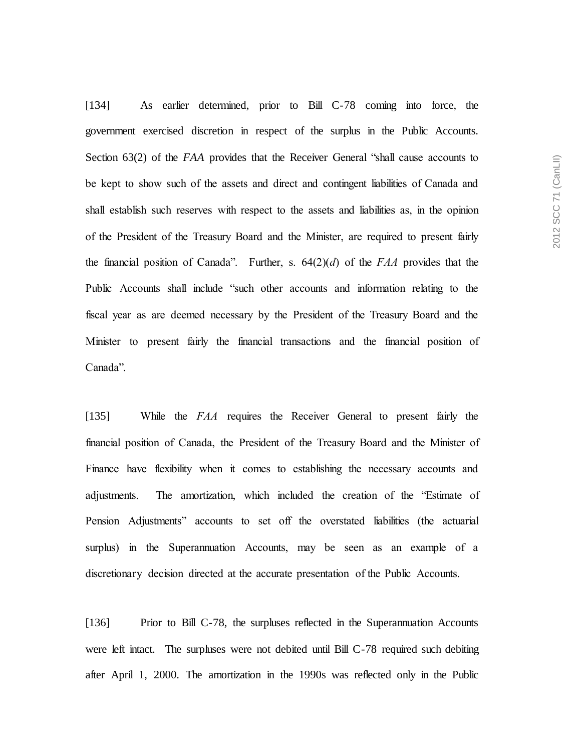[134] As earlier determined, prior to Bill C-78 coming into force, the government exercised discretion in respect of the surplus in the Public Accounts. Section 63(2) of the *FAA* provides that the Receiver General "shall cause accounts to be kept to show such of the assets and direct and contingent liabilities of Canada and shall establish such reserves with respect to the assets and liabilities as, in the opinion of the President of the Treasury Board and the Minister, are required to present fairly the financial position of Canada". Further, s. 64(2)(*d*) of the *FAA* provides that the Public Accounts shall include "such other accounts and information relating to the fiscal year as are deemed necessary by the President of the Treasury Board and the Minister to present fairly the financial transactions and the financial position of Canada".

[135] While the *FAA* requires the Receiver General to present fairly the financial position of Canada, the President of the Treasury Board and the Minister of Finance have flexibility when it comes to establishing the necessary accounts and adjustments. The amortization, which included the creation of the "Estimate of Pension Adjustments" accounts to set off the overstated liabilities (the actuarial surplus) in the Superannuation Accounts, may be seen as an example of a discretionary decision directed at the accurate presentation of the Public Accounts.

[136] Prior to Bill C-78, the surpluses reflected in the Superannuation Accounts were left intact. The surpluses were not debited until Bill C-78 required such debiting after April 1, 2000. The amortization in the 1990s was reflected only in the Public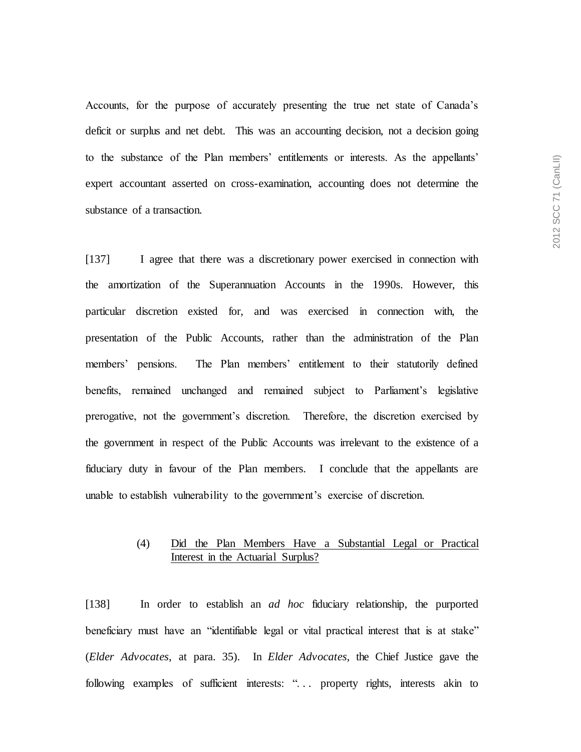Accounts, for the purpose of accurately presenting the true net state of Canada's deficit or surplus and net debt. This was an accounting decision, not a decision going to the substance of the Plan members' entitlements or interests. As the appellants' expert accountant asserted on cross-examination, accounting does not determine the substance of a transaction.

[137] I agree that there was a discretionary power exercised in connection with the amortization of the Superannuation Accounts in the 1990s. However, this particular discretion existed for, and was exercised in connection with, the presentation of the Public Accounts, rather than the administration of the Plan members' pensions. The Plan members' entitlement to their statutorily defined benefits, remained unchanged and remained subject to Parliament's legislative prerogative, not the government's discretion. Therefore, the discretion exercised by the government in respect of the Public Accounts was irrelevant to the existence of a fiduciary duty in favour of the Plan members. I conclude that the appellants are unable to establish vulnerability to the government's exercise of discretion.

## (4) Did the Plan Members Have a Substantial Legal or Practical Interest in the Actuarial Surplus?

[138] In order to establish an *ad hoc* fiduciary relationship, the purported beneficiary must have an "identifiable legal or vital practical interest that is at stake" (*Elder Advocates*, at para. 35). In *Elder Advocates*, the Chief Justice gave the following examples of sufficient interests: "... property rights, interests akin to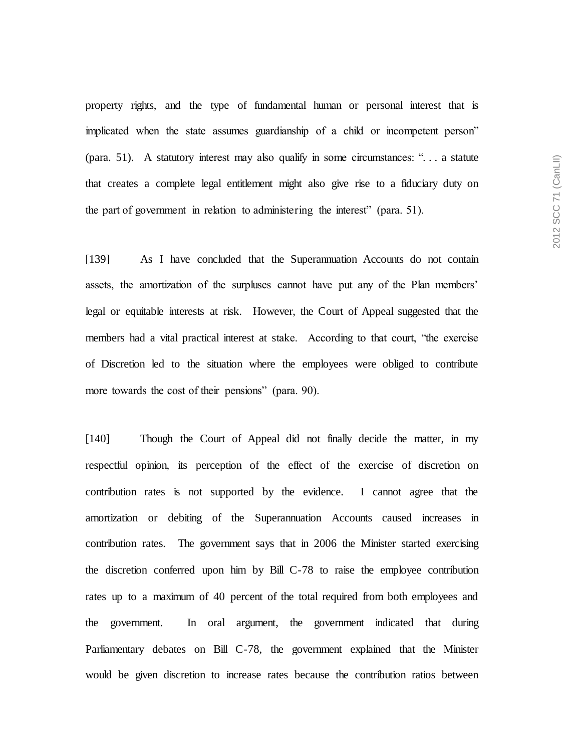property rights, and the type of fundamental human or personal interest that is implicated when the state assumes guardianship of a child or incompetent person" (para. 51). A statutory interest may also qualify in some circumstances: ". . . a statute that creates a complete legal entitlement might also give rise to a fiduciary duty on the part of government in relation to administering the interest" (para. 51).

[139] As I have concluded that the Superannuation Accounts do not contain assets, the amortization of the surpluses cannot have put any of the Plan members' legal or equitable interests at risk. However, the Court of Appeal suggested that the members had a vital practical interest at stake. According to that court, "the exercise of Discretion led to the situation where the employees were obliged to contribute more towards the cost of their pensions" (para. 90).

[140] Though the Court of Appeal did not finally decide the matter, in my respectful opinion, its perception of the effect of the exercise of discretion on contribution rates is not supported by the evidence. I cannot agree that the amortization or debiting of the Superannuation Accounts caused increases in contribution rates. The government says that in 2006 the Minister started exercising the discretion conferred upon him by Bill C-78 to raise the employee contribution rates up to a maximum of 40 percent of the total required from both employees and the government. In oral argument, the government indicated that during Parliamentary debates on Bill C-78, the government explained that the Minister would be given discretion to increase rates because the contribution ratios between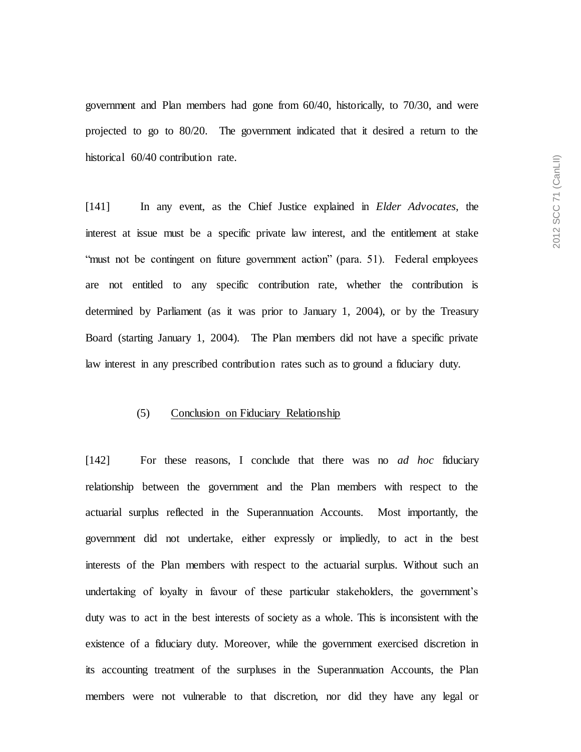government and Plan members had gone from 60/40, historically, to 70/30, and were projected to go to 80/20. The government indicated that it desired a return to the historical 60/40 contribution rate.

[141] In any event, as the Chief Justice explained in *Elder Advocates*, the interest at issue must be a specific private law interest, and the entitlement at stake "must not be contingent on future government action" (para. 51). Federal employees are not entitled to any specific contribution rate, whether the contribution is determined by Parliament (as it was prior to January 1, 2004), or by the Treasury Board (starting January 1, 2004). The Plan members did not have a specific private law interest in any prescribed contribution rates such as to ground a fiduciary duty.

#### (5) Conclusion on Fiduciary Relationship

[142] For these reasons, I conclude that there was no *ad hoc* fiduciary relationship between the government and the Plan members with respect to the actuarial surplus reflected in the Superannuation Accounts. Most importantly, the government did not undertake, either expressly or impliedly, to act in the best interests of the Plan members with respect to the actuarial surplus. Without such an undertaking of loyalty in favour of these particular stakeholders, the government's duty was to act in the best interests of society as a whole. This is inconsistent with the existence of a fiduciary duty. Moreover, while the government exercised discretion in its accounting treatment of the surpluses in the Superannuation Accounts, the Plan members were not vulnerable to that discretion, nor did they have any legal or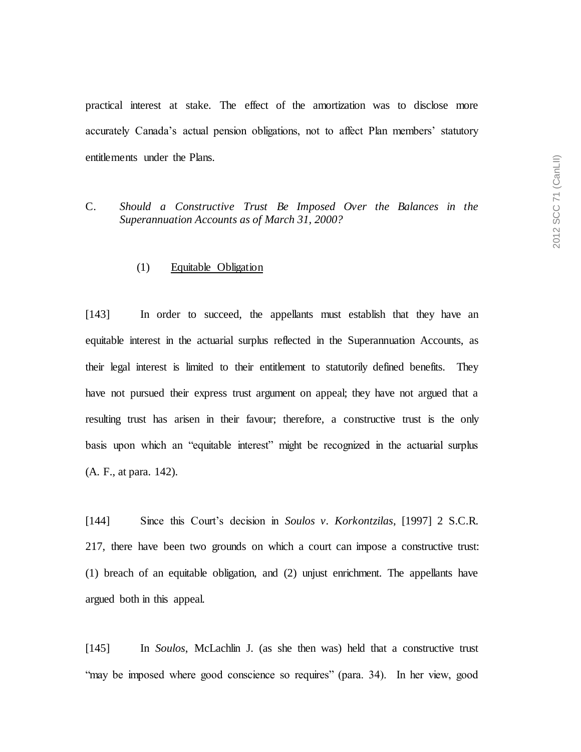practical interest at stake. The effect of the amortization was to disclose more accurately Canada's actual pension obligations, not to affect Plan members' statutory entitlements under the Plans.

C. *Should a Constructive Trust Be Imposed Over the Balances in the Superannuation Accounts as of March 31, 2000?*

#### (1) Equitable Obligation

[143] In order to succeed, the appellants must establish that they have an equitable interest in the actuarial surplus reflected in the Superannuation Accounts, as their legal interest is limited to their entitlement to statutorily defined benefits. They have not pursued their express trust argument on appeal; they have not argued that a resulting trust has arisen in their favour; therefore, a constructive trust is the only basis upon which an "equitable interest" might be recognized in the actuarial surplus (A. F., at para. 142).

[144] Since this Court's decision in *Soulos v. Korkontzilas*, [1997] 2 S.C.R. 217, there have been two grounds on which a court can impose a constructive trust: (1) breach of an equitable obligation, and (2) unjust enrichment. The appellants have argued both in this appeal.

[145] In *Soulos*, McLachlin J. (as she then was) held that a constructive trust "may be imposed where good conscience so requires" (para. 34). In her view, good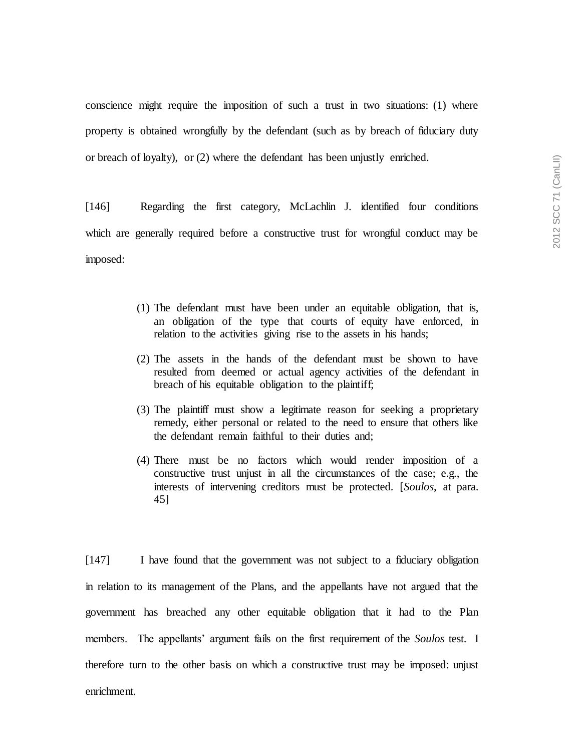conscience might require the imposition of such a trust in two situations: (1) where property is obtained wrongfully by the defendant (such as by breach of fiduciary duty or breach of loyalty), or (2) where the defendant has been unjustly enriched.

[146] Regarding the first category, McLachlin J. identified four conditions which are generally required before a constructive trust for wrongful conduct may be imposed:

- (1) The defendant must have been under an equitable obligation, that is, an obligation of the type that courts of equity have enforced, in relation to the activities giving rise to the assets in his hands;
- (2) The assets in the hands of the defendant must be shown to have resulted from deemed or actual agency activities of the defendant in breach of his equitable obligation to the plaintiff;
- (3) The plaintiff must show a legitimate reason for seeking a proprietary remedy, either personal or related to the need to ensure that others like the defendant remain faithful to their duties and;
- (4) There must be no factors which would render imposition of a constructive trust unjust in all the circumstances of the case; e.g., the interests of intervening creditors must be protected. [*Soulos*, at para. 45]

[147] I have found that the government was not subject to a fiduciary obligation in relation to its management of the Plans, and the appellants have not argued that the government has breached any other equitable obligation that it had to the Plan members. The appellants' argument fails on the first requirement of the *Soulos* test. I therefore turn to the other basis on which a constructive trust may be imposed: unjust enrichment.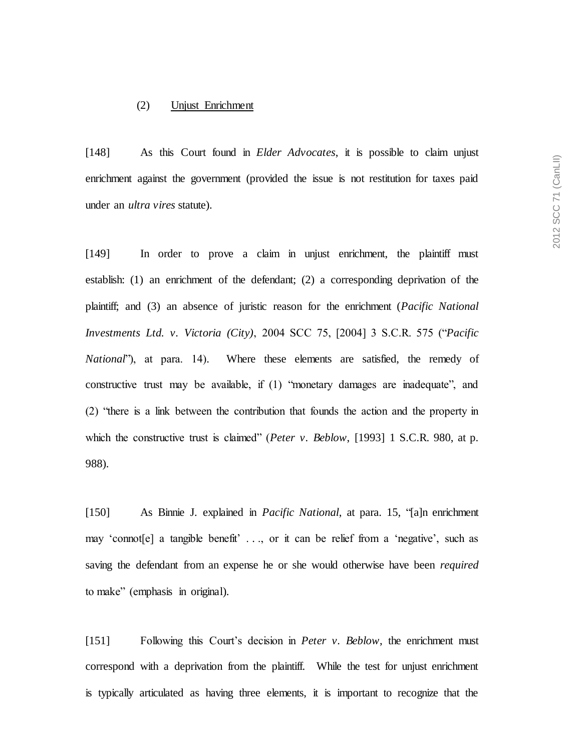#### (2) Unjust Enrichment

[148] As this Court found in *Elder Advocates*, it is possible to claim unjust enrichment against the government (provided the issue is not restitution for taxes paid under an *ultra vires* statute).

[149] In order to prove a claim in unjust enrichment, the plaintiff must establish: (1) an enrichment of the defendant; (2) a corresponding deprivation of the plaintiff; and (3) an absence of juristic reason for the enrichment (*Pacific National Investments Ltd. v. Victoria (City)*, 2004 SCC 75, [2004] 3 S.C.R. 575 ("*Pacific National*"), at para. 14). Where these elements are satisfied, the remedy of constructive trust may be available, if (1) "monetary damages are inadequate", and (2) "there is a link between the contribution that founds the action and the property in which the constructive trust is claimed" (*Peter v. Beblow*, [1993] 1 S.C.R. 980, at p. 988).

[150] As Binnie J. explained in *Pacific National*, at para. 15, "[a]n enrichment may 'connot[e] a tangible benefit' . . ., or it can be relief from a 'negative', such as saving the defendant from an expense he or she would otherwise have been *required* to make" (emphasis in original).

[151] Following this Court's decision in *Peter v. Beblow*, the enrichment must correspond with a deprivation from the plaintiff. While the test for unjust enrichment is typically articulated as having three elements, it is important to recognize that the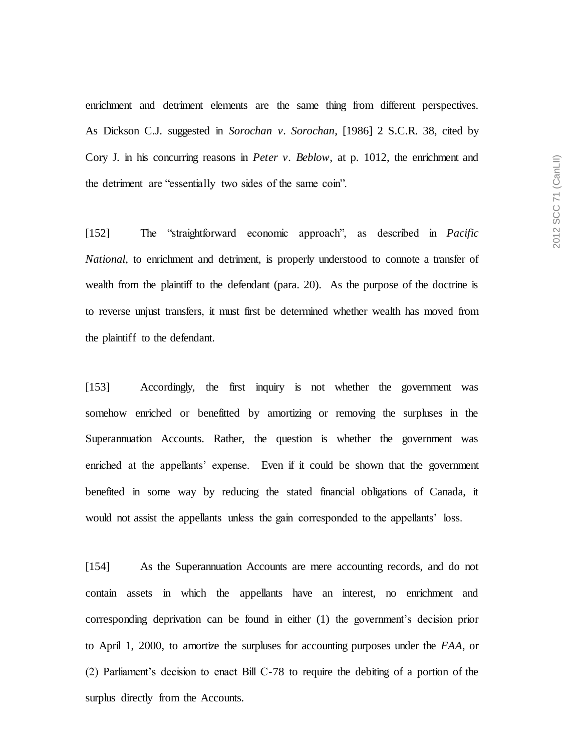enrichment and detriment elements are the same thing from different perspectives. As Dickson C.J. suggested in *Sorochan v. Sorochan*, [1986] 2 S.C.R. 38, cited by Cory J. in his concurring reasons in *Peter v. Beblow*, at p. 1012, the enrichment and the detriment are "essentially two sides of the same coin".

[152] The "straightforward economic approach", as described in *Pacific National*, to enrichment and detriment, is properly understood to connote a transfer of wealth from the plaintiff to the defendant (para. 20). As the purpose of the doctrine is to reverse unjust transfers, it must first be determined whether wealth has moved from the plaintiff to the defendant.

[153] Accordingly, the first inquiry is not whether the government was somehow enriched or benefitted by amortizing or removing the surpluses in the Superannuation Accounts. Rather, the question is whether the government was enriched at the appellants' expense. Even if it could be shown that the government benefited in some way by reducing the stated financial obligations of Canada, it would not assist the appellants unless the gain corresponded to the appellants' loss.

[154] As the Superannuation Accounts are mere accounting records, and do not contain assets in which the appellants have an interest, no enrichment and corresponding deprivation can be found in either (1) the government's decision prior to April 1, 2000, to amortize the surpluses for accounting purposes under the *FAA*, or (2) Parliament's decision to enact Bill C-78 to require the debiting of a portion of the surplus directly from the Accounts.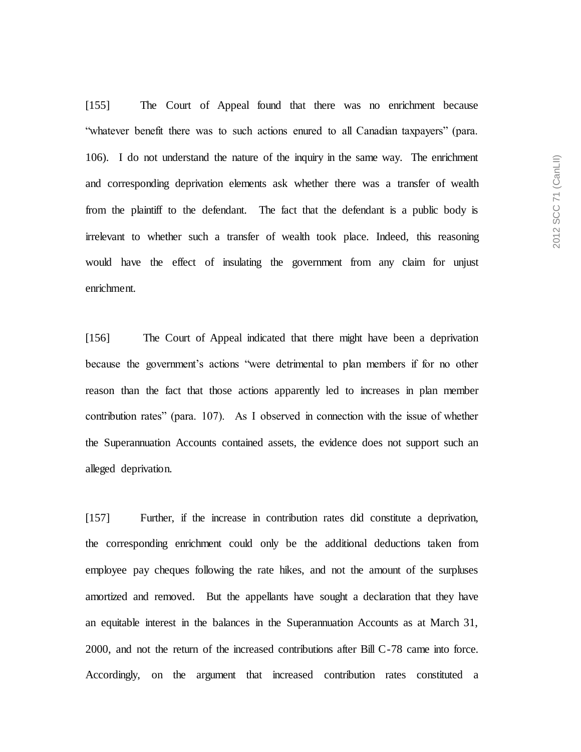[155] The Court of Appeal found that there was no enrichment because "whatever benefit there was to such actions enured to all Canadian taxpayers" (para. 106). I do not understand the nature of the inquiry in the same way. The enrichment and corresponding deprivation elements ask whether there was a transfer of wealth from the plaintiff to the defendant. The fact that the defendant is a public body is irrelevant to whether such a transfer of wealth took place. Indeed, this reasoning would have the effect of insulating the government from any claim for unjust enrichment.

[156] The Court of Appeal indicated that there might have been a deprivation because the government's actions "were detrimental to plan members if for no other reason than the fact that those actions apparently led to increases in plan member contribution rates" (para. 107). As I observed in connection with the issue of whether the Superannuation Accounts contained assets, the evidence does not support such an alleged deprivation.

[157] Further, if the increase in contribution rates did constitute a deprivation, the corresponding enrichment could only be the additional deductions taken from employee pay cheques following the rate hikes, and not the amount of the surpluses amortized and removed. But the appellants have sought a declaration that they have an equitable interest in the balances in the Superannuation Accounts as at March 31, 2000, and not the return of the increased contributions after Bill C-78 came into force. Accordingly, on the argument that increased contribution rates constituted a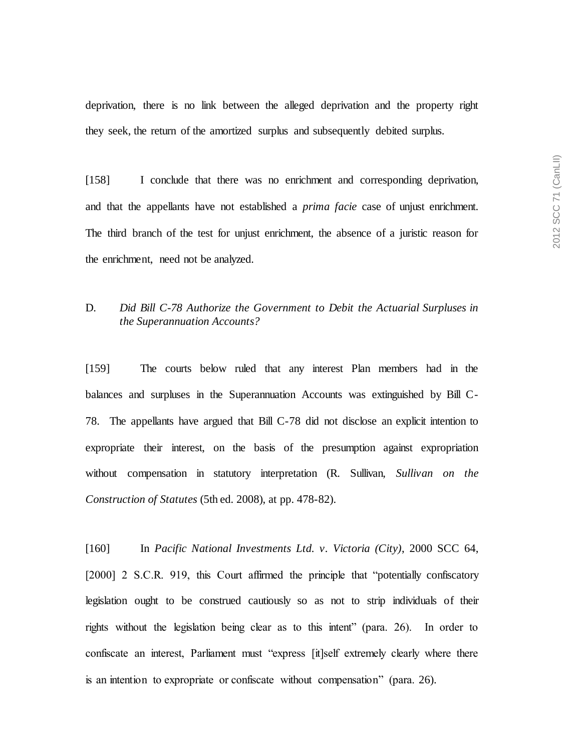deprivation, there is no link between the alleged deprivation and the property right they seek, the return of the amortized surplus and subsequently debited surplus.

[158] I conclude that there was no enrichment and corresponding deprivation, and that the appellants have not established a *prima facie* case of unjust enrichment. The third branch of the test for unjust enrichment, the absence of a juristic reason for the enrichment, need not be analyzed.

## D. *Did Bill C-78 Authorize the Government to Debit the Actuarial Surpluses in the Superannuation Accounts?*

[159] The courts below ruled that any interest Plan members had in the balances and surpluses in the Superannuation Accounts was extinguished by Bill C-78. The appellants have argued that Bill C-78 did not disclose an explicit intention to expropriate their interest, on the basis of the presumption against expropriation without compensation in statutory interpretation (R. Sullivan, *Sullivan on the Construction of Statutes* (5th ed. 2008), at pp. 478-82).

[160] In *Pacific National Investments Ltd. v. Victoria (City)*, 2000 SCC 64, [2000] 2 S.C.R. 919, this Court affirmed the principle that "potentially confiscatory legislation ought to be construed cautiously so as not to strip individuals of their rights without the legislation being clear as to this intent" (para. 26). In order to confiscate an interest, Parliament must "express [it]self extremely clearly where there is an intention to expropriate or confiscate without compensation" (para. 26).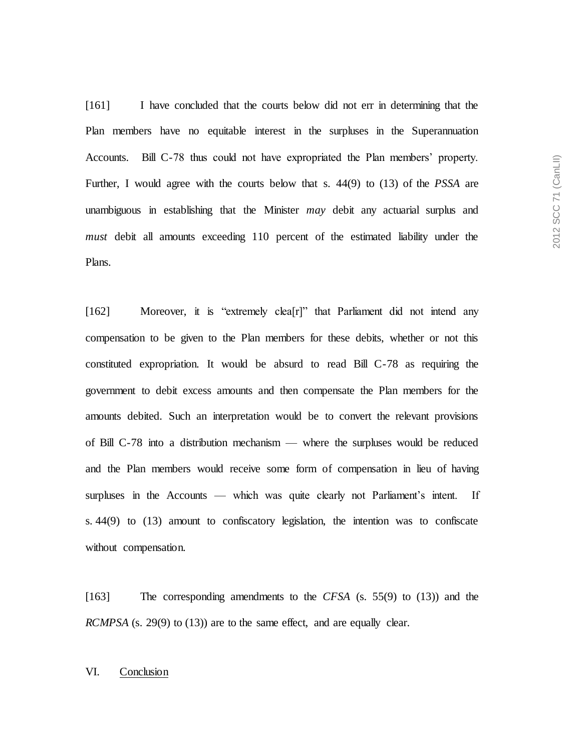[161] I have concluded that the courts below did not err in determining that the Plan members have no equitable interest in the surpluses in the Superannuation Accounts. Bill C-78 thus could not have expropriated the Plan members' property. Further, I would agree with the courts below that s. 44(9) to (13) of the *PSSA* are unambiguous in establishing that the Minister *may* debit any actuarial surplus and *must* debit all amounts exceeding 110 percent of the estimated liability under the

[162] Moreover, it is "extremely clea[r]" that Parliament did not intend any compensation to be given to the Plan members for these debits, whether or not this constituted expropriation. It would be absurd to read Bill C-78 as requiring the government to debit excess amounts and then compensate the Plan members for the amounts debited. Such an interpretation would be to convert the relevant provisions of Bill C-78 into a distribution mechanism — where the surpluses would be reduced and the Plan members would receive some form of compensation in lieu of having surpluses in the Accounts — which was quite clearly not Parliament's intent. If s. 44(9) to (13) amount to confiscatory legislation, the intention was to confiscate without compensation.

[163] The corresponding amendments to the *CFSA* (s. 55(9) to (13)) and the *RCMPSA* (s. 29(9) to (13)) are to the same effect, and are equally clear.

## VI. Conclusion

Plans.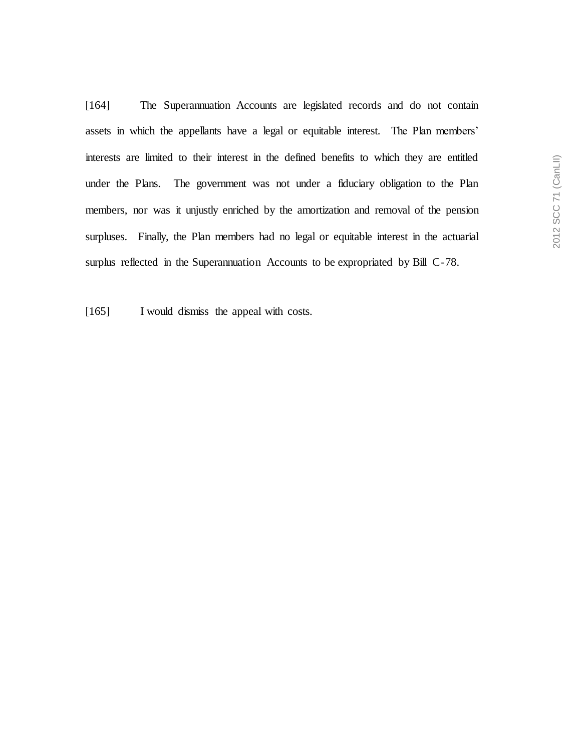[164] The Superannuation Accounts are legislated records and do not contain assets in which the appellants have a legal or equitable interest. The Plan members' interests are limited to their interest in the defined benefits to which they are entitled under the Plans. The government was not under a fiduciary obligation to the Plan members, nor was it unjustly enriched by the amortization and removal of the pension surpluses. Finally, the Plan members had no legal or equitable interest in the actuarial surplus reflected in the Superannuation Accounts to be expropriated by Bill C-78.

[165] I would dismiss the appeal with costs.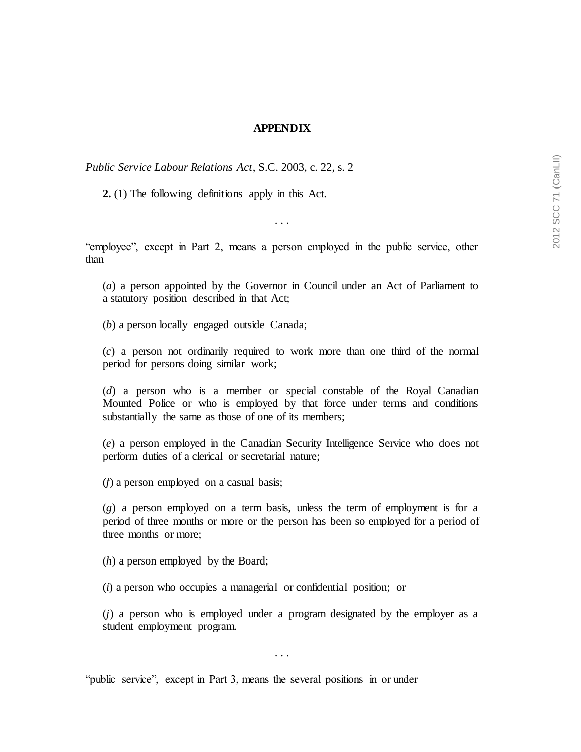## **APPENDIX**

*Public Service Labour Relations Act*, S.C. 2003, c. 22, s. 2

**2.** (1) The following definitions apply in this Act.

"employee", except in Part 2, means a person employed in the public service, other than

. . .

(*a*) a person appointed by the Governor in Council under an Act of Parliament to a statutory position described in that Act;

(*b*) a person locally engaged outside Canada;

(*c*) a person not ordinarily required to work more than one third of the normal period for persons doing similar work;

(*d*) a person who is a member or special constable of the Royal Canadian Mounted Police or who is employed by that force under terms and conditions substantially the same as those of one of its members;

(*e*) a person employed in the Canadian Security Intelligence Service who does not perform duties of a clerical or secretarial nature;

(*f*) a person employed on a casual basis;

(*g*) a person employed on a term basis, unless the term of employment is for a period of three months or more or the person has been so employed for a period of three months or more;

(*h*) a person employed by the Board;

(*i*) a person who occupies a managerial or confidential position; or

(*j*) a person who is employed under a program designated by the employer as a student employment program.

. . .

"public service", except in Part 3, means the several positions in or under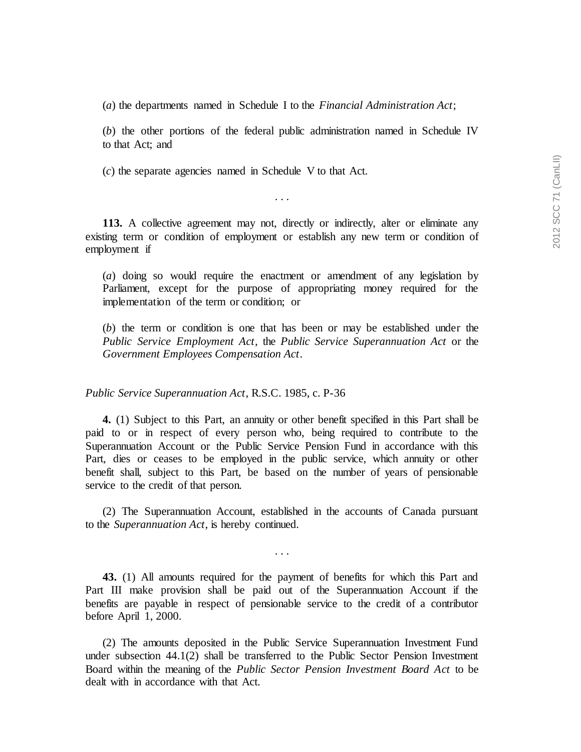(*a*) the departments named in Schedule I to the *Financial Administration Act*;

(*b*) the other portions of the federal public administration named in Schedule IV to that Act; and

(*c*) the separate agencies named in Schedule V to that Act.

. . .

**113.** A collective agreement may not, directly or indirectly, alter or eliminate any existing term or condition of employment or establish any new term or condition of employment if

(*a*) doing so would require the enactment or amendment of any legislation by Parliament, except for the purpose of appropriating money required for the implementation of the term or condition; or

(*b*) the term or condition is one that has been or may be established under the *Public Service Employment Act*, the *Public Service Superannuation Act* or the *Government Employees Compensation Act*.

*Public Service Superannuation Act*, R.S.C. 1985, c. P-36

**4.** (1) Subject to this Part, an annuity or other benefit specified in this Part shall be paid to or in respect of every person who, being required to contribute to the Superannuation Account or the Public Service Pension Fund in accordance with this Part, dies or ceases to be employed in the public service, which annuity or other benefit shall, subject to this Part, be based on the number of years of pensionable service to the credit of that person.

(2) The Superannuation Account, established in the accounts of Canada pursuant to the *Superannuation Act*, is hereby continued.

**43.** (1) All amounts required for the payment of benefits for which this Part and Part III make provision shall be paid out of the Superannuation Account if the benefits are payable in respect of pensionable service to the credit of a contributor before April 1, 2000.

(2) The amounts deposited in the Public Service Superannuation Investment Fund under subsection 44.1(2) shall be transferred to the Public Sector Pension Investment Board within the meaning of the *Public Sector Pension Investment Board Act* to be dealt with in accordance with that Act.

. . .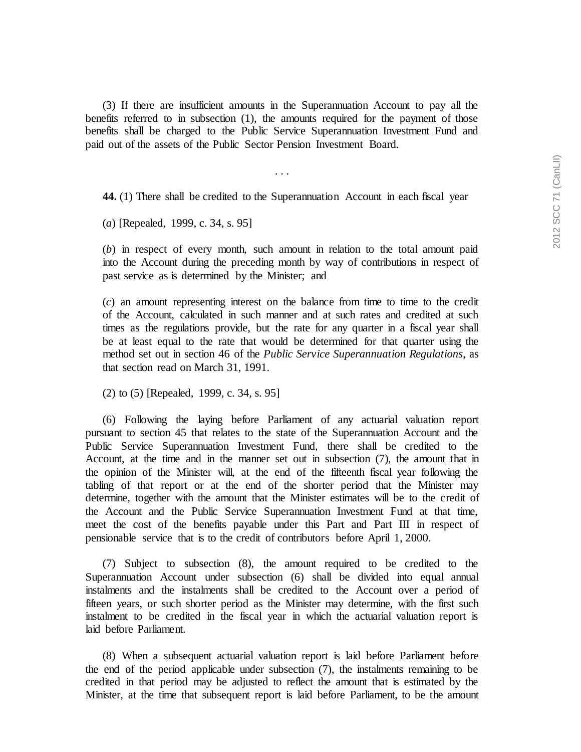(3) If there are insufficient amounts in the Superannuation Account to pay all the benefits referred to in subsection (1), the amounts required for the payment of those benefits shall be charged to the Public Service Superannuation Investment Fund and paid out of the assets of the Public Sector Pension Investment Board.

. . .

**44.** (1) There shall be credited to the Superannuation Account in each fiscal year

(*a*) [Repealed, 1999, c. 34, s. 95]

(*b*) in respect of every month, such amount in relation to the total amount paid into the Account during the preceding month by way of contributions in respect of past service as is determined by the Minister; and

(*c*) an amount representing interest on the balance from time to time to the credit of the Account, calculated in such manner and at such rates and credited at such times as the regulations provide, but the rate for any quarter in a fiscal year shall be at least equal to the rate that would be determined for that quarter using the method set out in section 46 of the *Public Service Superannuation Regulations*, as that section read on March 31, 1991.

(2) to (5) [Repealed, 1999, c. 34, s. 95]

(6) Following the laying before Parliament of any actuarial valuation report pursuant to section 45 that relates to the state of the Superannuation Account and the Public Service Superannuation Investment Fund, there shall be credited to the Account, at the time and in the manner set out in subsection (7), the amount that in the opinion of the Minister will, at the end of the fifteenth fiscal year following the tabling of that report or at the end of the shorter period that the Minister may determine, together with the amount that the Minister estimates will be to the credit of the Account and the Public Service Superannuation Investment Fund at that time, meet the cost of the benefits payable under this Part and Part III in respect of pensionable service that is to the credit of contributors before April 1, 2000.

(7) Subject to subsection (8), the amount required to be credited to the Superannuation Account under subsection (6) shall be divided into equal annual instalments and the instalments shall be credited to the Account over a period of fifteen years, or such shorter period as the Minister may determine, with the first such instalment to be credited in the fiscal year in which the actuarial valuation report is laid before Parliament.

(8) When a subsequent actuarial valuation report is laid before Parliament before the end of the period applicable under subsection (7), the instalments remaining to be credited in that period may be adjusted to reflect the amount that is estimated by the Minister, at the time that subsequent report is laid before Parliament, to be the amount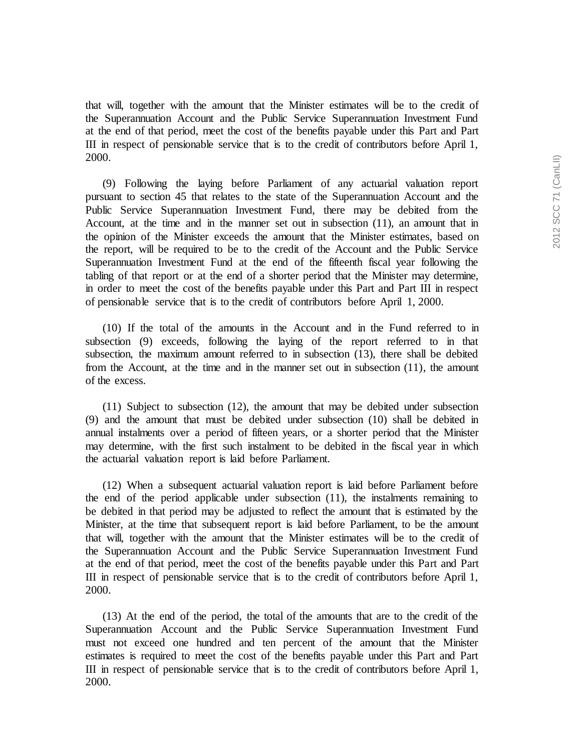that will, together with the amount that the Minister estimates will be to the credit of the Superannuation Account and the Public Service Superannuation Investment Fund at the end of that period, meet the cost of the benefits payable under this Part and Part III in respect of pensionable service that is to the credit of contributors before April 1, 2000.

(9) Following the laying before Parliament of any actuarial valuation report pursuant to section 45 that relates to the state of the Superannuation Account and the Public Service Superannuation Investment Fund, there may be debited from the Account, at the time and in the manner set out in subsection (11), an amount that in the opinion of the Minister exceeds the amount that the Minister estimates, based on the report, will be required to be to the credit of the Account and the Public Service Superannuation Investment Fund at the end of the fifteenth fiscal year following the tabling of that report or at the end of a shorter period that the Minister may determine, in order to meet the cost of the benefits payable under this Part and Part III in respect of pensionable service that is to the credit of contributors before April 1, 2000.

(10) If the total of the amounts in the Account and in the Fund referred to in subsection (9) exceeds, following the laying of the report referred to in that subsection, the maximum amount referred to in subsection (13), there shall be debited from the Account, at the time and in the manner set out in subsection (11), the amount of the excess.

(11) Subject to subsection (12), the amount that may be debited under subsection (9) and the amount that must be debited under subsection (10) shall be debited in annual instalments over a period of fifteen years, or a shorter period that the Minister may determine, with the first such instalment to be debited in the fiscal year in which the actuarial valuation report is laid before Parliament.

(12) When a subsequent actuarial valuation report is laid before Parliament before the end of the period applicable under subsection (11), the instalments remaining to be debited in that period may be adjusted to reflect the amount that is estimated by the Minister, at the time that subsequent report is laid before Parliament, to be the amount that will, together with the amount that the Minister estimates will be to the credit of the Superannuation Account and the Public Service Superannuation Investment Fund at the end of that period, meet the cost of the benefits payable under this Part and Part III in respect of pensionable service that is to the credit of contributors before April 1, 2000.

(13) At the end of the period, the total of the amounts that are to the credit of the Superannuation Account and the Public Service Superannuation Investment Fund must not exceed one hundred and ten percent of the amount that the Minister estimates is required to meet the cost of the benefits payable under this Part and Part III in respect of pensionable service that is to the credit of contributors before April 1, 2000.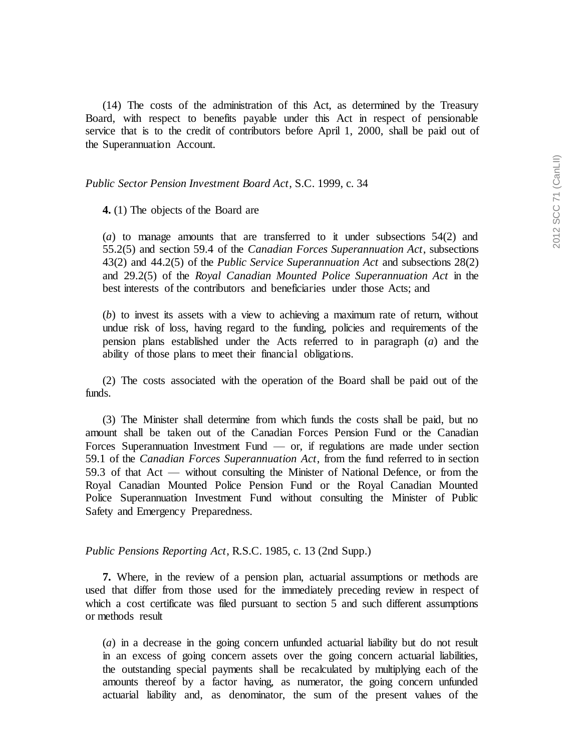(14) The costs of the administration of this Act, as determined by the Treasury Board, with respect to benefits payable under this Act in respect of pensionable service that is to the credit of contributors before April 1, 2000, shall be paid out of the Superannuation Account.

## *Public Sector Pension Investment Board Act*, S.C. 1999, c. 34

**4.** (1) The objects of the Board are

(*a*) to manage amounts that are transferred to it under subsections 54(2) and 55.2(5) and section 59.4 of the *Canadian Forces Superannuation Act*, subsections 43(2) and 44.2(5) of the *Public Service Superannuation Act* and subsections 28(2) and 29.2(5) of the *Royal Canadian Mounted Police Superannuation Act* in the best interests of the contributors and beneficiaries under those Acts; and

(*b*) to invest its assets with a view to achieving a maximum rate of return, without undue risk of loss, having regard to the funding, policies and requirements of the pension plans established under the Acts referred to in paragraph (*a*) and the ability of those plans to meet their financial obligations.

(2) The costs associated with the operation of the Board shall be paid out of the funds.

(3) The Minister shall determine from which funds the costs shall be paid, but no amount shall be taken out of the Canadian Forces Pension Fund or the Canadian Forces Superannuation Investment Fund  $-$  or, if regulations are made under section 59.1 of the *Canadian Forces Superannuation Act*, from the fund referred to in section 59.3 of that Act — without consulting the Minister of National Defence, or from the Royal Canadian Mounted Police Pension Fund or the Royal Canadian Mounted Police Superannuation Investment Fund without consulting the Minister of Public Safety and Emergency Preparedness.

*Public Pensions Reporting Act*, R.S.C. 1985, c. 13 (2nd Supp.)

**7.** Where, in the review of a pension plan, actuarial assumptions or methods are used that differ from those used for the immediately preceding review in respect of which a cost certificate was filed pursuant to section 5 and such different assumptions or methods result

(*a*) in a decrease in the going concern unfunded actuarial liability but do not result in an excess of going concern assets over the going concern actuarial liabilities, the outstanding special payments shall be recalculated by multiplying each of the amounts thereof by a factor having, as numerator, the going concern unfunded actuarial liability and, as denominator, the sum of the present values of the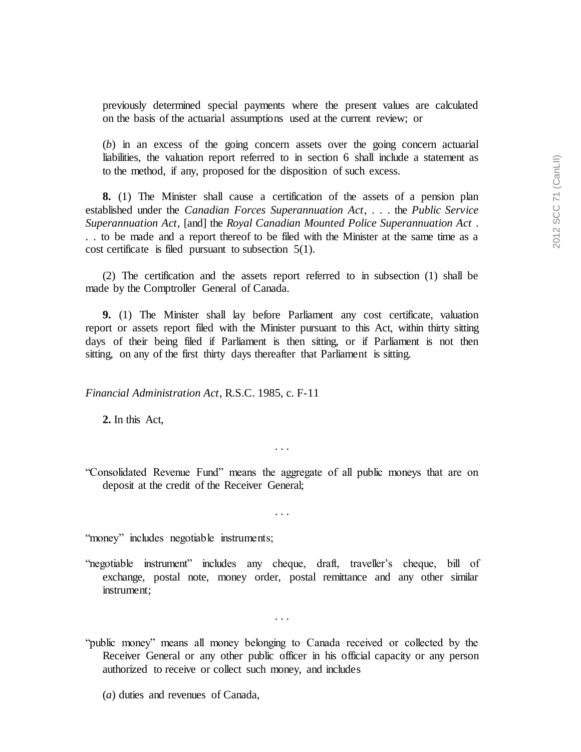previously determined special payments where the present values are calculated on the basis of the actuarial assumptions used at the current review; or

(*b*) in an excess of the going concern assets over the going concern actuarial liabilities, the valuation report referred to in section 6 shall include a statement as to the method, if any, proposed for the disposition of such excess.

**8.** (1) The Minister shall cause a certification of the assets of a pension plan established under the *Canadian Forces Superannuation Act*, . . . the *Public Service Superannuation Act*, [and] the *Royal Canadian Mounted Police Superannuation Act* . . . to be made and a report thereof to be filed with the Minister at the same time as a cost certificate is filed pursuant to subsection 5(1).

(2) The certification and the assets report referred to in subsection (1) shall be made by the Comptroller General of Canada.

**9.** (1) The Minister shall lay before Parliament any cost certificate, valuation report or assets report filed with the Minister pursuant to this Act, within thirty sitting days of their being filed if Parliament is then sitting, or if Parliament is not then sitting, on any of the first thirty days thereafter that Parliament is sitting.

*Financial Administration Act*, R.S.C. 1985, c. F-11

**2.** In this Act,

. . .

"Consolidated Revenue Fund" means the aggregate of all public moneys that are on deposit at the credit of the Receiver General;

. . .

"money" includes negotiable instruments;

"negotiable instrument" includes any cheque, draft, traveller's cheque, bill of exchange, postal note, money order, postal remittance and any other similar instrument;

"public money" means all money belonging to Canada received or collected by the Receiver General or any other public officer in his official capacity or any person authorized to receive or collect such money, and includes

. . .

(*a*) duties and revenues of Canada,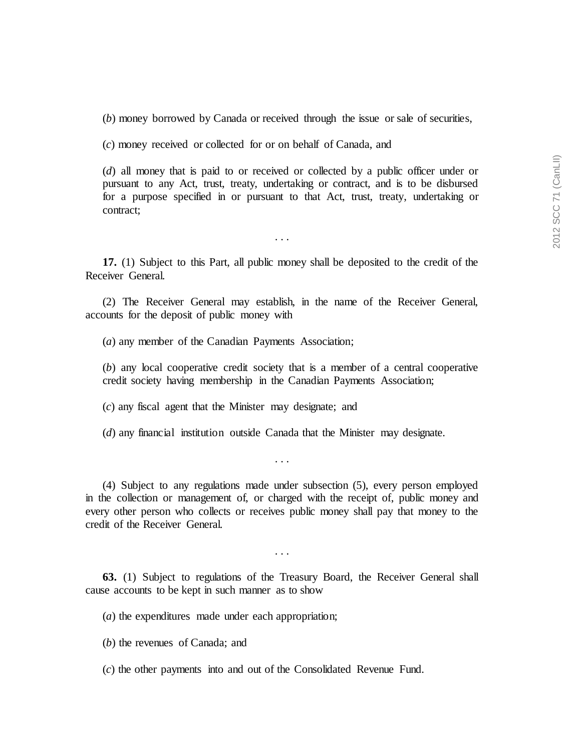(*b*) money borrowed by Canada or received through the issue or sale of securities,

(*c*) money received or collected for or on behalf of Canada, and

(*d*) all money that is paid to or received or collected by a public officer under or pursuant to any Act, trust, treaty, undertaking or contract, and is to be disbursed for a purpose specified in or pursuant to that Act, trust, treaty, undertaking or contract;

. . .

**17.** (1) Subject to this Part, all public money shall be deposited to the credit of the Receiver General.

(2) The Receiver General may establish, in the name of the Receiver General, accounts for the deposit of public money with

(*a*) any member of the Canadian Payments Association;

(*b*) any local cooperative credit society that is a member of a central cooperative credit society having membership in the Canadian Payments Association;

(*c*) any fiscal agent that the Minister may designate; and

(*d*) any financial institution outside Canada that the Minister may designate.

(4) Subject to any regulations made under subsection (5), every person employed in the collection or management of, or charged with the receipt of, public money and every other person who collects or receives public money shall pay that money to the credit of the Receiver General.

. . .

. . .

**63.** (1) Subject to regulations of the Treasury Board, the Receiver General shall cause accounts to be kept in such manner as to show

(*a*) the expenditures made under each appropriation;

(*b*) the revenues of Canada; and

(*c*) the other payments into and out of the Consolidated Revenue Fund.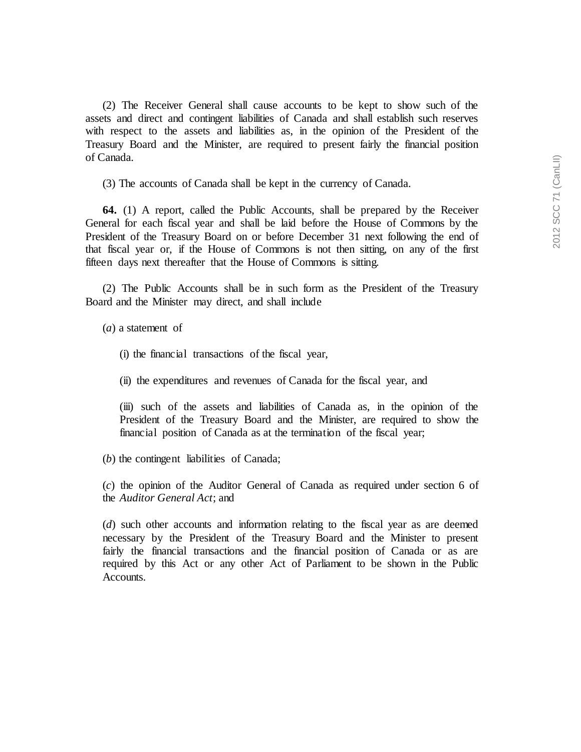(2) The Receiver General shall cause accounts to be kept to show such of the assets and direct and contingent liabilities of Canada and shall establish such reserves with respect to the assets and liabilities as, in the opinion of the President of the Treasury Board and the Minister, are required to present fairly the financial position of Canada.

(3) The accounts of Canada shall be kept in the currency of Canada.

**64.** (1) A report, called the Public Accounts, shall be prepared by the Receiver General for each fiscal year and shall be laid before the House of Commons by the President of the Treasury Board on or before December 31 next following the end of that fiscal year or, if the House of Commons is not then sitting, on any of the first fifteen days next thereafter that the House of Commons is sitting.

(2) The Public Accounts shall be in such form as the President of the Treasury Board and the Minister may direct, and shall include

(*a*) a statement of

- (i) the financial transactions of the fiscal year,
- (ii) the expenditures and revenues of Canada for the fiscal year, and

(iii) such of the assets and liabilities of Canada as, in the opinion of the President of the Treasury Board and the Minister, are required to show the financial position of Canada as at the termination of the fiscal year;

(*b*) the contingent liabilities of Canada;

(*c*) the opinion of the Auditor General of Canada as required under section 6 of the *Auditor General Act*; and

(*d*) such other accounts and information relating to the fiscal year as are deemed necessary by the President of the Treasury Board and the Minister to present fairly the financial transactions and the financial position of Canada or as are required by this Act or any other Act of Parliament to be shown in the Public Accounts.